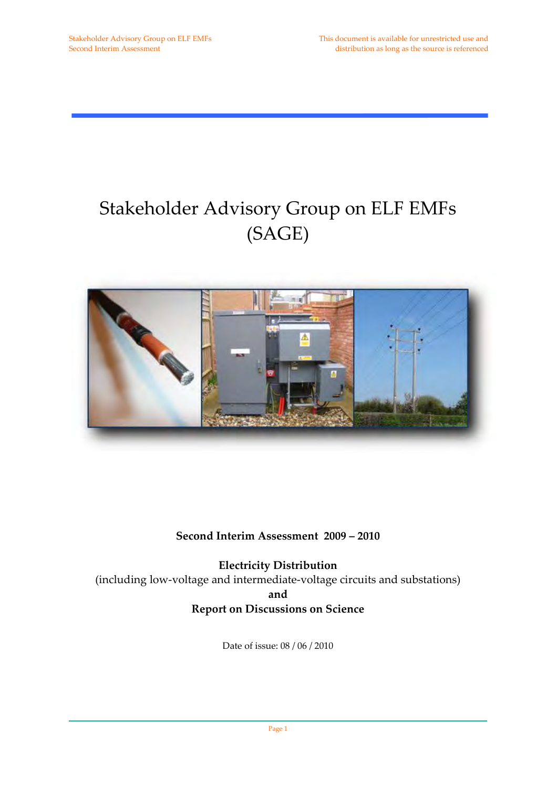## Stakeholder Advisory Group on ELF EMFs (SAGE)



### **Second Interim Assessment 2009 – 2010**

**Electricity Distribution** (including low‐voltage and intermediate‐voltage circuits and substations) **and Report on Discussions on Science**

Date of issue: 08 / 06 / 2010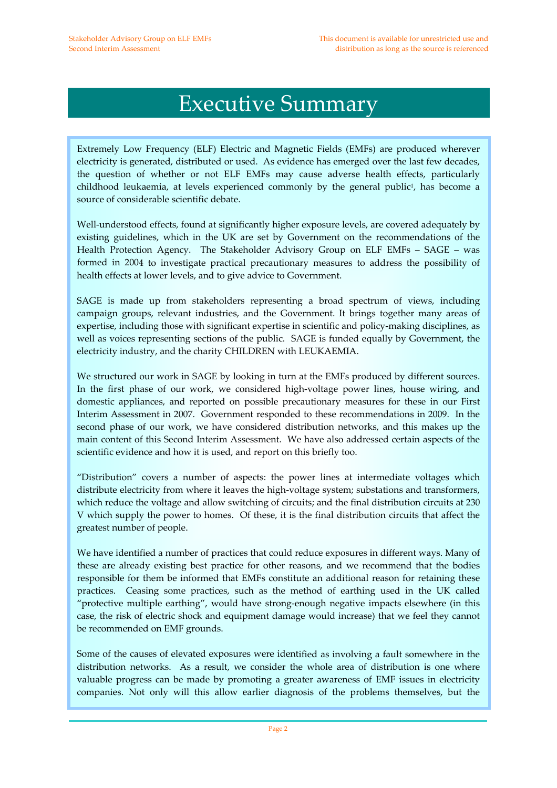## Executive Summary

Extremely Low Frequency (ELF) Electric and Magnetic Fields (EMFs) are produced wherever electricity is generated, distributed or used. As evidence has emerged over the last few decades, the question of whether or not ELF EMFs may cause adverse health effects, particularly childhood leukaemia, at levels experienced commonly by the general public<sup>1</sup>, has become a source of considerable scientific debate.

Well-understood effects, found at significantly higher exposure levels, are covered adequately by existing guidelines, which in the UK are set by Government on the recommendations of the Health Protection Agency. The Stakeholder Advisory Group on ELF EMFs - SAGE - was formed in 2004 to investigate practical precautionary measures to address the possibility of health effects at lower levels, and to give advice to Government.

SAGE is made up from stakeholders representing a broad spectrum of views, including campaign groups, relevant industries, and the Government. It brings together many areas of expertise, including those with significant expertise in scientific and policy-making disciplines, as well as voices representing sections of the public. SAGE is funded equally by Government, the electricity industry, and the charity CHILDREN with LEUKAEMIA.

We structured our work in SAGE by looking in turn at the EMFs produced by different sources. In the first phase of our work, we considered high‐voltage power lines, house wiring, and domestic appliances, and reported on possible precautionary measures for these in our First Interim Assessment in 2007. Government responded to these recommendations in 2009. In the second phase of our work, we have considered distribution networks, and this makes up the main content of this Second Interim Assessment. We have also addressed certain aspects of the scientific evidence and how it is used, and report on this briefly too.

"Distribution" covers a number of aspects: the power lines at intermediate voltages which distribute electricity from where it leaves the high-voltage system; substations and transformers, which reduce the voltage and allow switching of circuits; and the final distribution circuits at 230 V which supply the power to homes. Of these, it is the final distribution circuits that affect the greatest number of people.

We have identified a number of practices that could reduce exposures in different ways. Many of these are already existing best practice for other reasons, and we recommend that the bodies responsible for them be informed that EMFs constitute an additional reason for retaining these practices. Ceasing some practices, such as the method of earthing used in the UK called "protective multiple earthing", would have strong‐enough negative impacts elsewhere (in this case, the risk of electric shock and equipment damage would increase) that we feel they cannot be recommended on EMF grounds.

Some of the causes of elevated exposures were identified as involving a fault somewhere in the distribution networks. As a result, we consider the whole area of distribution is one where valuable progress can be made by promoting a greater awareness of EMF issues in electricity companies. Not only will this allow earlier diagnosis of the problems themselves, but the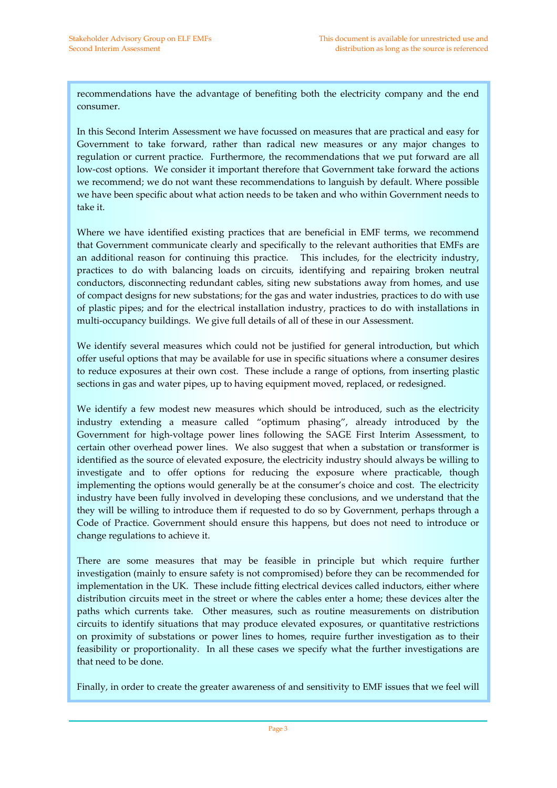recommendations have the advantage of benefiting both the electricity company and the end consumer.

In this Second Interim Assessment we have focussed on measures that are practical and easy for Government to take forward, rather than radical new measures or any major changes to regulation or current practice. Furthermore, the recommendations that we put forward are all low‐cost options. We consider it important therefore that Government take forward the actions we recommend; we do not want these recommendations to languish by default. Where possible we have been specific about what action needs to be taken and who within Government needs to take it.

Where we have identified existing practices that are beneficial in EMF terms, we recommend that Government communicate clearly and specifically to the relevant authorities that EMFs are an additional reason for continuing this practice. This includes, for the electricity industry, practices to do with balancing loads on circuits, identifying and repairing broken neutral conductors, disconnecting redundant cables, siting new substations away from homes, and use of compact designs for new substations; for the gas and water industries, practices to do with use of plastic pipes; and for the electrical installation industry, practices to do with installations in multi‐occupancy buildings. We give full details of all of these in our Assessment.

We identify several measures which could not be justified for general introduction, but which offer useful options that may be available for use in specific situations where a consumer desires to reduce exposures at their own cost. These include a range of options, from inserting plastic sections in gas and water pipes, up to having equipment moved, replaced, or redesigned.

We identify a few modest new measures which should be introduced, such as the electricity industry extending a measure called "optimum phasing", already introduced by the Government for high‐voltage power lines following the SAGE First Interim Assessment, to certain other overhead power lines. We also suggest that when a substation or transformer is identified as the source of elevated exposure, the electricity industry should always be willing to investigate and to offer options for reducing the exposure where practicable, though implementing the options would generally be at the consumer's choice and cost. The electricity industry have been fully involved in developing these conclusions, and we understand that the they will be willing to introduce them if requested to do so by Government, perhaps through a Code of Practice. Government should ensure this happens, but does not need to introduce or change regulations to achieve it.

There are some measures that may be feasible in principle but which require further investigation (mainly to ensure safety is not compromised) before they can be recommended for implementation in the UK. These include fitting electrical devices called inductors, either where distribution circuits meet in the street or where the cables enter a home; these devices alter the paths which currents take. Other measures, such as routine measurements on distribution circuits to identify situations that may produce elevated exposures, or quantitative restrictions on proximity of substations or power lines to homes, require further investigation as to their feasibility or proportionality. In all these cases we specify what the further investigations are that need to be done.

Finally, in order to create the greater awareness of and sensitivity to EMF issues that we feel will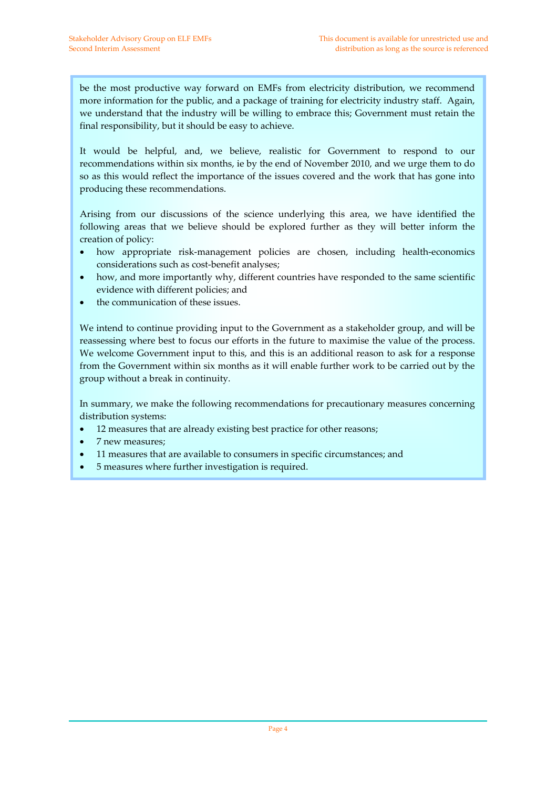be the most productive way forward on EMFs from electricity distribution, we recommend more information for the public, and a package of training for electricity industry staff. Again, we understand that the industry will be willing to embrace this; Government must retain the final responsibility, but it should be easy to achieve.

It would be helpful, and, we believe, realistic for Government to respond to our recommendations within six months, ie by the end of November 2010, and we urge them to do so as this would reflect the importance of the issues covered and the work that has gone into producing these recommendations.

Arising from our discussions of the science underlying this area, we have identified the following areas that we believe should be explored further as they will better inform the creation of policy:

- how appropriate risk-management policies are chosen, including health-economics considerations such as cost‐benefit analyses;
- how, and more importantly why, different countries have responded to the same scientific evidence with different policies; and
- the communication of these issues.

We intend to continue providing input to the Government as a stakeholder group, and will be reassessing where best to focus our efforts in the future to maximise the value of the process. We welcome Government input to this, and this is an additional reason to ask for a response from the Government within six months as it will enable further work to be carried out by the group without a break in continuity.

In summary, we make the following recommendations for precautionary measures concerning distribution systems:

- 12 measures that are already existing best practice for other reasons;
- 7 new measures;
- 11 measures that are available to consumers in specific circumstances; and
- 5 measures where further investigation is required.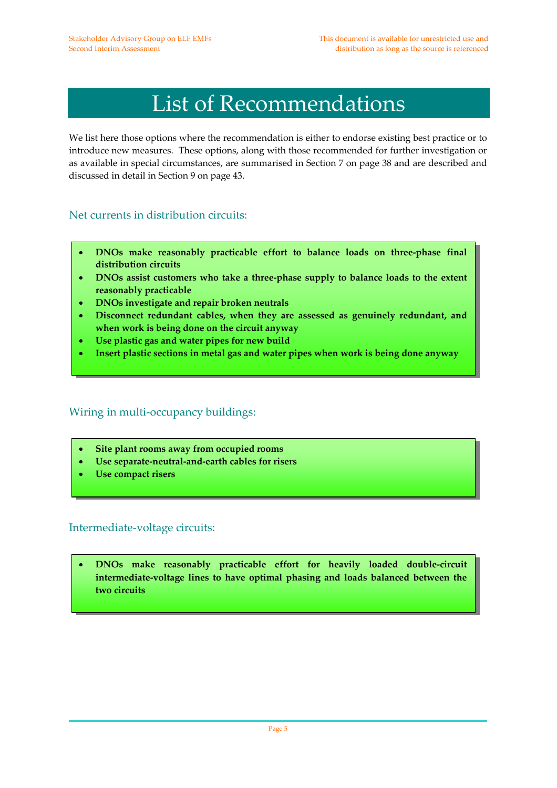# List of Recommendations

We list here those options where the recommendation is either to endorse existing best practice or to introduce new measures. These options, along with those recommended for further investigation or as available in special circumstances, are summarised in Section 7 on page 38 and are described and discussed in detail in Section 9 on page 43.

### Net currents in distribution circuits:

- **DNOs make reasonably practicable effort to balance loads on three‐phase final distribution circuits**
- **DNOs assist customers who take a three‐phase supply to balance loads to the extent reasonably practicable**
- **DNOs investigate and repair broken neutrals**
- **Disconnect redundant cables, when they are assessed as genuinely redundant, and when work is being done on the circuit anyway**
- **Use plastic gas and water pipes for new build**
- **Insert plastic sections in metal gas and water pipes when work is being done anyway**

### Wiring in multi-occupancy buildings:

- **Site plant rooms away from occupied rooms**
- **Use separate‐neutral‐and‐earth cables for risers**
- **Use compact risers**

### Intermediate‐voltage circuits:

• **DNOs make reasonably practicable effort for heavily loaded double‐circuit intermediate‐voltage lines to have optimal phasing and loads balanced between the two circuits**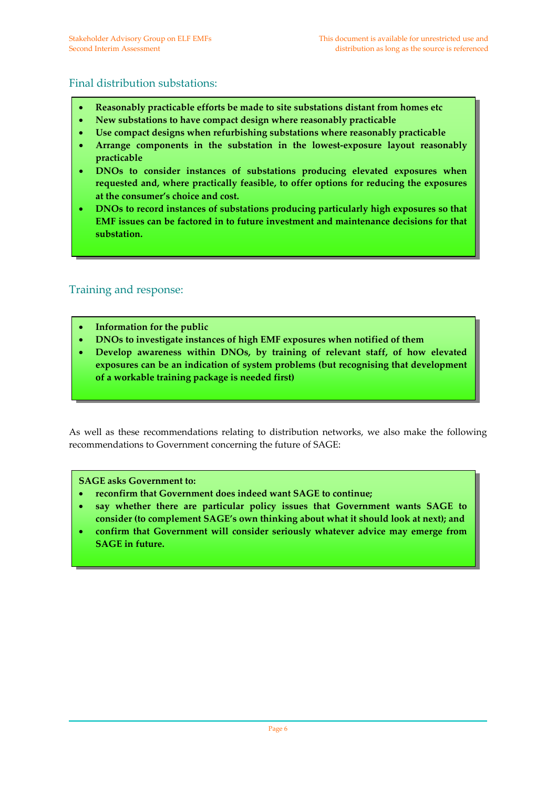### Final distribution substations:

- **Reasonably practicable efforts be made to site substations distant from homes etc**
- **New substations to have compact design where reasonably practicable**
- **Use compact designs when refurbishing substations where reasonably practicable**
- **Arrange components in the substation in the lowest‐exposure layout reasonably practicable**
- **DNOs to consider instances of substations producing elevated exposures when requested and, where practically feasible, to offer options for reducing the exposures at the consumer's choice and cost.**
- **DNOs to record instances of substations producing particularly high exposures so that EMF issues can be factored in to future investment and maintenance decisions for that substation.**

### Training and response:

- **Information for the public**
- **DNOs to investigate instances of high EMF exposures when notified of them**
- **Develop awareness within DNOs, by training of relevant staff, of how elevated exposures can be an indication of system problems (but recognising that development of a workable training package is needed first)**

As well as these recommendations relating to distribution networks, we also make the following recommendations to Government concerning the future of SAGE:

#### **SAGE asks Government to:**

- **reconfirm that Government does indeed want SAGE to continue;**
- **say whether there are particular policy issues that Government wants SAGE to consider (to complement SAGE's own thinking about what it should look at next); and**
- **confirm that Government will consider seriously whatever advice may emerge from SAGE in future.**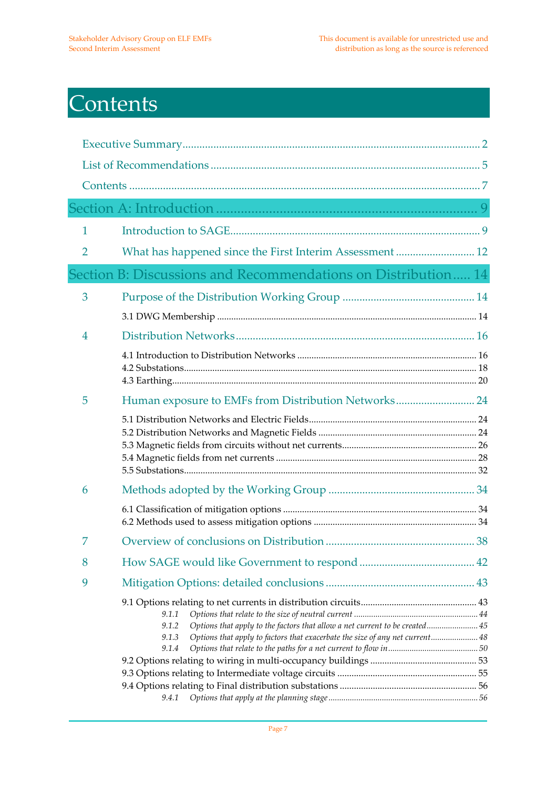# **Contents**

| 1 |                                                                                                                                                                                                          |  |
|---|----------------------------------------------------------------------------------------------------------------------------------------------------------------------------------------------------------|--|
| 2 | What has happened since the First Interim Assessment  12                                                                                                                                                 |  |
|   | Section B: Discussions and Recommendations on Distribution 14                                                                                                                                            |  |
| 3 |                                                                                                                                                                                                          |  |
|   |                                                                                                                                                                                                          |  |
| 4 |                                                                                                                                                                                                          |  |
|   |                                                                                                                                                                                                          |  |
| 5 | Human exposure to EMFs from Distribution Networks 24                                                                                                                                                     |  |
|   |                                                                                                                                                                                                          |  |
| 6 |                                                                                                                                                                                                          |  |
|   |                                                                                                                                                                                                          |  |
| 7 |                                                                                                                                                                                                          |  |
| 8 |                                                                                                                                                                                                          |  |
| 9 |                                                                                                                                                                                                          |  |
|   | 9.1.1<br>Options that apply to the factors that allow a net current to be created 45<br>9.1.2<br>Options that apply to factors that exacerbate the size of any net current 48<br>9.1.3<br>9.1.4<br>9.4.1 |  |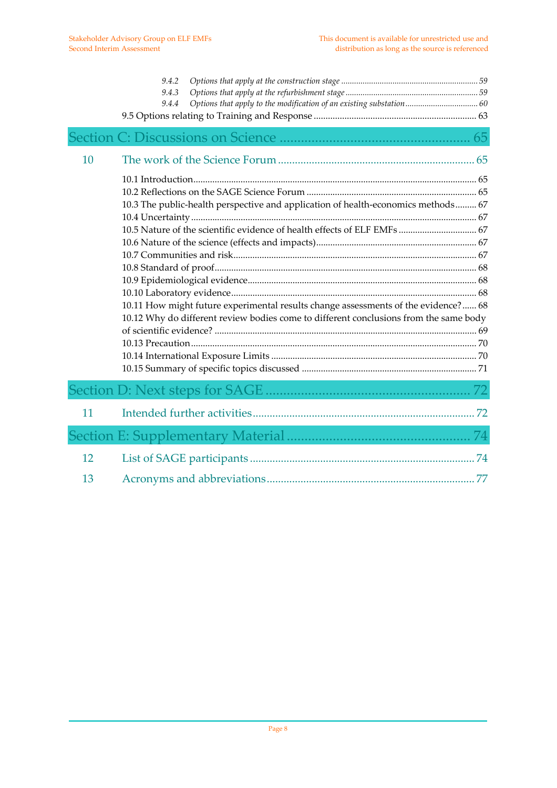|    | 9.4.2<br>9.4.3<br>9.4.4                                                                                                                                                                                                                                                                                                                      |  |
|----|----------------------------------------------------------------------------------------------------------------------------------------------------------------------------------------------------------------------------------------------------------------------------------------------------------------------------------------------|--|
|    |                                                                                                                                                                                                                                                                                                                                              |  |
| 10 |                                                                                                                                                                                                                                                                                                                                              |  |
|    | 10.3 The public-health perspective and application of health-economics methods 67<br>10.5 Nature of the scientific evidence of health effects of ELF EMFs  67<br>10.11 How might future experimental results change assessments of the evidence? 68<br>10.12 Why do different review bodies come to different conclusions from the same body |  |
|    |                                                                                                                                                                                                                                                                                                                                              |  |
| 11 |                                                                                                                                                                                                                                                                                                                                              |  |
|    |                                                                                                                                                                                                                                                                                                                                              |  |
| 12 |                                                                                                                                                                                                                                                                                                                                              |  |
| 13 |                                                                                                                                                                                                                                                                                                                                              |  |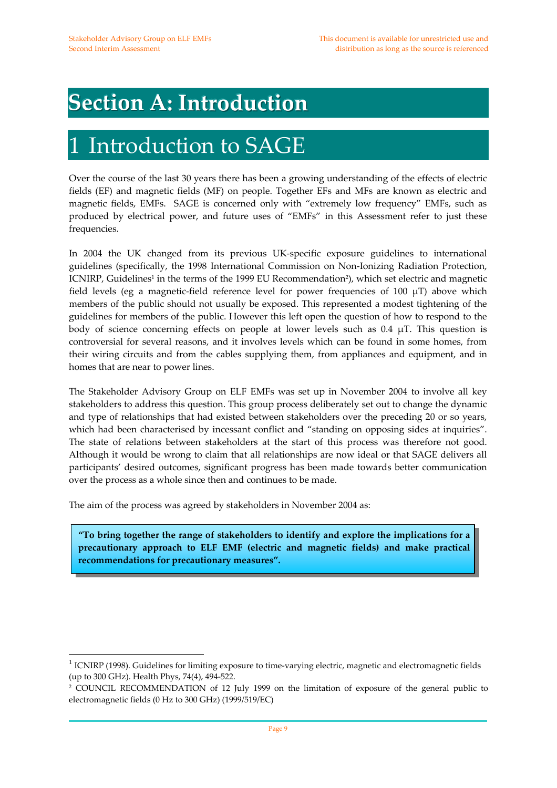## **Section A: Introduction**

## Introduction to SAGE

Over the course of the last 30 years there has been a growing understanding of the effects of electric fields (EF) and magnetic fields (MF) on people. Together EFs and MFs are known as electric and magnetic fields, EMFs. SAGE is concerned only with "extremely low frequency" EMFs, such as produced by electrical power, and future uses of "EMFs" in this Assessment refer to just these frequencies.

In 2004 the UK changed from its previous UK‐specific exposure guidelines to international guidelines (specifically, the 1998 International Commission on Non‐Ionizing Radiation Protection, ICNIRP, Guidelines<sup>1</sup> in the terms of the 1999 EU Recommendation<sup>2</sup>), which set electric and magnetic field levels (eg a magnetic-field reference level for power frequencies of 100  $\mu$ T) above which members of the public should not usually be exposed. This represented a modest tightening of the guidelines for members of the public. However this left open the question of how to respond to the body of science concerning effects on people at lower levels such as 0.4 μT. This question is controversial for several reasons, and it involves levels which can be found in some homes, from their wiring circuits and from the cables supplying them, from appliances and equipment, and in homes that are near to power lines.

The Stakeholder Advisory Group on ELF EMFs was set up in November 2004 to involve all key stakeholders to address this question. This group process deliberately set out to change the dynamic and type of relationships that had existed between stakeholders over the preceding 20 or so years, which had been characterised by incessant conflict and "standing on opposing sides at inquiries". The state of relations between stakeholders at the start of this process was therefore not good. Although it would be wrong to claim that all relationships are now ideal or that SAGE delivers all participants' desired outcomes, significant progress has been made towards better communication over the process as a whole since then and continues to be made.

The aim of the process was agreed by stakeholders in November 2004 as:

 $\overline{a}$ 

**"To bring together the range of stakeholders to identify and explore the implications for a precautionary approach to ELF EMF (electric and magnetic fields) and make practical recommendations for precautionary measures".**

 $<sup>1</sup>$  ICNIRP (1998). Guidelines for limiting exposure to time-varying electric, magnetic and electromagnetic fields</sup> (up to 300 GHz). Health Phys, 74(4), 494‐522.

<sup>2</sup> COUNCIL RECOMMENDATION of 12 July 1999 on the limitation of exposure of the general public to electromagnetic fields (0 Hz to 300 GHz) (1999/519/EC)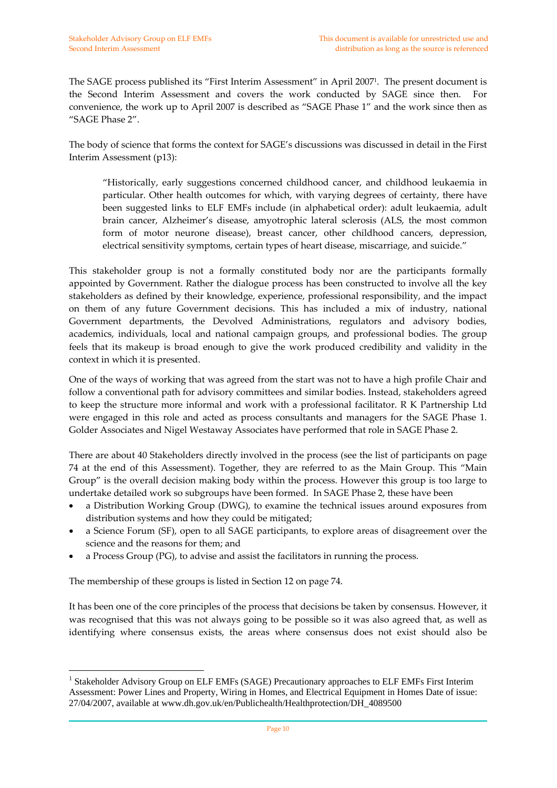The SAGE process published its "First Interim Assessment" in April 20071. The present document is the Second Interim Assessment and covers the work conducted by SAGE since then. For convenience, the work up to April 2007 is described as "SAGE Phase 1" and the work since then as "SAGE Phase 2".

The body of science that forms the context for SAGE's discussions was discussed in detail in the First Interim Assessment (p13):

"Historically, early suggestions concerned childhood cancer, and childhood leukaemia in particular. Other health outcomes for which, with varying degrees of certainty, there have been suggested links to ELF EMFs include (in alphabetical order): adult leukaemia, adult brain cancer, Alzheimer's disease, amyotrophic lateral sclerosis (ALS, the most common form of motor neurone disease), breast cancer, other childhood cancers, depression, electrical sensitivity symptoms, certain types of heart disease, miscarriage, and suicide."

This stakeholder group is not a formally constituted body nor are the participants formally appointed by Government. Rather the dialogue process has been constructed to involve all the key stakeholders as defined by their knowledge, experience, professional responsibility, and the impact on them of any future Government decisions. This has included a mix of industry, national Government departments, the Devolved Administrations, regulators and advisory bodies, academics, individuals, local and national campaign groups, and professional bodies. The group feels that its makeup is broad enough to give the work produced credibility and validity in the context in which it is presented.

One of the ways of working that was agreed from the start was not to have a high profile Chair and follow a conventional path for advisory committees and similar bodies. Instead, stakeholders agreed to keep the structure more informal and work with a professional facilitator. R K Partnership Ltd were engaged in this role and acted as process consultants and managers for the SAGE Phase 1. Golder Associates and Nigel Westaway Associates have performed that role in SAGE Phase 2.

There are about 40 Stakeholders directly involved in the process (see the list of participants on page 74 at the end of this Assessment). Together, they are referred to as the Main Group. This "Main Group" is the overall decision making body within the process. However this group is too large to undertake detailed work so subgroups have been formed. In SAGE Phase 2, these have been

- a Distribution Working Group (DWG), to examine the technical issues around exposures from distribution systems and how they could be mitigated;
- a Science Forum (SF), open to all SAGE participants, to explore areas of disagreement over the science and the reasons for them; and
- a Process Group (PG), to advise and assist the facilitators in running the process.

The membership of these groups is listed in Section 12 on page 74.

 $\overline{a}$ 

It has been one of the core principles of the process that decisions be taken by consensus. However, it was recognised that this was not always going to be possible so it was also agreed that, as well as identifying where consensus exists, the areas where consensus does not exist should also be

<sup>&</sup>lt;sup>1</sup> Stakeholder Advisory Group on ELF EMFs (SAGE) Precautionary approaches to ELF EMFs First Interim Assessment: Power Lines and Property, Wiring in Homes, and Electrical Equipment in Homes Date of issue: 27/04/2007, available at www.dh.gov.uk/en/Publichealth/Healthprotection/DH\_4089500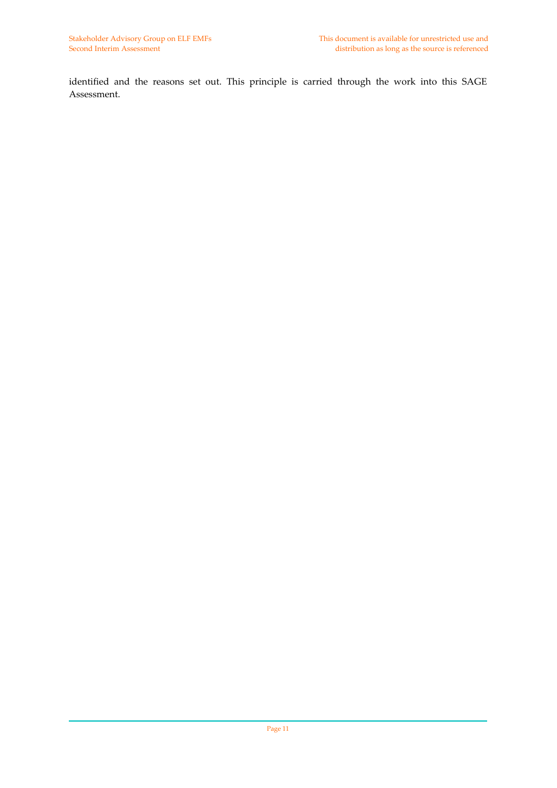identified and the reasons set out. This principle is carried through the work into this SAGE Assessment.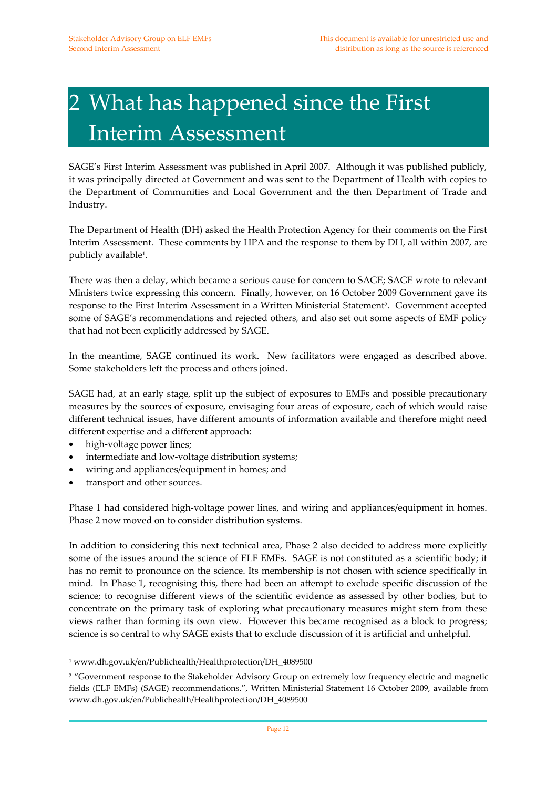# 2 What has happened since the First Interim Assessment

SAGE's First Interim Assessment was published in April 2007. Although it was published publicly, it was principally directed at Government and was sent to the Department of Health with copies to the Department of Communities and Local Government and the then Department of Trade and Industry.

The Department of Health (DH) asked the Health Protection Agency for their comments on the First Interim Assessment. These comments by HPA and the response to them by DH, all within 2007, are publicly available1.

There was then a delay, which became a serious cause for concern to SAGE; SAGE wrote to relevant Ministers twice expressing this concern. Finally, however, on 16 October 2009 Government gave its response to the First Interim Assessment in a Written Ministerial Statement<sup>2</sup>. Government accepted some of SAGE's recommendations and rejected others, and also set out some aspects of EMF policy that had not been explicitly addressed by SAGE.

In the meantime, SAGE continued its work. New facilitators were engaged as described above. Some stakeholders left the process and others joined.

SAGE had, at an early stage, split up the subject of exposures to EMFs and possible precautionary measures by the sources of exposure, envisaging four areas of exposure, each of which would raise different technical issues, have different amounts of information available and therefore might need different expertise and a different approach:

- high-voltage power lines;
- intermediate and low-voltage distribution systems;
- wiring and appliances/equipment in homes; and
- transport and other sources.

 $\overline{a}$ 

Phase 1 had considered high-voltage power lines, and wiring and appliances/equipment in homes. Phase 2 now moved on to consider distribution systems.

In addition to considering this next technical area, Phase 2 also decided to address more explicitly some of the issues around the science of ELF EMFs. SAGE is not constituted as a scientific body; it has no remit to pronounce on the science. Its membership is not chosen with science specifically in mind. In Phase 1, recognising this, there had been an attempt to exclude specific discussion of the science; to recognise different views of the scientific evidence as assessed by other bodies, but to concentrate on the primary task of exploring what precautionary measures might stem from these views rather than forming its own view. However this became recognised as a block to progress; science is so central to why SAGE exists that to exclude discussion of it is artificial and unhelpful.

<sup>1</sup> www.dh.gov.uk/en/Publichealth/Healthprotection/DH\_4089500

<sup>&</sup>lt;sup>2</sup> "Government response to the Stakeholder Advisory Group on extremely low frequency electric and magnetic fields (ELF EMFs) (SAGE) recommendations.", Written Ministerial Statement 16 October 2009, available from www.dh.gov.uk/en/Publichealth/Healthprotection/DH\_4089500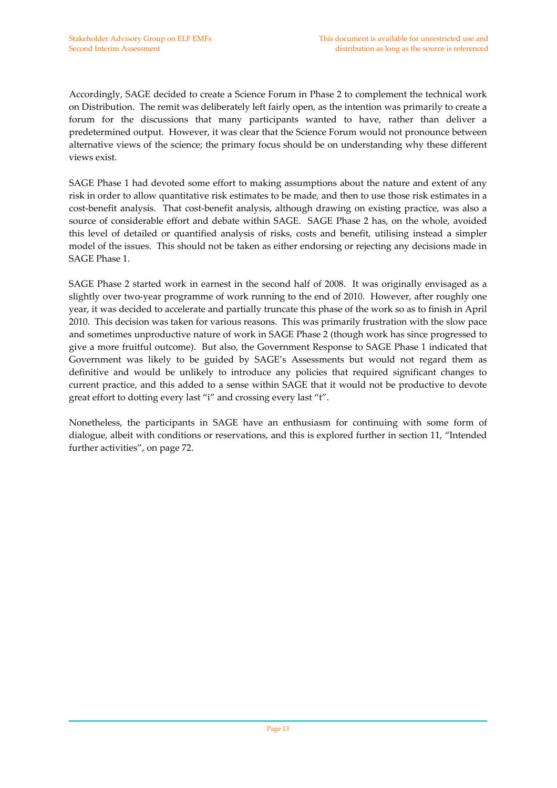Accordingly, SAGE decided to create a Science Forum in Phase 2 to complement the technical work on Distribution. The remit was deliberately left fairly open, as the intention was primarily to create a forum for the discussions that many participants wanted to have, rather than deliver a predetermined output. However, it was clear that the Science Forum would not pronounce between alternative views of the science; the primary focus should be on understanding why these different views exist.

SAGE Phase 1 had devoted some effort to making assumptions about the nature and extent of any risk in order to allow quantitative risk estimates to be made, and then to use those risk estimates in a cost-benefit analysis. That cost-benefit analysis, although drawing on existing practice, was also a source of considerable effort and debate within SAGE. SAGE Phase 2 has, on the whole, avoided this level of detailed or quantified analysis of risks, costs and benefit, utilising instead a simpler model of the issues. This should not be taken as either endorsing or rejecting any decisions made in SAGE Phase 1.

SAGE Phase 2 started work in earnest in the second half of 2008. It was originally envisaged as a slightly over two-year programme of work running to the end of 2010. However, after roughly one year, it was decided to accelerate and partially truncate this phase of the work so as to finish in April 2010. This decision was taken for various reasons. This was primarily frustration with the slow pace and sometimes unproductive nature of work in SAGE Phase 2 (though work has since progressed to give a more fruitful outcome). But also, the Government Response to SAGE Phase 1 indicated that Government was likely to be guided by SAGE's Assessments but would not regard them as definitive and would be unlikely to introduce any policies that required significant changes to current practice, and this added to a sense within SAGE that it would not be productive to devote great effort to dotting every last "i" and crossing every last "t".

Nonetheless, the participants in SAGE have an enthusiasm for continuing with some form of dialogue, albeit with conditions or reservations, and this is explored further in section 11, "Intended further activities", on page 72.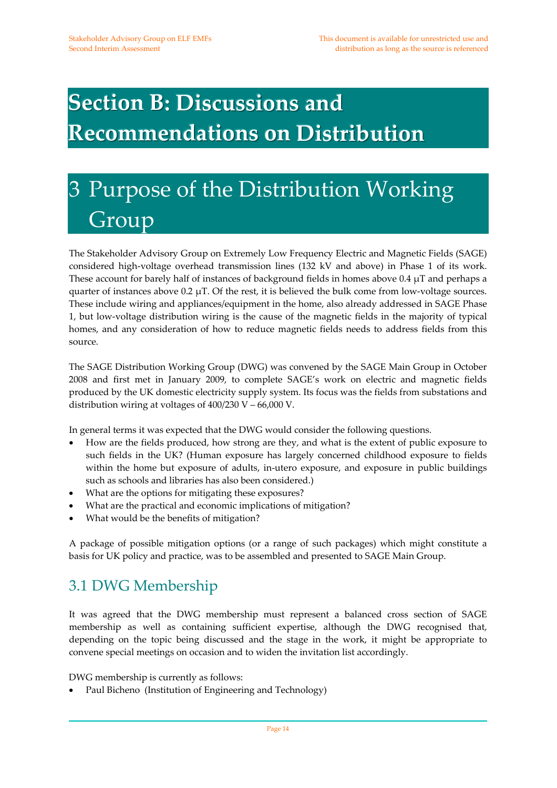# **Section B: Discussions and Recommendations on Distribution**

# 3 Purpose of the Distribution Working Group

The Stakeholder Advisory Group on Extremely Low Frequency Electric and Magnetic Fields (SAGE) considered high-voltage overhead transmission lines (132 kV and above) in Phase 1 of its work. These account for barely half of instances of background fields in homes above  $0.4 \mu$ T and perhaps a quarter of instances above 0.2  $\mu$ T. Of the rest, it is believed the bulk come from low-voltage sources. These include wiring and appliances/equipment in the home, also already addressed in SAGE Phase 1, but low‐voltage distribution wiring is the cause of the magnetic fields in the majority of typical homes, and any consideration of how to reduce magnetic fields needs to address fields from this source.

The SAGE Distribution Working Group (DWG) was convened by the SAGE Main Group in October 2008 and first met in January 2009, to complete SAGE's work on electric and magnetic fields produced by the UK domestic electricity supply system. Its focus was the fields from substations and distribution wiring at voltages of  $400/230$  V –  $66,000$  V.

In general terms it was expected that the DWG would consider the following questions.

- How are the fields produced, how strong are they, and what is the extent of public exposure to such fields in the UK? (Human exposure has largely concerned childhood exposure to fields within the home but exposure of adults, in-utero exposure, and exposure in public buildings such as schools and libraries has also been considered.)
- What are the options for mitigating these exposures?
- What are the practical and economic implications of mitigation?
- What would be the benefits of mitigation?

A package of possible mitigation options (or a range of such packages) which might constitute a basis for UK policy and practice, was to be assembled and presented to SAGE Main Group.

## 3.1 DWG Membership

It was agreed that the DWG membership must represent a balanced cross section of SAGE membership as well as containing sufficient expertise, although the DWG recognised that, depending on the topic being discussed and the stage in the work, it might be appropriate to convene special meetings on occasion and to widen the invitation list accordingly.

DWG membership is currently as follows:

• Paul Bicheno (Institution of Engineering and Technology)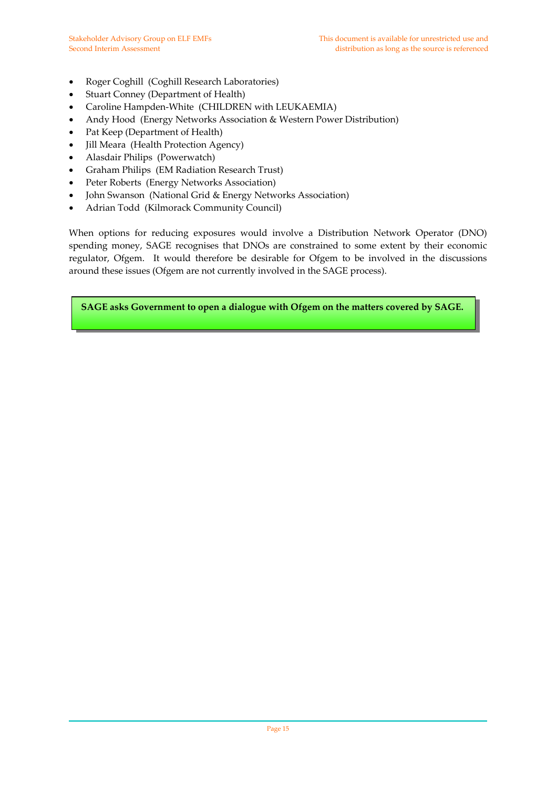- Roger Coghill (Coghill Research Laboratories)
- Stuart Conney (Department of Health)
- Caroline Hampden-White (CHILDREN with LEUKAEMIA)
- Andy Hood (Energy Networks Association & Western Power Distribution)
- Pat Keep (Department of Health)
- Jill Meara (Health Protection Agency)
- Alasdair Philips (Powerwatch)
- Graham Philips (EM Radiation Research Trust)
- Peter Roberts (Energy Networks Association)
- John Swanson (National Grid & Energy Networks Association)
- Adrian Todd (Kilmorack Community Council)

When options for reducing exposures would involve a Distribution Network Operator (DNO) spending money, SAGE recognises that DNOs are constrained to some extent by their economic regulator, Ofgem. It would therefore be desirable for Ofgem to be involved in the discussions around these issues (Ofgem are not currently involved in the SAGE process).

**SAGE asks Government to open a dialogue with Ofgem on the matters covered by SAGE.**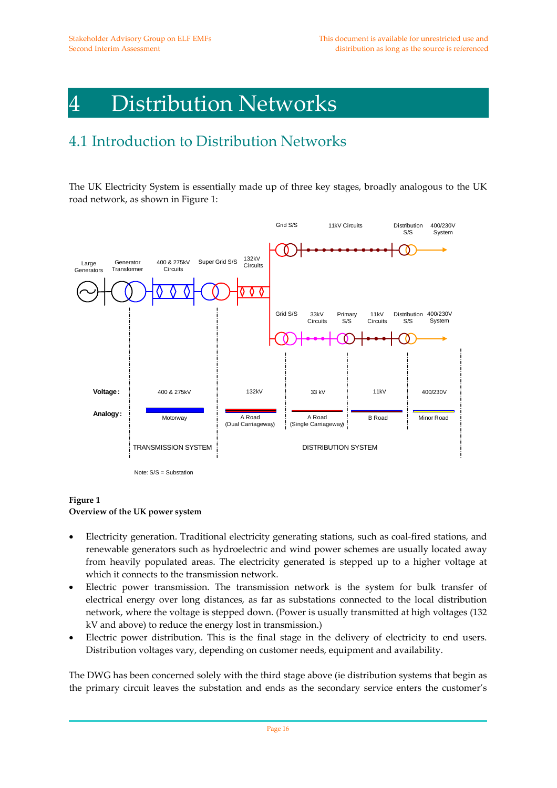## 4 Distribution Networks

## 4.1 Introduction to Distribution Networks

The UK Electricity System is essentially made up of three key stages, broadly analogous to the UK road network, as shown in Figure 1:



#### **Figure 1**

#### **Overview of the UK power system**

- Electricity generation. Traditional electricity generating stations, such as coal‐fired stations, and renewable generators such as hydroelectric and wind power schemes are usually located away from heavily populated areas. The electricity generated is stepped up to a higher voltage at which it connects to the transmission network.
- Electric power transmission. The transmission network is the system for bulk transfer of electrical energy over long distances, as far as substations connected to the local distribution network, where the voltage is stepped down. (Power is usually transmitted at high voltages (132 kV and above) to reduce the energy lost in transmission.)
- Electric power distribution. This is the final stage in the delivery of electricity to end users. Distribution voltages vary, depending on customer needs, equipment and availability.

The DWG has been concerned solely with the third stage above (ie distribution systems that begin as the primary circuit leaves the substation and ends as the secondary service enters the customer's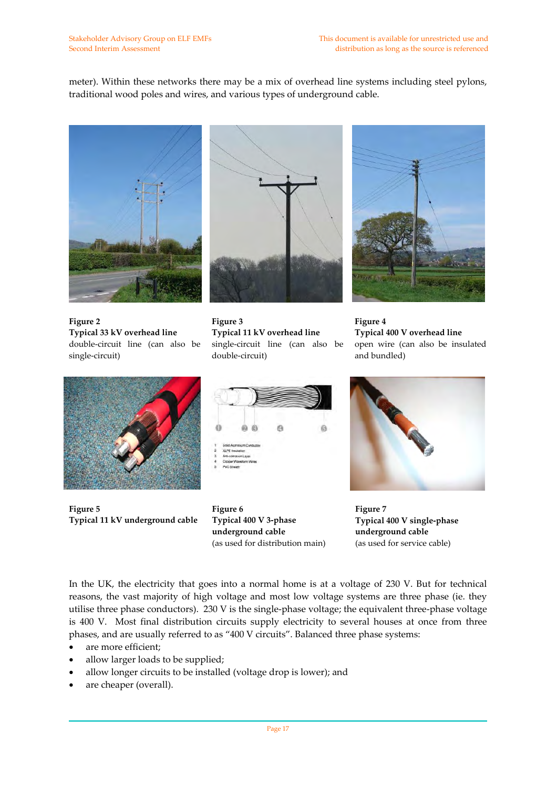meter). Within these networks there may be a mix of overhead line systems including steel pylons, traditional wood poles and wires, and various types of underground cable.



**Figure 2 Typical 33 kV overhead line** double‐circuit line (can also be single‐circuit)



**Figure 3 Typical 11 kV overhead line** single‐circuit line (can also be double‐circuit)



**Figure 4 Typical 400 V overhead line** open wire (can also be insulated and bundled)



**Figure 5 Typical 11 kV underground cable**



**Figure 6 Typical 400 V 3‐phase underground cable** (as used for distribution main)



**Figure 7 Typical 400 V single‐phase underground cable** (as used for service cable)

In the UK, the electricity that goes into a normal home is at a voltage of 230 V. But for technical reasons, the vast majority of high voltage and most low voltage systems are three phase (ie. they utilise three phase conductors). 230 V is the single‐phase voltage; the equivalent three‐phase voltage is 400 V. Most final distribution circuits supply electricity to several houses at once from three phases, and are usually referred to as "400 V circuits". Balanced three phase systems:

- are more efficient;
- allow larger loads to be supplied;
- allow longer circuits to be installed (voltage drop is lower); and
- are cheaper (overall).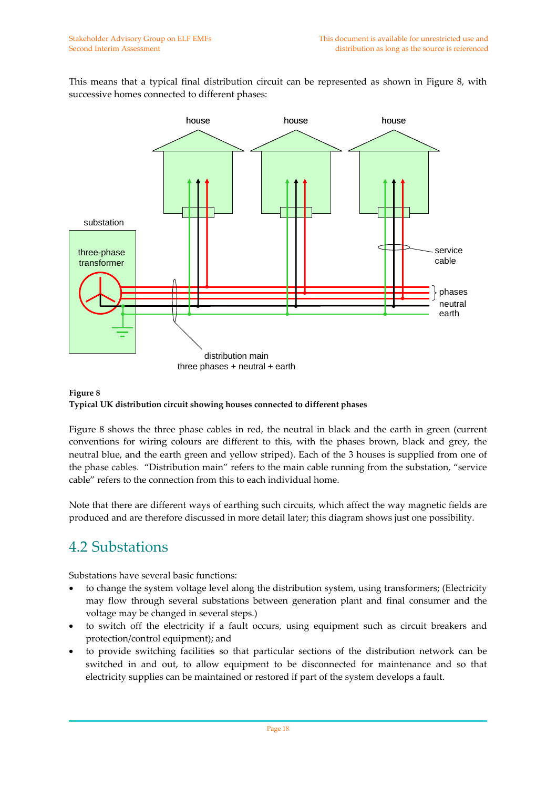This means that a typical final distribution circuit can be represented as shown in Figure 8, with successive homes connected to different phases:



### **Figure 8 Typical UK distribution circuit showing houses connected to different phases**

Figure 8 shows the three phase cables in red, the neutral in black and the earth in green (current conventions for wiring colours are different to this, with the phases brown, black and grey, the neutral blue, and the earth green and yellow striped). Each of the 3 houses is supplied from one of the phase cables. "Distribution main" refers to the main cable running from the substation, "service cable" refers to the connection from this to each individual home.

Note that there are different ways of earthing such circuits, which affect the way magnetic fields are produced and are therefore discussed in more detail later; this diagram shows just one possibility.

## 4.2 Substations

Substations have several basic functions:

- to change the system voltage level along the distribution system, using transformers; (Electricity may flow through several substations between generation plant and final consumer and the voltage may be changed in several steps.)
- to switch off the electricity if a fault occurs, using equipment such as circuit breakers and protection/control equipment); and
- to provide switching facilities so that particular sections of the distribution network can be switched in and out, to allow equipment to be disconnected for maintenance and so that electricity supplies can be maintained or restored if part of the system develops a fault.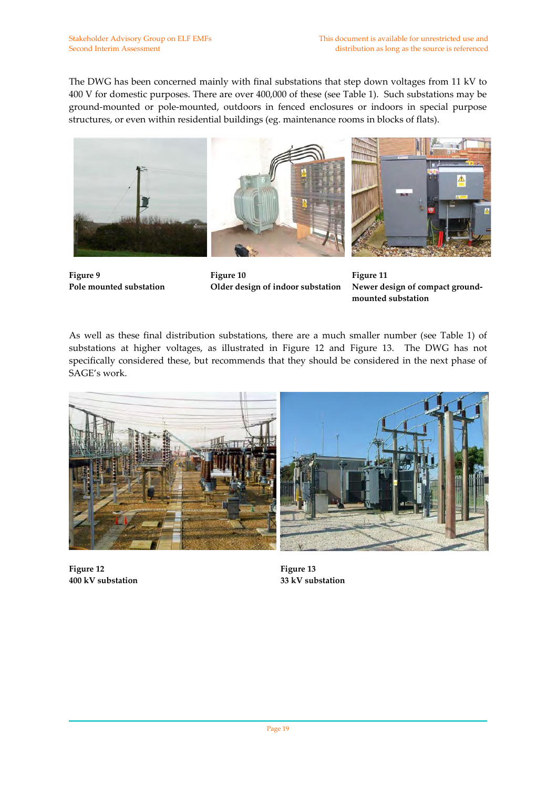The DWG has been concerned mainly with final substations that step down voltages from 11 kV to 400 V for domestic purposes. There are over 400,000 of these (see Table 1). Such substations may be ground‐mounted or pole‐mounted, outdoors in fenced enclosures or indoors in special purpose structures, or even within residential buildings (eg. maintenance rooms in blocks of flats).



**Figure 9 Pole mounted substation**

**Figure 10 Older design of indoor substation** 

**Figure 11 Newer design of compact ground‐ mounted substation**

As well as these final distribution substations, there are a much smaller number (see Table 1) of substations at higher voltages, as illustrated in Figure 12 and Figure 13. The DWG has not specifically considered these, but recommends that they should be considered in the next phase of SAGE's work.



**Figure 12 400 kV substation**

**Figure 13 33 kV substation**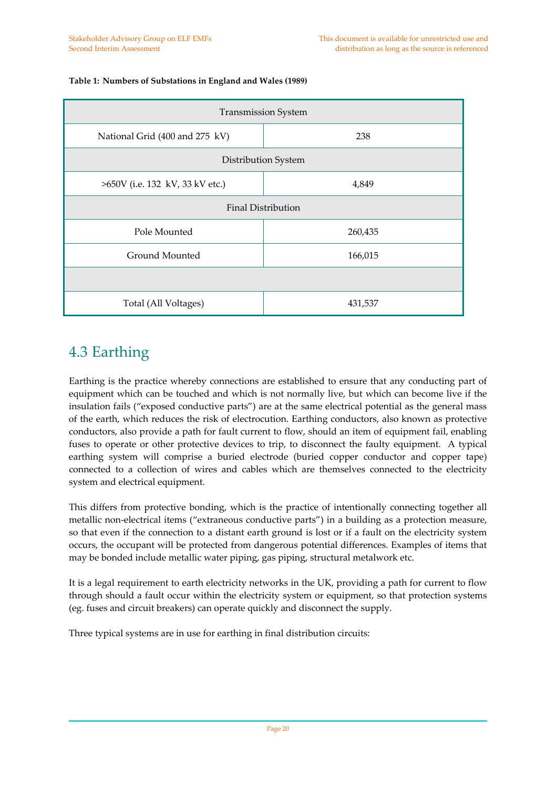| <b>Transmission System</b>      |         |  |  |
|---------------------------------|---------|--|--|
| National Grid (400 and 275 kV)  | 238     |  |  |
| Distribution System             |         |  |  |
| >650V (i.e. 132 kV, 33 kV etc.) | 4,849   |  |  |
| Final Distribution              |         |  |  |
| Pole Mounted                    | 260,435 |  |  |
| Ground Mounted                  | 166,015 |  |  |
|                                 |         |  |  |
| Total (All Voltages)            | 431,537 |  |  |

#### **Table 1: Numbers of Substations in England and Wales (1989)**

### 4.3 Earthing

Earthing is the practice whereby connections are established to ensure that any conducting part of equipment which can be touched and which is not normally live, but which can become live if the insulation fails ("exposed conductive parts") are at the same electrical potential as the general mass of the earth, which reduces the risk of electrocution. Earthing conductors, also known as protective conductors, also provide a path for fault current to flow, should an item of equipment fail, enabling fuses to operate or other protective devices to trip, to disconnect the faulty equipment. A typical earthing system will comprise a buried electrode (buried copper conductor and copper tape) connected to a collection of wires and cables which are themselves connected to the electricity system and electrical equipment.

This differs from protective bonding, which is the practice of intentionally connecting together all metallic non-electrical items ("extraneous conductive parts") in a building as a protection measure, so that even if the connection to a distant earth ground is lost or if a fault on the electricity system occurs, the occupant will be protected from dangerous potential differences. Examples of items that may be bonded include metallic water piping, gas piping, structural metalwork etc.

It is a legal requirement to earth electricity networks in the UK, providing a path for current to flow through should a fault occur within the electricity system or equipment, so that protection systems (eg. fuses and circuit breakers) can operate quickly and disconnect the supply.

Three typical systems are in use for earthing in final distribution circuits: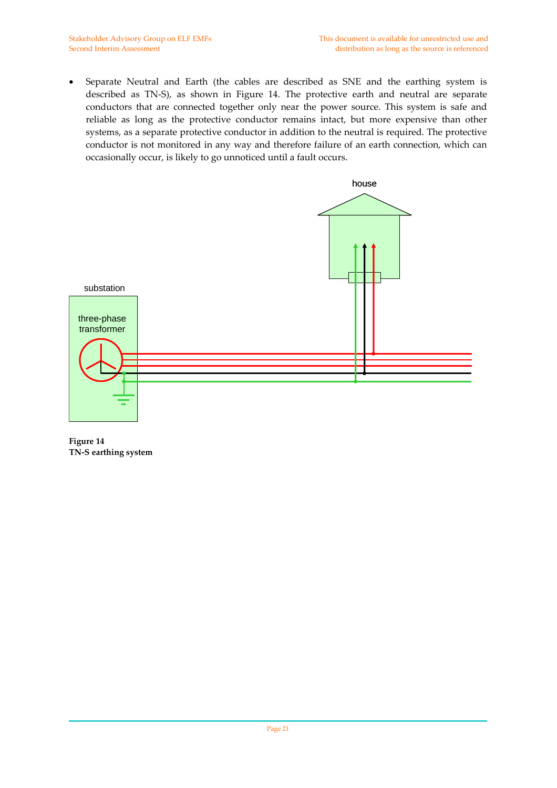• Separate Neutral and Earth (the cables are described as SNE and the earthing system is described as TN‐S), as shown in Figure 14. The protective earth and neutral are separate conductors that are connected together only near the power source. This system is safe and reliable as long as the protective conductor remains intact, but more expensive than other systems, as a separate protective conductor in addition to the neutral is required. The protective conductor is not monitored in any way and therefore failure of an earth connection, which can occasionally occur, is likely to go unnoticed until a fault occurs.



**Figure 14 TN‐S earthing system**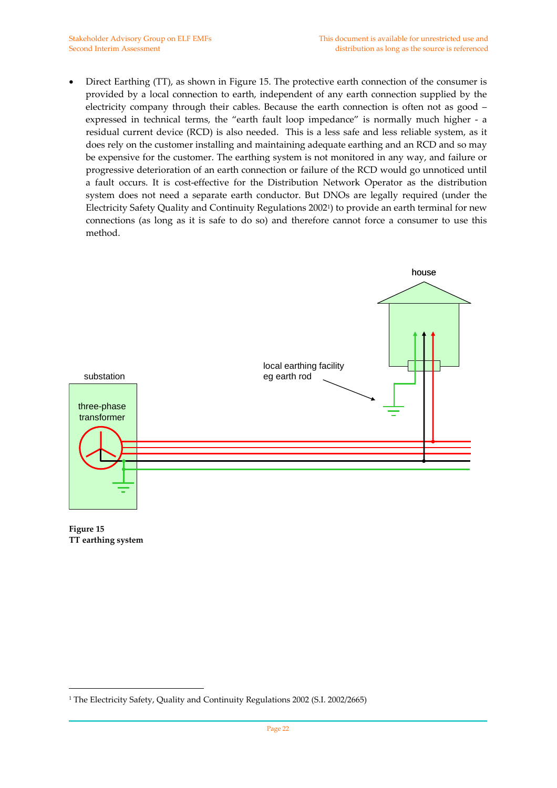• Direct Earthing (TT), as shown in Figure 15. The protective earth connection of the consumer is provided by a local connection to earth, independent of any earth connection supplied by the electricity company through their cables. Because the earth connection is often not as good – expressed in technical terms, the "earth fault loop impedance" is normally much higher - a residual current device (RCD) is also needed. This is a less safe and less reliable system, as it does rely on the customer installing and maintaining adequate earthing and an RCD and so may be expensive for the customer. The earthing system is not monitored in any way, and failure or progressive deterioration of an earth connection or failure of the RCD would go unnoticed until a fault occurs. It is cost-effective for the Distribution Network Operator as the distribution system does not need a separate earth conductor. But DNOs are legally required (under the Electricity Safety Quality and Continuity Regulations 20021) to provide an earth terminal for new connections (as long as it is safe to do so) and therefore cannot force a consumer to use this method.



**Figure 15 TT earthing system**

 $\overline{a}$ 

<sup>&</sup>lt;sup>1</sup> The Electricity Safety, Quality and Continuity Regulations 2002 (S.I. 2002/2665)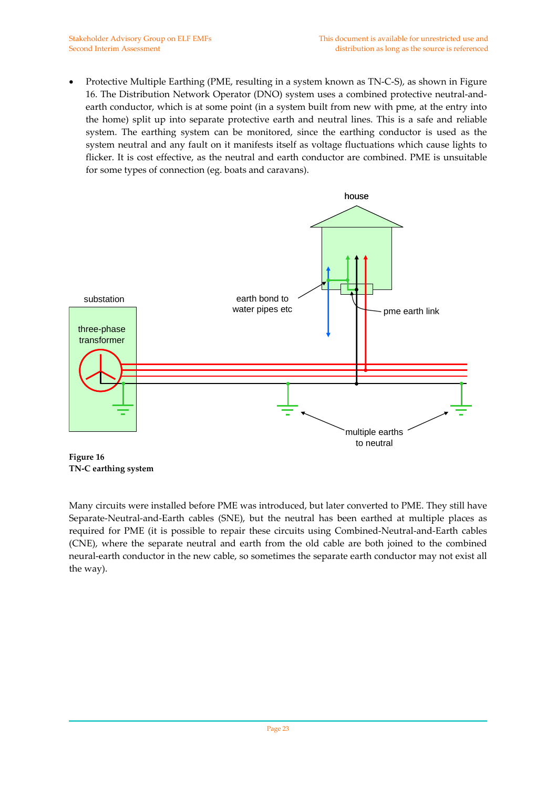• Protective Multiple Earthing (PME, resulting in a system known as TN‐C‐S), as shown in Figure 16. The Distribution Network Operator (DNO) system uses a combined protective neutral‐and‐ earth conductor, which is at some point (in a system built from new with pme, at the entry into the home) split up into separate protective earth and neutral lines. This is a safe and reliable system. The earthing system can be monitored, since the earthing conductor is used as the system neutral and any fault on it manifests itself as voltage fluctuations which cause lights to flicker. It is cost effective, as the neutral and earth conductor are combined. PME is unsuitable for some types of connection (eg. boats and caravans).



**Figure 16 TN‐C earthing system**

Many circuits were installed before PME was introduced, but later converted to PME. They still have Separate‐Neutral‐and‐Earth cables (SNE), but the neutral has been earthed at multiple places as required for PME (it is possible to repair these circuits using Combined‐Neutral‐and‐Earth cables (CNE), where the separate neutral and earth from the old cable are both joined to the combined neural‐earth conductor in the new cable, so sometimes the separate earth conductor may not exist all the way).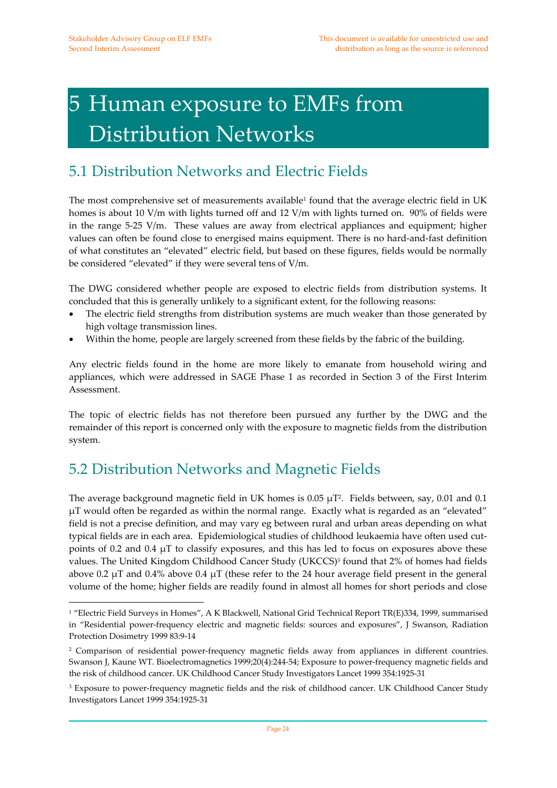# 5 Human exposure to EMFs from Distribution Networks

## 5.1 Distribution Networks and Electric Fields

The most comprehensive set of measurements available<sup>1</sup> found that the average electric field in UK homes is about 10 V/m with lights turned off and 12 V/m with lights turned on. 90% of fields were in the range 5-25 V/m. These values are away from electrical appliances and equipment; higher values can often be found close to energised mains equipment. There is no hard-and-fast definition of what constitutes an "elevated" electric field, but based on these figures, fields would be normally be considered "elevated" if they were several tens of V/m.

The DWG considered whether people are exposed to electric fields from distribution systems. It concluded that this is generally unlikely to a significant extent, for the following reasons:

- The electric field strengths from distribution systems are much weaker than those generated by high voltage transmission lines.
- Within the home, people are largely screened from these fields by the fabric of the building.

Any electric fields found in the home are more likely to emanate from household wiring and appliances, which were addressed in SAGE Phase 1 as recorded in Section 3 of the First Interim Assessment.

The topic of electric fields has not therefore been pursued any further by the DWG and the remainder of this report is concerned only with the exposure to magnetic fields from the distribution system.

## 5.2 Distribution Networks and Magnetic Fields

 $\overline{a}$ 

The average background magnetic field in UK homes is  $0.05 \mu T^2$ . Fields between, say, 0.01 and 0.1 μT would often be regarded as within the normal range. Exactly what is regarded as an "elevated" field is not a precise definition, and may vary eg between rural and urban areas depending on what typical fields are in each area. Epidemiological studies of childhood leukaemia have often used cutpoints of 0.2 and 0.4  $\mu$ T to classify exposures, and this has led to focus on exposures above these values. The United Kingdom Childhood Cancer Study (UKCCS)<sup>3</sup> found that 2% of homes had fields above 0.2  $\mu$ T and 0.4% above 0.4  $\mu$ T (these refer to the 24 hour average field present in the general volume of the home; higher fields are readily found in almost all homes for short periods and close

<sup>1</sup> "Electric Field Surveys in Homes", A K Blackwell, National Grid Technical Report TR(E)334, 1999, summarised in "Residential power-frequency electric and magnetic fields: sources and exposures", J Swanson, Radiation Protection Dosimetry 1999 83:9‐14

<sup>2</sup> Comparison of residential power‐frequency magnetic fields away from appliances in different countries. Swanson J, Kaune WT. Bioelectromagnetics 1999;20(4):244‐54; Exposure to power‐frequency magnetic fields and the risk of childhood cancer. UK Childhood Cancer Study Investigators Lancet 1999 354:1925-31

<sup>&</sup>lt;sup>3</sup> Exposure to power-frequency magnetic fields and the risk of childhood cancer. UK Childhood Cancer Study Investigators Lancet 1999 354:1925‐31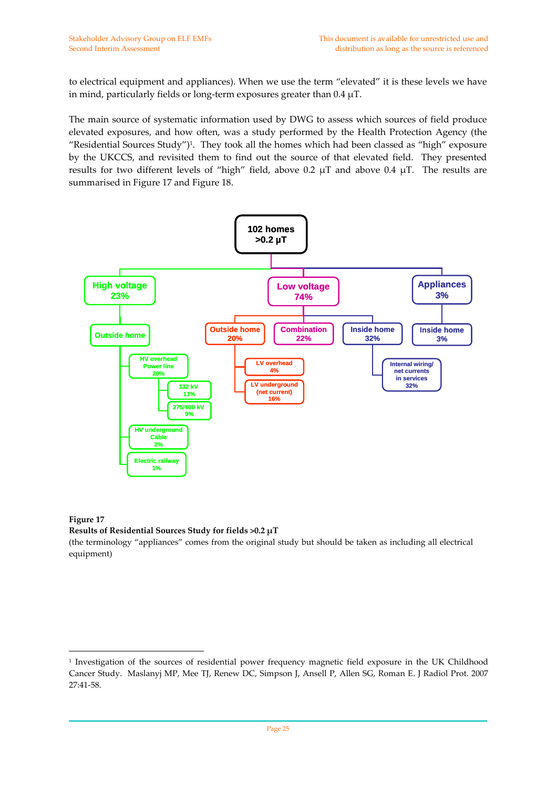to electrical equipment and appliances). When we use the term "elevated" it is these levels we have in mind, particularly fields or long-term exposures greater than  $0.4 \mu T$ .

The main source of systematic information used by DWG to assess which sources of field produce elevated exposures, and how often, was a study performed by the Health Protection Agency (the "Residential Sources Study")1. They took all the homes which had been classed as "high" exposure by the UKCCS, and revisited them to find out the source of that elevated field. They presented results for two different levels of "high" field, above 0.2  $\mu$ T and above 0.4  $\mu$ T. The results are summarised in Figure 17 and Figure 18.



#### **Figure 17**

 $\overline{a}$ 

#### **Results of Residential Sources Study for fields >0.2 μT**

(the terminology "appliances" comes from the original study but should be taken as including all electrical equipment)

<sup>1</sup> Investigation of the sources of residential power frequency magnetic field exposure in the UK Childhood Cancer Study. Maslanyj MP, Mee TJ, Renew DC, Simpson J, Ansell P, Allen SG, Roman E. J Radiol Prot. 2007 27:41‐58.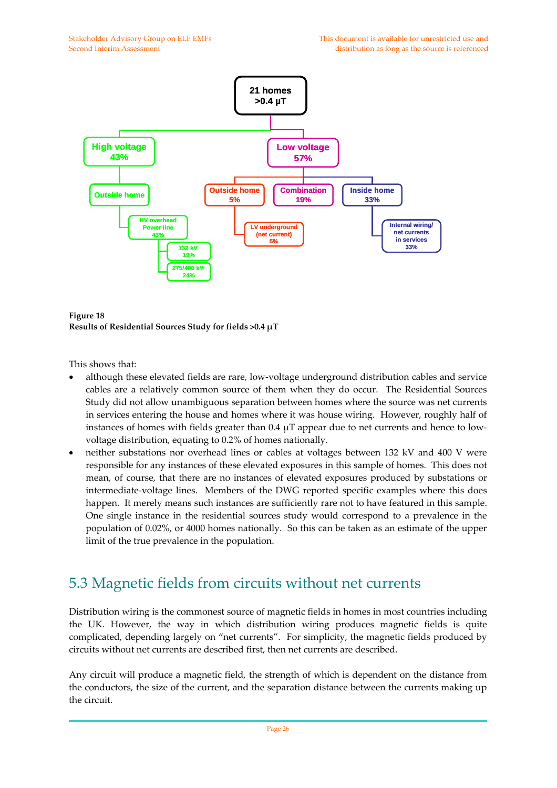

**Figure 18 Results of Residential Sources Study for fields >0.4 μT**

This shows that:

- although these elevated fields are rare, low‐voltage underground distribution cables and service cables are a relatively common source of them when they do occur. The Residential Sources Study did not allow unambiguous separation between homes where the source was net currents in services entering the house and homes where it was house wiring. However, roughly half of instances of homes with fields greater than  $0.4 \mu T$  appear due to net currents and hence to lowvoltage distribution, equating to 0.2% of homes nationally.
- neither substations nor overhead lines or cables at voltages between 132 kV and 400 V were responsible for any instances of these elevated exposures in this sample of homes. This does not mean, of course, that there are no instances of elevated exposures produced by substations or intermediate-voltage lines. Members of the DWG reported specific examples where this does happen. It merely means such instances are sufficiently rare not to have featured in this sample. One single instance in the residential sources study would correspond to a prevalence in the population of 0.02%, or 4000 homes nationally. So this can be taken as an estimate of the upper limit of the true prevalence in the population.

### 5.3 Magnetic fields from circuits without net currents

Distribution wiring is the commonest source of magnetic fields in homes in most countries including the UK. However, the way in which distribution wiring produces magnetic fields is quite complicated, depending largely on "net currents". For simplicity, the magnetic fields produced by circuits without net currents are described first, then net currents are described.

Any circuit will produce a magnetic field, the strength of which is dependent on the distance from the conductors, the size of the current, and the separation distance between the currents making up the circuit.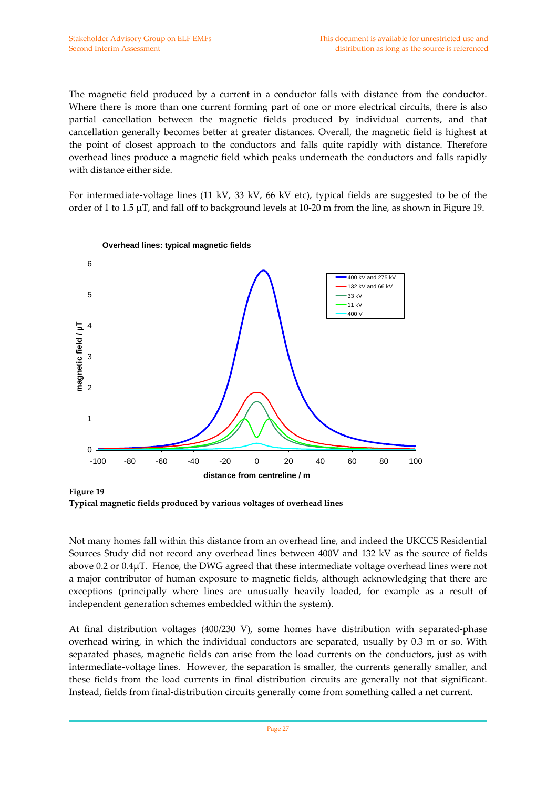The magnetic field produced by a current in a conductor falls with distance from the conductor. Where there is more than one current forming part of one or more electrical circuits, there is also partial cancellation between the magnetic fields produced by individual currents, and that cancellation generally becomes better at greater distances. Overall, the magnetic field is highest at the point of closest approach to the conductors and falls quite rapidly with distance. Therefore overhead lines produce a magnetic field which peaks underneath the conductors and falls rapidly with distance either side.

For intermediate‐voltage lines (11 kV, 33 kV, 66 kV etc), typical fields are suggested to be of the order of 1 to 1.5  $\mu$ T, and fall off to background levels at 10-20 m from the line, as shown in Figure 19.



**Overhead lines: typical magnetic fields**

**Figure 19 Typical magnetic fields produced by various voltages of overhead lines**

Not many homes fall within this distance from an overhead line, and indeed the UKCCS Residential Sources Study did not record any overhead lines between 400V and 132 kV as the source of fields above 0.2 or 0.4μT. Hence, the DWG agreed that these intermediate voltage overhead lines were not a major contributor of human exposure to magnetic fields, although acknowledging that there are exceptions (principally where lines are unusually heavily loaded, for example as a result of independent generation schemes embedded within the system).

At final distribution voltages (400/230 V), some homes have distribution with separated‐phase overhead wiring, in which the individual conductors are separated, usually by 0.3 m or so. With separated phases, magnetic fields can arise from the load currents on the conductors, just as with intermediate‐voltage lines. However, the separation is smaller, the currents generally smaller, and these fields from the load currents in final distribution circuits are generally not that significant. Instead, fields from final‐distribution circuits generally come from something called a net current.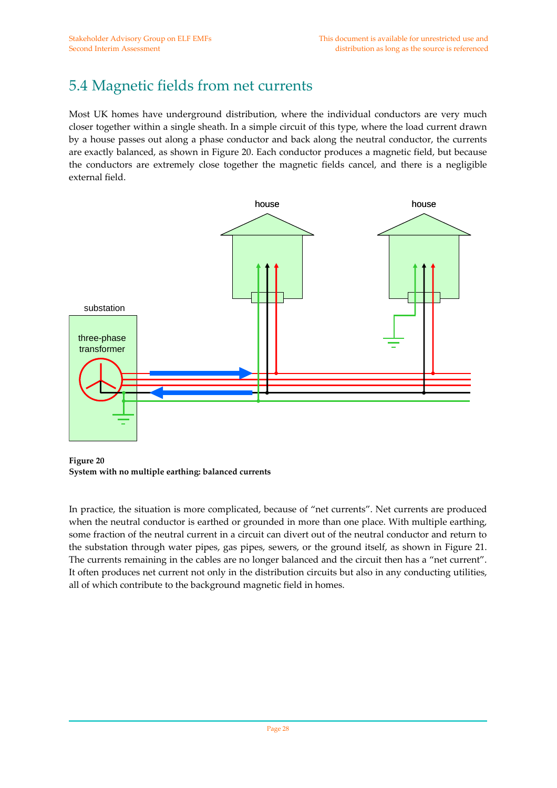### 5.4 Magnetic fields from net currents

Most UK homes have underground distribution, where the individual conductors are very much closer together within a single sheath. In a simple circuit of this type, where the load current drawn by a house passes out along a phase conductor and back along the neutral conductor, the currents are exactly balanced, as shown in Figure 20. Each conductor produces a magnetic field, but because the conductors are extremely close together the magnetic fields cancel, and there is a negligible external field.



**Figure 20 System with no multiple earthing: balanced currents**

In practice, the situation is more complicated, because of "net currents". Net currents are produced when the neutral conductor is earthed or grounded in more than one place. With multiple earthing, some fraction of the neutral current in a circuit can divert out of the neutral conductor and return to the substation through water pipes, gas pipes, sewers, or the ground itself, as shown in Figure 21. The currents remaining in the cables are no longer balanced and the circuit then has a "net current". It often produces net current not only in the distribution circuits but also in any conducting utilities, all of which contribute to the background magnetic field in homes.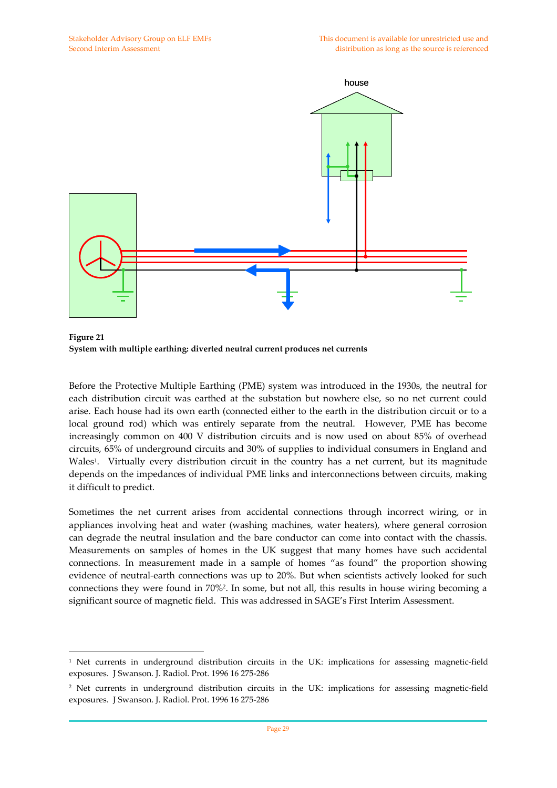$\overline{a}$ 



**Figure 21 System with multiple earthing: diverted neutral current produces net currents**

Before the Protective Multiple Earthing (PME) system was introduced in the 1930s, the neutral for each distribution circuit was earthed at the substation but nowhere else, so no net current could arise. Each house had its own earth (connected either to the earth in the distribution circuit or to a local ground rod) which was entirely separate from the neutral. However, PME has become increasingly common on 400 V distribution circuits and is now used on about 85% of overhead circuits, 65% of underground circuits and 30% of supplies to individual consumers in England and Wales<sup>1</sup>. Virtually every distribution circuit in the country has a net current, but its magnitude depends on the impedances of individual PME links and interconnections between circuits, making it difficult to predict.

Sometimes the net current arises from accidental connections through incorrect wiring, or in appliances involving heat and water (washing machines, water heaters), where general corrosion can degrade the neutral insulation and the bare conductor can come into contact with the chassis. Measurements on samples of homes in the UK suggest that many homes have such accidental connections. In measurement made in a sample of homes "as found" the proportion showing evidence of neutral‐earth connections was up to 20%. But when scientists actively looked for such connections they were found in 70%2. In some, but not all, this results in house wiring becoming a significant source of magnetic field. This was addressed in SAGE's First Interim Assessment.

<sup>1</sup> Net currents in underground distribution circuits in the UK: implications for assessing magnetic‐field exposures. J Swanson. J. Radiol. Prot. 1996 16 275‐286

<sup>&</sup>lt;sup>2</sup> Net currents in underground distribution circuits in the UK: implications for assessing magnetic-field exposures. J Swanson. J. Radiol. Prot. 1996 16 275‐286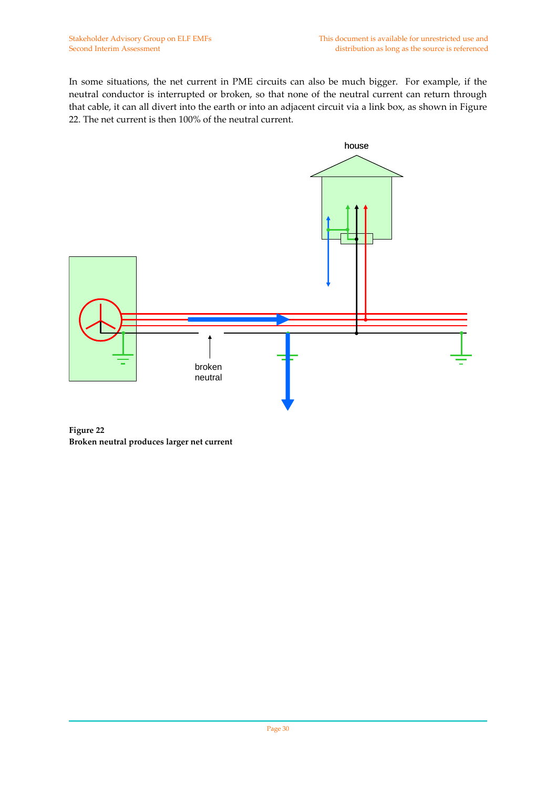In some situations, the net current in PME circuits can also be much bigger. For example, if the neutral conductor is interrupted or broken, so that none of the neutral current can return through that cable, it can all divert into the earth or into an adjacent circuit via a link box, as shown in Figure 22. The net current is then 100% of the neutral current.



**Figure 22 Broken neutral produces larger net current**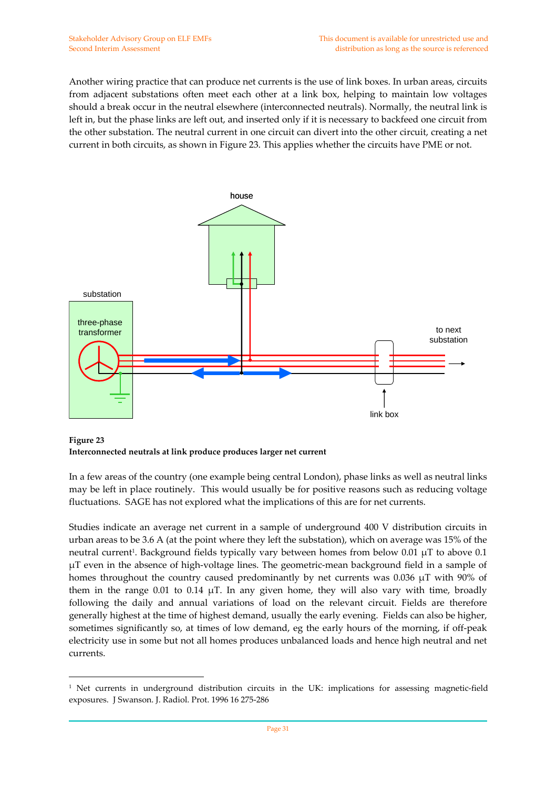Another wiring practice that can produce net currents is the use of link boxes. In urban areas, circuits from adjacent substations often meet each other at a link box, helping to maintain low voltages should a break occur in the neutral elsewhere (interconnected neutrals). Normally, the neutral link is left in, but the phase links are left out, and inserted only if it is necessary to backfeed one circuit from the other substation. The neutral current in one circuit can divert into the other circuit, creating a net current in both circuits, as shown in Figure 23. This applies whether the circuits have PME or not.



**Figure 23 Interconnected neutrals at link produce produces larger net current**

 $\overline{a}$ 

In a few areas of the country (one example being central London), phase links as well as neutral links may be left in place routinely. This would usually be for positive reasons such as reducing voltage fluctuations. SAGE has not explored what the implications of this are for net currents.

Studies indicate an average net current in a sample of underground 400 V distribution circuits in urban areas to be 3.6 A (at the point where they left the substation), which on average was 15% of the neutral current<sup>1</sup>. Background fields typically vary between homes from below 0.01  $\mu$ T to above 0.1 μT even in the absence of high‐voltage lines. The geometric‐mean background field in a sample of homes throughout the country caused predominantly by net currents was 0.036 μT with 90% of them in the range 0.01 to 0.14  $\mu$ T. In any given home, they will also vary with time, broadly following the daily and annual variations of load on the relevant circuit. Fields are therefore generally highest at the time of highest demand, usually the early evening. Fields can also be higher, sometimes significantly so, at times of low demand, eg the early hours of the morning, if off-peak electricity use in some but not all homes produces unbalanced loads and hence high neutral and net currents.

<sup>&</sup>lt;sup>1</sup> Net currents in underground distribution circuits in the UK: implications for assessing magnetic-field exposures. J Swanson. J. Radiol. Prot. 1996 16 275‐286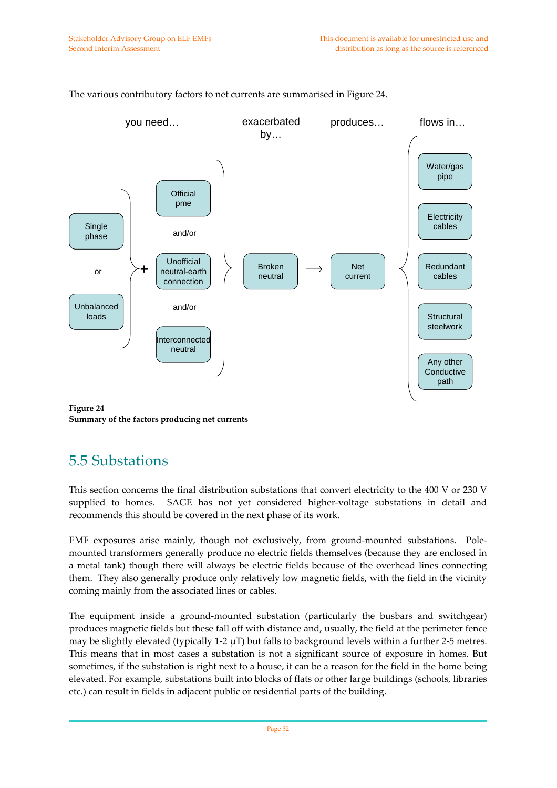

The various contributory factors to net currents are summarised in Figure 24.

**Figure 24 Summary of the factors producing net currents**

### 5.5 Substations

This section concerns the final distribution substations that convert electricity to the 400 V or 230 V supplied to homes. SAGE has not yet considered higher-voltage substations in detail and recommends this should be covered in the next phase of its work.

EMF exposures arise mainly, though not exclusively, from ground-mounted substations. Polemounted transformers generally produce no electric fields themselves (because they are enclosed in a metal tank) though there will always be electric fields because of the overhead lines connecting them. They also generally produce only relatively low magnetic fields, with the field in the vicinity coming mainly from the associated lines or cables.

The equipment inside a ground‐mounted substation (particularly the busbars and switchgear) produces magnetic fields but these fall off with distance and, usually, the field at the perimeter fence may be slightly elevated (typically  $1-2 \mu T$ ) but falls to background levels within a further 2-5 metres. This means that in most cases a substation is not a significant source of exposure in homes. But sometimes, if the substation is right next to a house, it can be a reason for the field in the home being elevated. For example, substations built into blocks of flats or other large buildings (schools, libraries etc.) can result in fields in adjacent public or residential parts of the building.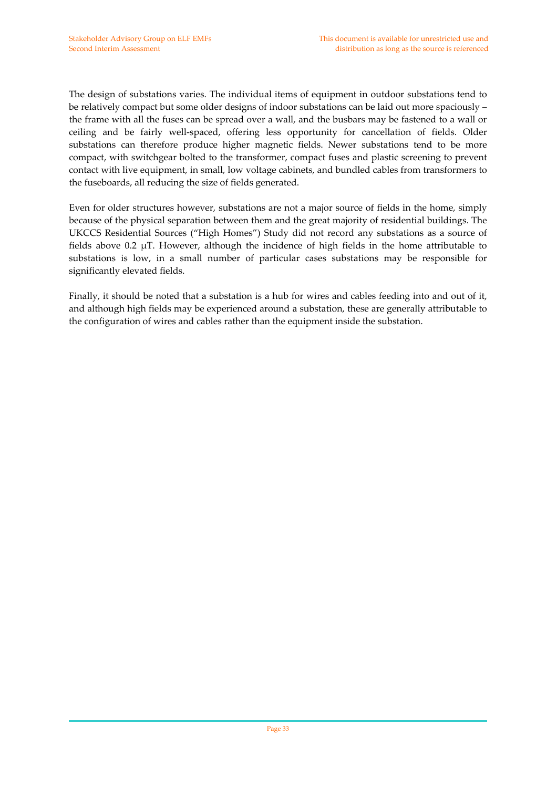The design of substations varies. The individual items of equipment in outdoor substations tend to be relatively compact but some older designs of indoor substations can be laid out more spaciously – the frame with all the fuses can be spread over a wall, and the busbars may be fastened to a wall or ceiling and be fairly well-spaced, offering less opportunity for cancellation of fields. Older substations can therefore produce higher magnetic fields. Newer substations tend to be more compact, with switchgear bolted to the transformer, compact fuses and plastic screening to prevent contact with live equipment, in small, low voltage cabinets, and bundled cables from transformers to the fuseboards, all reducing the size of fields generated.

Even for older structures however, substations are not a major source of fields in the home, simply because of the physical separation between them and the great majority of residential buildings. The UKCCS Residential Sources ("High Homes") Study did not record any substations as a source of fields above 0.2  $\mu$ T. However, although the incidence of high fields in the home attributable to substations is low, in a small number of particular cases substations may be responsible for significantly elevated fields.

Finally, it should be noted that a substation is a hub for wires and cables feeding into and out of it, and although high fields may be experienced around a substation, these are generally attributable to the configuration of wires and cables rather than the equipment inside the substation.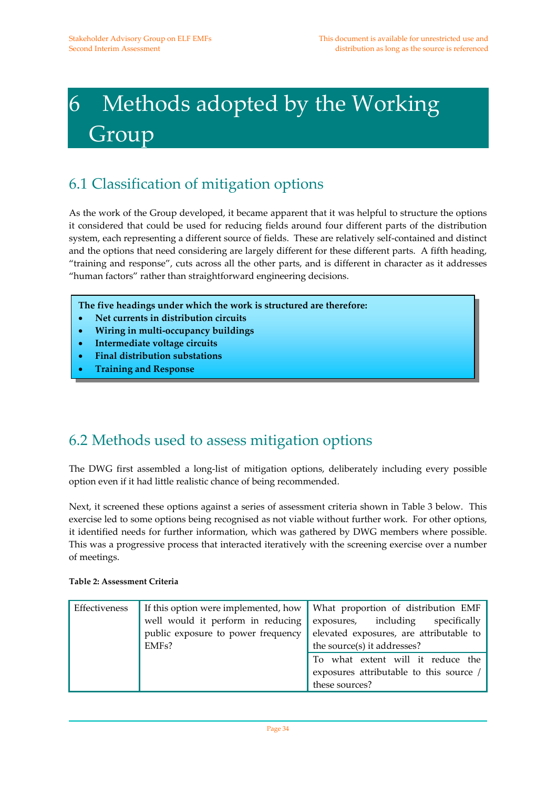# 6 Methods adopted by the Working Group

## 6.1 Classification of mitigation options

As the work of the Group developed, it became apparent that it was helpful to structure the options it considered that could be used for reducing fields around four different parts of the distribution system, each representing a different source of fields. These are relatively self-contained and distinct and the options that need considering are largely different for these different parts. A fifth heading, "training and response", cuts across all the other parts, and is different in character as it addresses "human factors" rather than straightforward engineering decisions.

**The five headings under which the work is structured are therefore:**

- **Net currents in distribution circuits**
- **Wiring in multi‐occupancy buildings**
- **Intermediate voltage circuits**
- **Final distribution substations**
- **Training and Response**

### 6.2 Methods used to assess mitigation options

The DWG first assembled a long‐list of mitigation options, deliberately including every possible option even if it had little realistic chance of being recommended.

Next, it screened these options against a series of assessment criteria shown in Table 3 below. This exercise led to some options being recognised as not viable without further work. For other options, it identified needs for further information, which was gathered by DWG members where possible. This was a progressive process that interacted iteratively with the screening exercise over a number of meetings.

| Effectiveness |                                    | If this option were implemented, how What proportion of distribution EMF |  |
|---------------|------------------------------------|--------------------------------------------------------------------------|--|
|               | well would it perform in reducing  | exposures, including specifically                                        |  |
|               | public exposure to power frequency | elevated exposures, are attributable to                                  |  |
|               | EMF <sub>s</sub> ?                 | the source(s) it addresses?                                              |  |
|               |                                    | To what extent will it reduce the                                        |  |
|               |                                    | exposures attributable to this source /                                  |  |
|               |                                    | these sources?                                                           |  |

#### **Table 2: Assessment Criteria**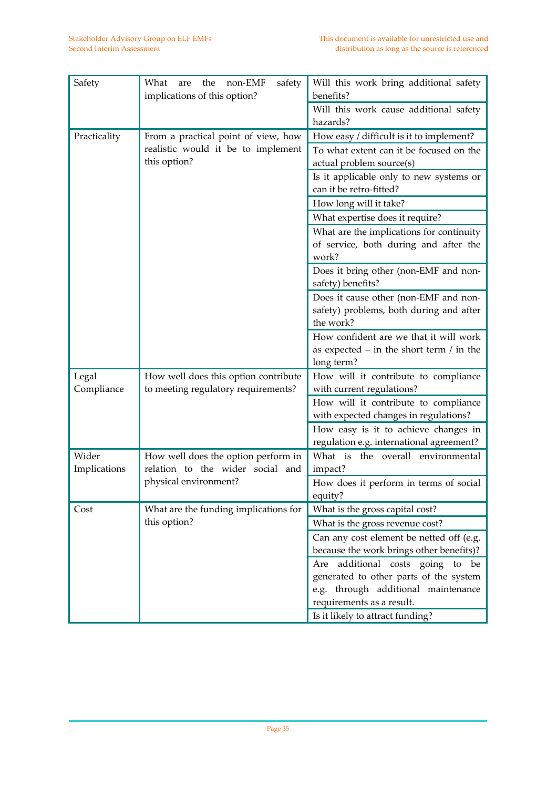| Safety       | What<br>safety<br>the<br>non-EMF<br>are | Will this work bring additional safety     |
|--------------|-----------------------------------------|--------------------------------------------|
|              | implications of this option?            | benefits?                                  |
|              |                                         | Will this work cause additional safety     |
|              |                                         | hazards?                                   |
| Practicality | From a practical point of view, how     | How easy / difficult is it to implement?   |
|              | realistic would it be to implement      | To what extent can it be focused on the    |
|              | this option?                            | actual problem source(s)                   |
|              |                                         | Is it applicable only to new systems or    |
|              |                                         | can it be retro-fitted?                    |
|              |                                         | How long will it take?                     |
|              |                                         | What expertise does it require?            |
|              |                                         | What are the implications for continuity   |
|              |                                         | of service, both during and after the      |
|              |                                         | work?                                      |
|              |                                         | Does it bring other (non-EMF and non-      |
|              |                                         | safety) benefits?                          |
|              |                                         | Does it cause other (non-EMF and non-      |
|              |                                         | safety) problems, both during and after    |
|              |                                         | the work?                                  |
|              |                                         | How confident are we that it will work     |
|              |                                         | as expected $-$ in the short term / in the |
|              |                                         | long term?                                 |
| Legal        | How well does this option contribute    | How will it contribute to compliance       |
| Compliance   | to meeting regulatory requirements?     | with current regulations?                  |
|              |                                         | How will it contribute to compliance       |
|              |                                         | with expected changes in regulations?      |
|              |                                         | How easy is it to achieve changes in       |
|              |                                         | regulation e.g. international agreement?   |
| Wider        | How well does the option perform in     | What is the overall environmental          |
| Implications | relation to the wider social and        | impact?                                    |
|              | physical environment?                   | How does it perform in terms of social     |
|              |                                         | equity?                                    |
| Cost         | What are the funding implications for   | What is the gross capital cost?            |
|              | this option?                            | What is the gross revenue cost?            |
|              |                                         | Can any cost element be netted off (e.g.   |
|              |                                         | because the work brings other benefits)?   |
|              |                                         | additional costs going<br>be<br>to<br>Are  |
|              |                                         | generated to other parts of the system     |
|              |                                         | e.g. through additional maintenance        |
|              |                                         | requirements as a result.                  |
|              |                                         | Is it likely to attract funding?           |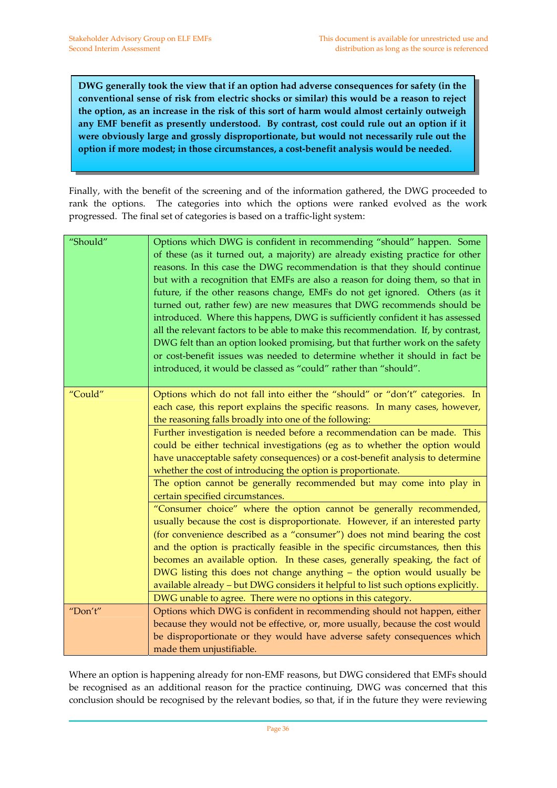**DWG generally took the view that if an option had adverse consequences for safety (in the conventional sense of risk from electric shocks or similar) this would be a reason to reject the option, as an increase in the risk of this sort of harm would almost certainly outweigh any EMF benefit as presently understood. By contrast, cost could rule out an option if it were obviously large and grossly disproportionate, but would not necessarily rule out the option if more modest; in those circumstances, a cost‐benefit analysis would be needed.**

Finally, with the benefit of the screening and of the information gathered, the DWG proceeded to rank the options. The categories into which the options were ranked evolved as the work progressed. The final set of categories is based on a traffic‐light system:

| "Should" | Options which DWG is confident in recommending "should" happen. Some<br>of these (as it turned out, a majority) are already existing practice for other<br>reasons. In this case the DWG recommendation is that they should continue<br>but with a recognition that EMFs are also a reason for doing them, so that in<br>future, if the other reasons change, EMFs do not get ignored. Others (as it<br>turned out, rather few) are new measures that DWG recommends should be<br>introduced. Where this happens, DWG is sufficiently confident it has assessed<br>all the relevant factors to be able to make this recommendation. If, by contrast,<br>DWG felt than an option looked promising, but that further work on the safety<br>or cost-benefit issues was needed to determine whether it should in fact be<br>introduced, it would be classed as "could" rather than "should". |
|----------|------------------------------------------------------------------------------------------------------------------------------------------------------------------------------------------------------------------------------------------------------------------------------------------------------------------------------------------------------------------------------------------------------------------------------------------------------------------------------------------------------------------------------------------------------------------------------------------------------------------------------------------------------------------------------------------------------------------------------------------------------------------------------------------------------------------------------------------------------------------------------------------|
| "Could"  | Options which do not fall into either the "should" or "don't" categories. In<br>each case, this report explains the specific reasons. In many cases, however,<br>the reasoning falls broadly into one of the following:<br>Further investigation is needed before a recommendation can be made. This                                                                                                                                                                                                                                                                                                                                                                                                                                                                                                                                                                                     |
|          | could be either technical investigations (eg as to whether the option would<br>have unacceptable safety consequences) or a cost-benefit analysis to determine<br>whether the cost of introducing the option is proportionate.                                                                                                                                                                                                                                                                                                                                                                                                                                                                                                                                                                                                                                                            |
|          | The option cannot be generally recommended but may come into play in<br>certain specified circumstances.                                                                                                                                                                                                                                                                                                                                                                                                                                                                                                                                                                                                                                                                                                                                                                                 |
|          | "Consumer choice" where the option cannot be generally recommended,<br>usually because the cost is disproportionate. However, if an interested party<br>(for convenience described as a "consumer") does not mind bearing the cost<br>and the option is practically feasible in the specific circumstances, then this<br>becomes an available option. In these cases, generally speaking, the fact of<br>DWG listing this does not change anything - the option would usually be<br>available already - but DWG considers it helpful to list such options explicitly.                                                                                                                                                                                                                                                                                                                    |
| "Don't"  | DWG unable to agree. There were no options in this category.                                                                                                                                                                                                                                                                                                                                                                                                                                                                                                                                                                                                                                                                                                                                                                                                                             |
|          | Options which DWG is confident in recommending should not happen, either<br>because they would not be effective, or, more usually, because the cost would<br>be disproportionate or they would have adverse safety consequences which<br>made them unjustifiable.                                                                                                                                                                                                                                                                                                                                                                                                                                                                                                                                                                                                                        |

Where an option is happening already for non-EMF reasons, but DWG considered that EMFs should be recognised as an additional reason for the practice continuing, DWG was concerned that this conclusion should be recognised by the relevant bodies, so that, if in the future they were reviewing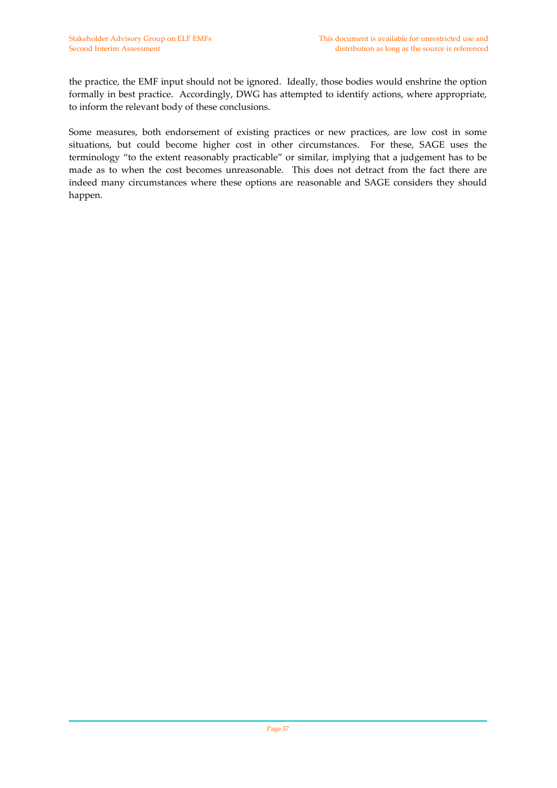the practice, the EMF input should not be ignored. Ideally, those bodies would enshrine the option formally in best practice. Accordingly, DWG has attempted to identify actions, where appropriate, to inform the relevant body of these conclusions.

Some measures, both endorsement of existing practices or new practices, are low cost in some situations, but could become higher cost in other circumstances. For these, SAGE uses the terminology "to the extent reasonably practicable" or similar, implying that a judgement has to be made as to when the cost becomes unreasonable. This does not detract from the fact there are indeed many circumstances where these options are reasonable and SAGE considers they should happen.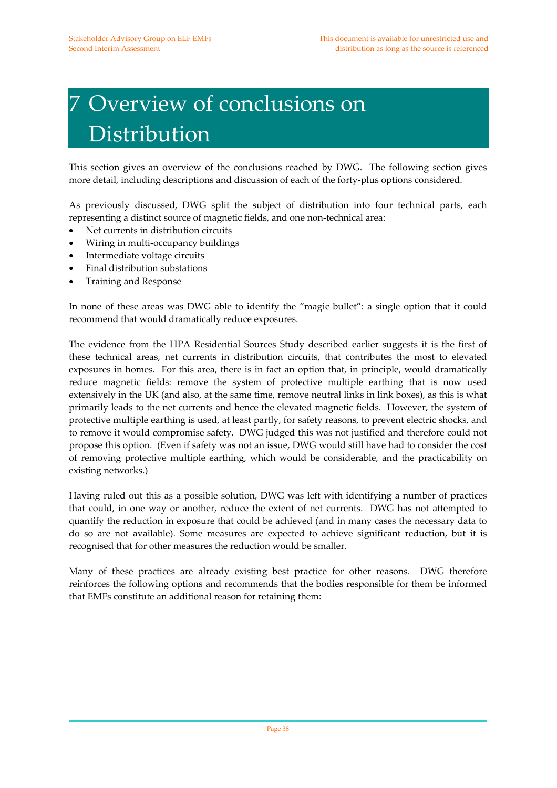# 7 Overview of conclusions on Distribution

This section gives an overview of the conclusions reached by DWG. The following section gives more detail, including descriptions and discussion of each of the forty‐plus options considered.

As previously discussed, DWG split the subject of distribution into four technical parts, each representing a distinct source of magnetic fields, and one non‐technical area:

- Net currents in distribution circuits
- Wiring in multi-occupancy buildings
- Intermediate voltage circuits
- Final distribution substations
- Training and Response

In none of these areas was DWG able to identify the "magic bullet": a single option that it could recommend that would dramatically reduce exposures.

The evidence from the HPA Residential Sources Study described earlier suggests it is the first of these technical areas, net currents in distribution circuits, that contributes the most to elevated exposures in homes. For this area, there is in fact an option that, in principle, would dramatically reduce magnetic fields: remove the system of protective multiple earthing that is now used extensively in the UK (and also, at the same time, remove neutral links in link boxes), as this is what primarily leads to the net currents and hence the elevated magnetic fields. However, the system of protective multiple earthing is used, at least partly, for safety reasons, to prevent electric shocks, and to remove it would compromise safety. DWG judged this was not justified and therefore could not propose this option. (Even if safety was not an issue, DWG would still have had to consider the cost of removing protective multiple earthing, which would be considerable, and the practicability on existing networks.)

Having ruled out this as a possible solution, DWG was left with identifying a number of practices that could, in one way or another, reduce the extent of net currents. DWG has not attempted to quantify the reduction in exposure that could be achieved (and in many cases the necessary data to do so are not available). Some measures are expected to achieve significant reduction, but it is recognised that for other measures the reduction would be smaller.

Many of these practices are already existing best practice for other reasons. DWG therefore reinforces the following options and recommends that the bodies responsible for them be informed that EMFs constitute an additional reason for retaining them: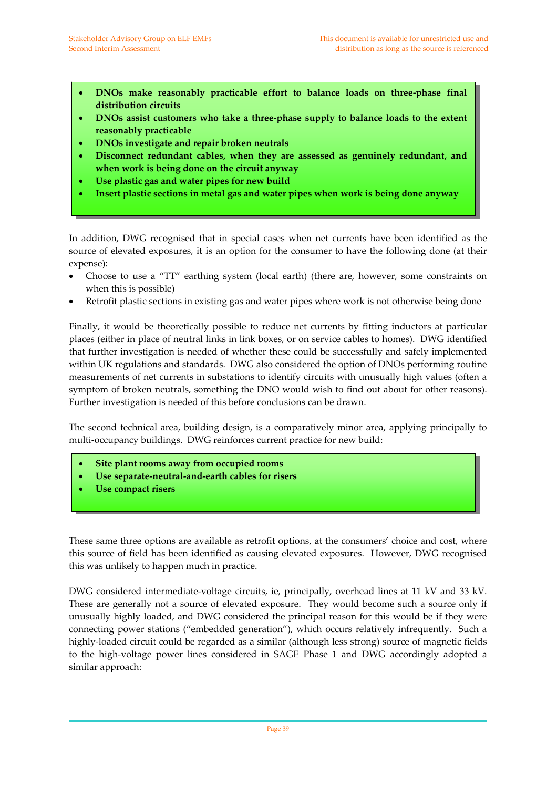- **DNOs make reasonably practicable effort to balance loads on three‐phase final distribution circuits**
- **DNOs assist customers who take a three‐phase supply to balance loads to the extent reasonably practicable**
- **DNOs investigate and repair broken neutrals**
- **Disconnect redundant cables, when they are assessed as genuinely redundant, and when work is being done on the circuit anyway**
- **Use plastic gas and water pipes for new build**
- **Insert plastic sections in metal gas and water pipes when work is being done anyway**

In addition, DWG recognised that in special cases when net currents have been identified as the source of elevated exposures, it is an option for the consumer to have the following done (at their expense):

- Choose to use a "TT" earthing system (local earth) (there are, however, some constraints on when this is possible)
- Retrofit plastic sections in existing gas and water pipes where work is not otherwise being done

Finally, it would be theoretically possible to reduce net currents by fitting inductors at particular places (either in place of neutral links in link boxes, or on service cables to homes). DWG identified that further investigation is needed of whether these could be successfully and safely implemented within UK regulations and standards. DWG also considered the option of DNOs performing routine measurements of net currents in substations to identify circuits with unusually high values (often a symptom of broken neutrals, something the DNO would wish to find out about for other reasons). Further investigation is needed of this before conclusions can be drawn.

The second technical area, building design, is a comparatively minor area, applying principally to multi-occupancy buildings. DWG reinforces current practice for new build:

- **Site plant rooms away from occupied rooms**
- **Use separate‐neutral‐and‐earth cables for risers**
- **Use compact risers**

These same three options are available as retrofit options, at the consumers' choice and cost, where this source of field has been identified as causing elevated exposures. However, DWG recognised this was unlikely to happen much in practice.

DWG considered intermediate‐voltage circuits, ie, principally, overhead lines at 11 kV and 33 kV. These are generally not a source of elevated exposure. They would become such a source only if unusually highly loaded, and DWG considered the principal reason for this would be if they were connecting power stations ("embedded generation"), which occurs relatively infrequently. Such a highly-loaded circuit could be regarded as a similar (although less strong) source of magnetic fields to the high‐voltage power lines considered in SAGE Phase 1 and DWG accordingly adopted a similar approach: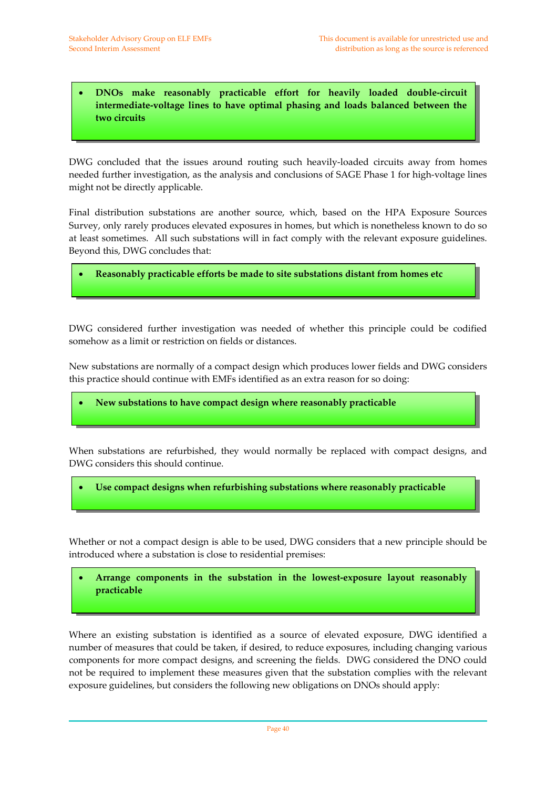• **DNOs make reasonably practicable effort for heavily loaded double‐circuit intermediate‐voltage lines to have optimal phasing and loads balanced between the two circuits**

DWG concluded that the issues around routing such heavily‐loaded circuits away from homes needed further investigation, as the analysis and conclusions of SAGE Phase 1 for high-voltage lines might not be directly applicable.

Final distribution substations are another source, which, based on the HPA Exposure Sources Survey, only rarely produces elevated exposures in homes, but which is nonetheless known to do so at least sometimes. All such substations will in fact comply with the relevant exposure guidelines. Beyond this, DWG concludes that:

• **Reasonably practicable efforts be made to site substations distant from homes etc**

DWG considered further investigation was needed of whether this principle could be codified somehow as a limit or restriction on fields or distances.

New substations are normally of a compact design which produces lower fields and DWG considers this practice should continue with EMFs identified as an extra reason for so doing:

• **New substations to have compact design where reasonably practicable**

When substations are refurbished, they would normally be replaced with compact designs, and DWG considers this should continue.

• **Use compact designs when refurbishing substations where reasonably practicable**

Whether or not a compact design is able to be used, DWG considers that a new principle should be introduced where a substation is close to residential premises:

• **Arrange components in the substation in the lowest‐exposure layout reasonably practicable**

Where an existing substation is identified as a source of elevated exposure, DWG identified a number of measures that could be taken, if desired, to reduce exposures, including changing various components for more compact designs, and screening the fields. DWG considered the DNO could not be required to implement these measures given that the substation complies with the relevant exposure guidelines, but considers the following new obligations on DNOs should apply: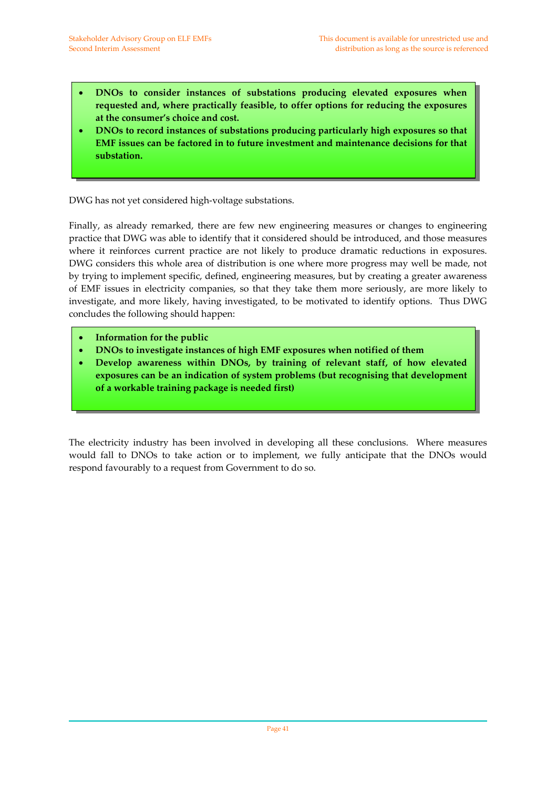- **DNOs to consider instances of substations producing elevated exposures when requested and, where practically feasible, to offer options for reducing the exposures at the consumer's choice and cost.**
- **DNOs to record instances of substations producing particularly high exposures so that EMF issues can be factored in to future investment and maintenance decisions for that substation.**

DWG has not yet considered high‐voltage substations.

Finally, as already remarked, there are few new engineering measures or changes to engineering practice that DWG was able to identify that it considered should be introduced, and those measures where it reinforces current practice are not likely to produce dramatic reductions in exposures. DWG considers this whole area of distribution is one where more progress may well be made, not by trying to implement specific, defined, engineering measures, but by creating a greater awareness of EMF issues in electricity companies, so that they take them more seriously, are more likely to investigate, and more likely, having investigated, to be motivated to identify options. Thus DWG concludes the following should happen:

- **Information for the public**
- **DNOs to investigate instances of high EMF exposures when notified of them**
- **Develop awareness within DNOs, by training of relevant staff, of how elevated exposures can be an indication of system problems (but recognising that development of a workable training package is needed first)**

The electricity industry has been involved in developing all these conclusions. Where measures would fall to DNOs to take action or to implement, we fully anticipate that the DNOs would respond favourably to a request from Government to do so.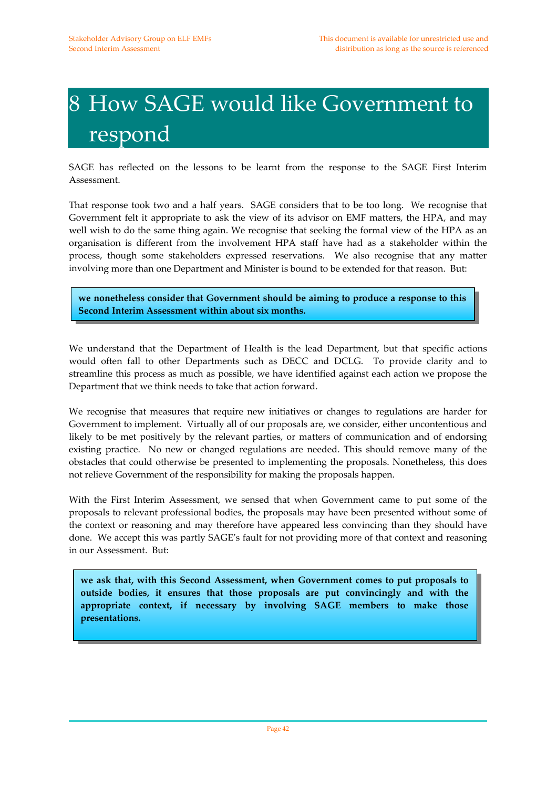# 8 How SAGE would like Government to respond

SAGE has reflected on the lessons to be learnt from the response to the SAGE First Interim Assessment.

That response took two and a half years. SAGE considers that to be too long. We recognise that Government felt it appropriate to ask the view of its advisor on EMF matters, the HPA, and may well wish to do the same thing again. We recognise that seeking the formal view of the HPA as an organisation is different from the involvement HPA staff have had as a stakeholder within the process, though some stakeholders expressed reservations. We also recognise that any matter involving more than one Department and Minister is bound to be extended for that reason. But:

**we nonetheless consider that Government should be aiming to produce a response to this Second Interim Assessment within about six months.**

We understand that the Department of Health is the lead Department, but that specific actions would often fall to other Departments such as DECC and DCLG. To provide clarity and to streamline this process as much as possible, we have identified against each action we propose the Department that we think needs to take that action forward.

We recognise that measures that require new initiatives or changes to regulations are harder for Government to implement. Virtually all of our proposals are, we consider, either uncontentious and likely to be met positively by the relevant parties, or matters of communication and of endorsing existing practice. No new or changed regulations are needed. This should remove many of the obstacles that could otherwise be presented to implementing the proposals. Nonetheless, this does not relieve Government of the responsibility for making the proposals happen.

With the First Interim Assessment, we sensed that when Government came to put some of the proposals to relevant professional bodies, the proposals may have been presented without some of the context or reasoning and may therefore have appeared less convincing than they should have done. We accept this was partly SAGE's fault for not providing more of that context and reasoning in our Assessment. But:

**we ask that, with this Second Assessment, when Government comes to put proposals to outside bodies, it ensures that those proposals are put convincingly and with the appropriate context, if necessary by involving SAGE members to make those presentations.**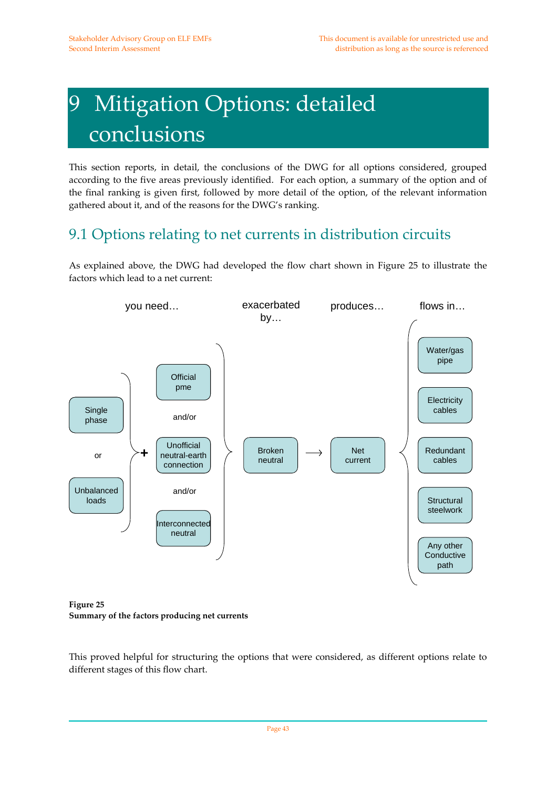# 9 Mitigation Options: detailed conclusions

This section reports, in detail, the conclusions of the DWG for all options considered, grouped according to the five areas previously identified. For each option, a summary of the option and of the final ranking is given first, followed by more detail of the option, of the relevant information gathered about it, and of the reasons for the DWG's ranking.

#### 9.1 Options relating to net currents in distribution circuits

As explained above, the DWG had developed the flow chart shown in Figure 25 to illustrate the factors which lead to a net current:



**Figure 25 Summary of the factors producing net currents**

This proved helpful for structuring the options that were considered, as different options relate to different stages of this flow chart.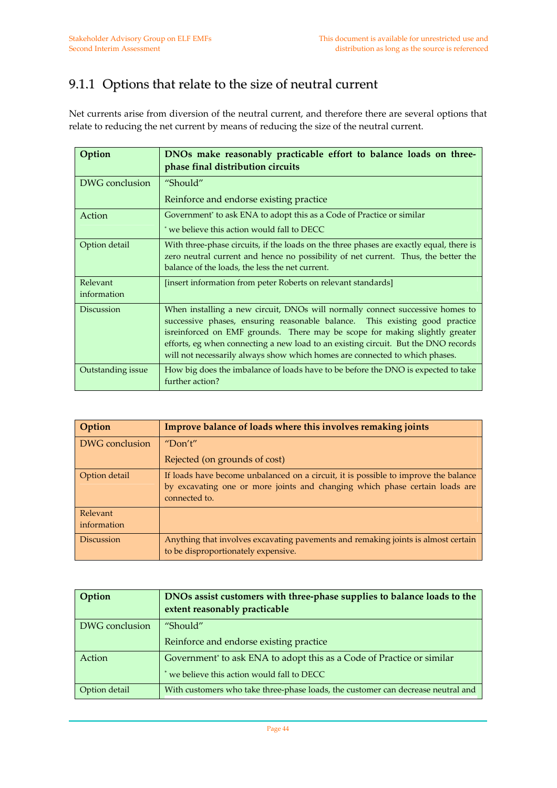#### 9.1.1 Options that relate to the size of neutral current

Net currents arise from diversion of the neutral current, and therefore there are several options that relate to reducing the net current by means of reducing the size of the neutral current.

| Option                  | DNOs make reasonably practicable effort to balance loads on three-<br>phase final distribution circuits                                                                                                                                                                                                                                                                                                          |
|-------------------------|------------------------------------------------------------------------------------------------------------------------------------------------------------------------------------------------------------------------------------------------------------------------------------------------------------------------------------------------------------------------------------------------------------------|
| DWG conclusion          | "Should"<br>Reinforce and endorse existing practice                                                                                                                                                                                                                                                                                                                                                              |
| Action                  | Government <sup>*</sup> to ask ENA to adopt this as a Code of Practice or similar<br>* we believe this action would fall to DECC                                                                                                                                                                                                                                                                                 |
| Option detail           | With three-phase circuits, if the loads on the three phases are exactly equal, there is<br>zero neutral current and hence no possibility of net current. Thus, the better the<br>balance of the loads, the less the net current.                                                                                                                                                                                 |
| Relevant<br>information | [insert information from peter Roberts on relevant standards]                                                                                                                                                                                                                                                                                                                                                    |
| <b>Discussion</b>       | When installing a new circuit, DNOs will normally connect successive homes to<br>successive phases, ensuring reasonable balance. This existing good practice<br>isreinforced on EMF grounds. There may be scope for making slightly greater<br>efforts, eg when connecting a new load to an existing circuit. But the DNO records<br>will not necessarily always show which homes are connected to which phases. |
| Outstanding issue       | How big does the imbalance of loads have to be before the DNO is expected to take<br>further action?                                                                                                                                                                                                                                                                                                             |

| Option            | Improve balance of loads where this involves remaking joints                                                                                                                        |
|-------------------|-------------------------------------------------------------------------------------------------------------------------------------------------------------------------------------|
| DWG conclusion    | "Don't"                                                                                                                                                                             |
|                   | Rejected (on grounds of cost)                                                                                                                                                       |
| Option detail     | If loads have become unbalanced on a circuit, it is possible to improve the balance<br>by excavating one or more joints and changing which phase certain loads are<br>connected to. |
| Relevant          |                                                                                                                                                                                     |
| information       |                                                                                                                                                                                     |
| <b>Discussion</b> | Anything that involves excavating pavements and remaking joints is almost certain<br>to be disproportionately expensive.                                                            |

| Option         | DNOs assist customers with three-phase supplies to balance loads to the<br>extent reasonably practicable |
|----------------|----------------------------------------------------------------------------------------------------------|
| DWG conclusion | "Should"                                                                                                 |
|                | Reinforce and endorse existing practice                                                                  |
| Action         | Government <sup>*</sup> to ask ENA to adopt this as a Code of Practice or similar                        |
|                | we believe this action would fall to DECC                                                                |
| Option detail  | With customers who take three-phase loads, the customer can decrease neutral and                         |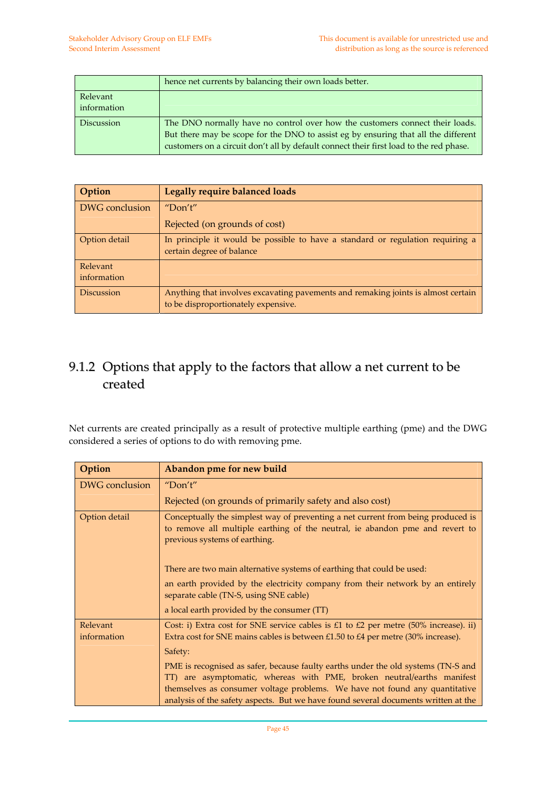|                         | hence net currents by balancing their own loads better.                                                                                                                                                                                                      |
|-------------------------|--------------------------------------------------------------------------------------------------------------------------------------------------------------------------------------------------------------------------------------------------------------|
| Relevant<br>information |                                                                                                                                                                                                                                                              |
| <b>Discussion</b>       | The DNO normally have no control over how the customers connect their loads.<br>But there may be scope for the DNO to assist eg by ensuring that all the different<br>customers on a circuit don't all by default connect their first load to the red phase. |

| Option                  | <b>Legally require balanced loads</b>                                                                                    |
|-------------------------|--------------------------------------------------------------------------------------------------------------------------|
| DWG conclusion          | "Don't"                                                                                                                  |
|                         | Rejected (on grounds of cost)                                                                                            |
| Option detail           | In principle it would be possible to have a standard or regulation requiring a<br>certain degree of balance              |
| Relevant<br>information |                                                                                                                          |
| <b>Discussion</b>       | Anything that involves excavating pavements and remaking joints is almost certain<br>to be disproportionately expensive. |

#### 9.1.2 Options that apply to the factors that allow a net current to be created

Net currents are created principally as a result of protective multiple earthing (pme) and the DWG considered a series of options to do with removing pme.

| Option                  | Abandon pme for new build                                                                                                                                                                                                                                                                                                        |
|-------------------------|----------------------------------------------------------------------------------------------------------------------------------------------------------------------------------------------------------------------------------------------------------------------------------------------------------------------------------|
| DWG conclusion          | "Don't"                                                                                                                                                                                                                                                                                                                          |
|                         | Rejected (on grounds of primarily safety and also cost)                                                                                                                                                                                                                                                                          |
| Option detail           | Conceptually the simplest way of preventing a net current from being produced is<br>to remove all multiple earthing of the neutral, ie abandon pme and revert to<br>previous systems of earthing.                                                                                                                                |
|                         | There are two main alternative systems of earthing that could be used:                                                                                                                                                                                                                                                           |
|                         | an earth provided by the electricity company from their network by an entirely<br>separate cable (TN-S, using SNE cable)                                                                                                                                                                                                         |
|                         | a local earth provided by the consumer (TT)                                                                                                                                                                                                                                                                                      |
| Relevant<br>information | Cost: i) Extra cost for SNE service cables is £1 to $£2$ per metre (50% increase). ii)<br>Extra cost for SNE mains cables is between £1.50 to £4 per metre (30% increase).<br>Safety:                                                                                                                                            |
|                         | PME is recognised as safer, because faulty earths under the old systems (TN-S and<br>TT) are asymptomatic, whereas with PME, broken neutral/earths manifest<br>themselves as consumer voltage problems. We have not found any quantitative<br>analysis of the safety aspects. But we have found several documents written at the |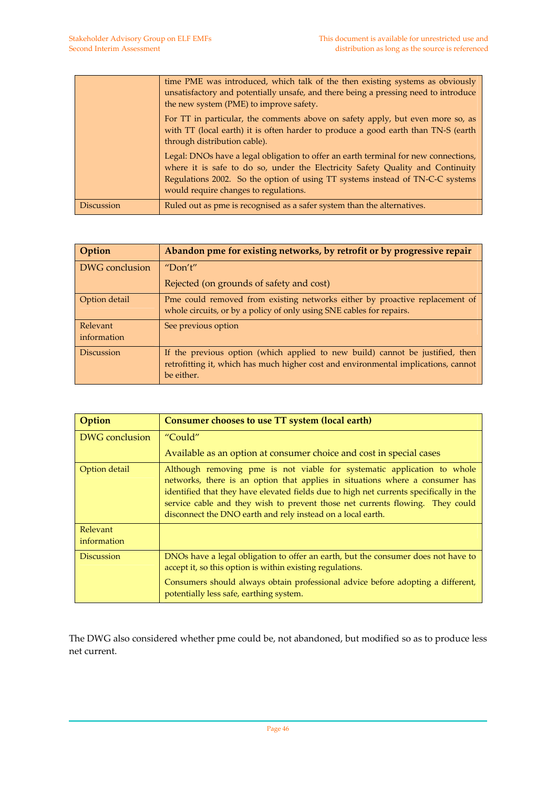|                   | time PME was introduced, which talk of the then existing systems as obviously<br>unsatisfactory and potentially unsafe, and there being a pressing need to introduce<br>the new system (PME) to improve safety.                                                                                 |
|-------------------|-------------------------------------------------------------------------------------------------------------------------------------------------------------------------------------------------------------------------------------------------------------------------------------------------|
|                   | For TT in particular, the comments above on safety apply, but even more so, as<br>with TT (local earth) it is often harder to produce a good earth than TN-S (earth<br>through distribution cable).                                                                                             |
|                   | Legal: DNOs have a legal obligation to offer an earth terminal for new connections,<br>where it is safe to do so, under the Electricity Safety Quality and Continuity<br>Regulations 2002. So the option of using TT systems instead of TN-C-C systems<br>would require changes to regulations. |
| <b>Discussion</b> | Ruled out as pme is recognised as a safer system than the alternatives.                                                                                                                                                                                                                         |

| Option                  | Abandon pme for existing networks, by retrofit or by progressive repair                                                                                                           |
|-------------------------|-----------------------------------------------------------------------------------------------------------------------------------------------------------------------------------|
| DWG conclusion          | "Don't"                                                                                                                                                                           |
|                         | Rejected (on grounds of safety and cost)                                                                                                                                          |
| Option detail           | Pme could removed from existing networks either by proactive replacement of<br>whole circuits, or by a policy of only using SNE cables for repairs.                               |
| Relevant<br>information | See previous option                                                                                                                                                               |
| <b>Discussion</b>       | If the previous option (which applied to new build) cannot be justified, then<br>retrofitting it, which has much higher cost and environmental implications, cannot<br>be either. |

| Option                  | Consumer chooses to use TT system (local earth)                                                                                                                                                                                                                                                                                                                                                   |
|-------------------------|---------------------------------------------------------------------------------------------------------------------------------------------------------------------------------------------------------------------------------------------------------------------------------------------------------------------------------------------------------------------------------------------------|
| DWG conclusion          | "Could"                                                                                                                                                                                                                                                                                                                                                                                           |
|                         | Available as an option at consumer choice and cost in special cases                                                                                                                                                                                                                                                                                                                               |
| Option detail           | Although removing pme is not viable for systematic application to whole<br>networks, there is an option that applies in situations where a consumer has<br>identified that they have elevated fields due to high net currents specifically in the<br>service cable and they wish to prevent those net currents flowing. They could<br>disconnect the DNO earth and rely instead on a local earth. |
| Relevant<br>information |                                                                                                                                                                                                                                                                                                                                                                                                   |
| <b>Discussion</b>       | DNOs have a legal obligation to offer an earth, but the consumer does not have to<br>accept it, so this option is within existing regulations.                                                                                                                                                                                                                                                    |
|                         | Consumers should always obtain professional advice before adopting a different,<br>potentially less safe, earthing system.                                                                                                                                                                                                                                                                        |

The DWG also considered whether pme could be, not abandoned, but modified so as to produce less net current.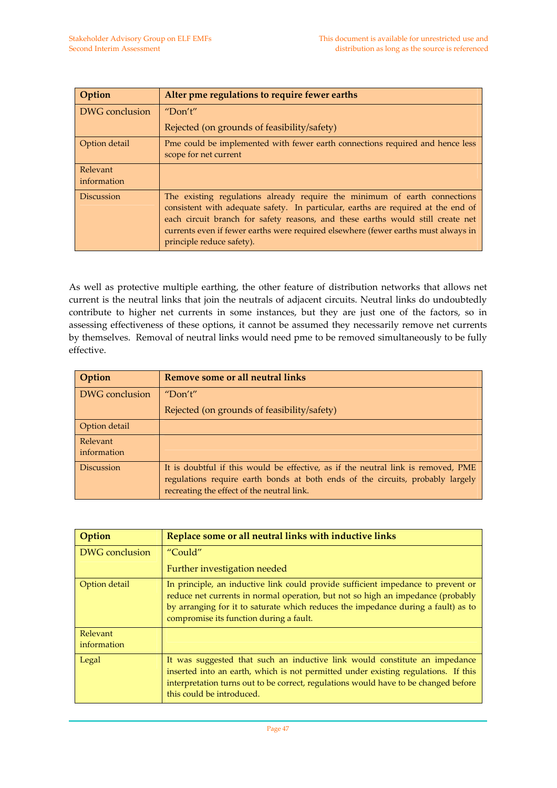| Option                  | Alter pme regulations to require fewer earths                                                                                                                                                                                                                                                                                                                        |
|-------------------------|----------------------------------------------------------------------------------------------------------------------------------------------------------------------------------------------------------------------------------------------------------------------------------------------------------------------------------------------------------------------|
| DWG conclusion          | "Don't"                                                                                                                                                                                                                                                                                                                                                              |
|                         | Rejected (on grounds of feasibility/safety)                                                                                                                                                                                                                                                                                                                          |
| Option detail           | Pme could be implemented with fewer earth connections required and hence less<br>scope for net current                                                                                                                                                                                                                                                               |
| Relevant<br>information |                                                                                                                                                                                                                                                                                                                                                                      |
| <b>Discussion</b>       | The existing regulations already require the minimum of earth connections<br>consistent with adequate safety. In particular, earths are required at the end of<br>each circuit branch for safety reasons, and these earths would still create net<br>currents even if fewer earths were required elsewhere (fewer earths must always in<br>principle reduce safety). |

As well as protective multiple earthing, the other feature of distribution networks that allows net current is the neutral links that join the neutrals of adjacent circuits. Neutral links do undoubtedly contribute to higher net currents in some instances, but they are just one of the factors, so in assessing effectiveness of these options, it cannot be assumed they necessarily remove net currents by themselves. Removal of neutral links would need pme to be removed simultaneously to be fully effective.

| Option            | Remove some or all neutral links                                                                                                                                                                                  |
|-------------------|-------------------------------------------------------------------------------------------------------------------------------------------------------------------------------------------------------------------|
| DWG conclusion    | "Don't"                                                                                                                                                                                                           |
|                   | Rejected (on grounds of feasibility/safety)                                                                                                                                                                       |
| Option detail     |                                                                                                                                                                                                                   |
| Relevant          |                                                                                                                                                                                                                   |
| information       |                                                                                                                                                                                                                   |
| <b>Discussion</b> | It is doubtful if this would be effective, as if the neutral link is removed, PME<br>regulations require earth bonds at both ends of the circuits, probably largely<br>recreating the effect of the neutral link. |

| Option                  | Replace some or all neutral links with inductive links                                                                                                                                                                                                                                              |
|-------------------------|-----------------------------------------------------------------------------------------------------------------------------------------------------------------------------------------------------------------------------------------------------------------------------------------------------|
| DWG conclusion          | "Could"                                                                                                                                                                                                                                                                                             |
|                         | Further investigation needed                                                                                                                                                                                                                                                                        |
| Option detail           | In principle, an inductive link could provide sufficient impedance to prevent or<br>reduce net currents in normal operation, but not so high an impedance (probably<br>by arranging for it to saturate which reduces the impedance during a fault) as to<br>compromise its function during a fault. |
| Relevant<br>information |                                                                                                                                                                                                                                                                                                     |
| Legal                   | It was suggested that such an inductive link would constitute an impedance<br>inserted into an earth, which is not permitted under existing regulations. If this<br>interpretation turns out to be correct, regulations would have to be changed before<br>this could be introduced.                |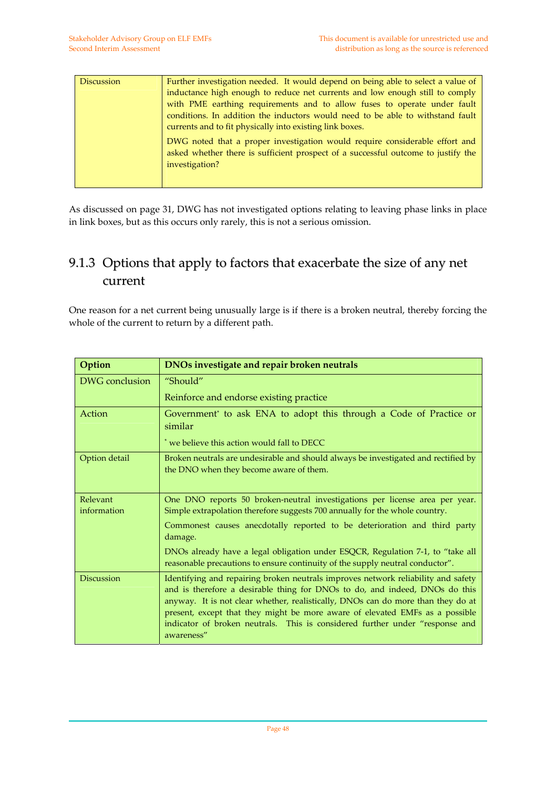| <b>Discussion</b> | Further investigation needed. It would depend on being able to select a value of<br>inductance high enough to reduce net currents and low enough still to comply<br>with PME earthing requirements and to allow fuses to operate under fault<br>conditions. In addition the inductors would need to be able to withstand fault<br>currents and to fit physically into existing link boxes. |
|-------------------|--------------------------------------------------------------------------------------------------------------------------------------------------------------------------------------------------------------------------------------------------------------------------------------------------------------------------------------------------------------------------------------------|
|                   | DWG noted that a proper investigation would require considerable effort and<br>asked whether there is sufficient prospect of a successful outcome to justify the<br>investigation?                                                                                                                                                                                                         |

As discussed on page 31, DWG has not investigated options relating to leaving phase links in place in link boxes, but as this occurs only rarely, this is not a serious omission.

#### 9.1.3 Options that apply to factors that exacerbate the size of any net current

One reason for a net current being unusually large is if there is a broken neutral, thereby forcing the whole of the current to return by a different path.

| Option                  | DNOs investigate and repair broken neutrals                                                                                                                                                                                                                                                                                                                                                                                        |
|-------------------------|------------------------------------------------------------------------------------------------------------------------------------------------------------------------------------------------------------------------------------------------------------------------------------------------------------------------------------------------------------------------------------------------------------------------------------|
| DWG conclusion          | "Should"                                                                                                                                                                                                                                                                                                                                                                                                                           |
|                         | Reinforce and endorse existing practice                                                                                                                                                                                                                                                                                                                                                                                            |
| Action                  | Government* to ask ENA to adopt this through a Code of Practice or<br>similar                                                                                                                                                                                                                                                                                                                                                      |
|                         | * we believe this action would fall to DECC                                                                                                                                                                                                                                                                                                                                                                                        |
| Option detail           | Broken neutrals are undesirable and should always be investigated and rectified by<br>the DNO when they become aware of them.                                                                                                                                                                                                                                                                                                      |
| Relevant<br>information | One DNO reports 50 broken-neutral investigations per license area per year.<br>Simple extrapolation therefore suggests 700 annually for the whole country.                                                                                                                                                                                                                                                                         |
|                         | Commonest causes anecdotally reported to be deterioration and third party<br>damage.                                                                                                                                                                                                                                                                                                                                               |
|                         | DNOs already have a legal obligation under ESQCR, Regulation 7-1, to "take all<br>reasonable precautions to ensure continuity of the supply neutral conductor".                                                                                                                                                                                                                                                                    |
| <b>Discussion</b>       | Identifying and repairing broken neutrals improves network reliability and safety<br>and is therefore a desirable thing for DNOs to do, and indeed, DNOs do this<br>anyway. It is not clear whether, realistically, DNOs can do more than they do at<br>present, except that they might be more aware of elevated EMFs as a possible<br>indicator of broken neutrals. This is considered further under "response and<br>awareness" |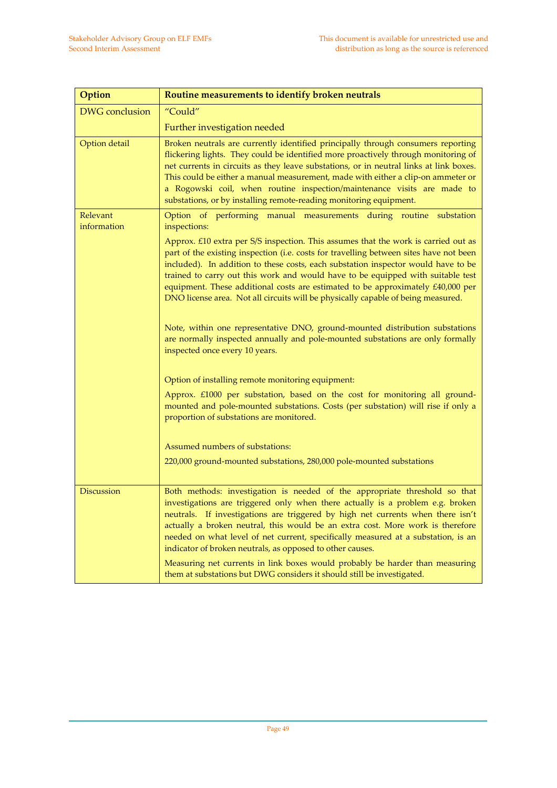| Option                  | Routine measurements to identify broken neutrals                                                                                                                                                                                                                                                                                                                                                                                                                                                                                                                                                                                                                                              |
|-------------------------|-----------------------------------------------------------------------------------------------------------------------------------------------------------------------------------------------------------------------------------------------------------------------------------------------------------------------------------------------------------------------------------------------------------------------------------------------------------------------------------------------------------------------------------------------------------------------------------------------------------------------------------------------------------------------------------------------|
| <b>DWG</b> conclusion   | "Could"                                                                                                                                                                                                                                                                                                                                                                                                                                                                                                                                                                                                                                                                                       |
|                         | Further investigation needed                                                                                                                                                                                                                                                                                                                                                                                                                                                                                                                                                                                                                                                                  |
| Option detail           | Broken neutrals are currently identified principally through consumers reporting<br>flickering lights. They could be identified more proactively through monitoring of<br>net currents in circuits as they leave substations, or in neutral links at link boxes.<br>This could be either a manual measurement, made with either a clip-on ammeter or<br>a Rogowski coil, when routine inspection/maintenance visits are made to<br>substations, or by installing remote-reading monitoring equipment.                                                                                                                                                                                         |
| Relevant<br>information | Option of performing manual measurements during routine substation<br>inspections:                                                                                                                                                                                                                                                                                                                                                                                                                                                                                                                                                                                                            |
|                         | Approx. £10 extra per S/S inspection. This assumes that the work is carried out as<br>part of the existing inspection (i.e. costs for travelling between sites have not been<br>included). In addition to these costs, each substation inspector would have to be<br>trained to carry out this work and would have to be equipped with suitable test<br>equipment. These additional costs are estimated to be approximately £40,000 per<br>DNO license area. Not all circuits will be physically capable of being measured.<br>Note, within one representative DNO, ground-mounted distribution substations<br>are normally inspected annually and pole-mounted substations are only formally |
|                         | inspected once every 10 years.                                                                                                                                                                                                                                                                                                                                                                                                                                                                                                                                                                                                                                                                |
|                         | Option of installing remote monitoring equipment:                                                                                                                                                                                                                                                                                                                                                                                                                                                                                                                                                                                                                                             |
|                         | Approx. £1000 per substation, based on the cost for monitoring all ground-<br>mounted and pole-mounted substations. Costs (per substation) will rise if only a<br>proportion of substations are monitored.                                                                                                                                                                                                                                                                                                                                                                                                                                                                                    |
|                         | Assumed numbers of substations:                                                                                                                                                                                                                                                                                                                                                                                                                                                                                                                                                                                                                                                               |
|                         | 220,000 ground-mounted substations, 280,000 pole-mounted substations                                                                                                                                                                                                                                                                                                                                                                                                                                                                                                                                                                                                                          |
| <b>Discussion</b>       | Both methods: investigation is needed of the appropriate threshold so that<br>investigations are triggered only when there actually is a problem e.g. broken<br>neutrals. If investigations are triggered by high net currents when there isn't<br>actually a broken neutral, this would be an extra cost. More work is therefore<br>needed on what level of net current, specifically measured at a substation, is an<br>indicator of broken neutrals, as opposed to other causes.                                                                                                                                                                                                           |
|                         | Measuring net currents in link boxes would probably be harder than measuring<br>them at substations but DWG considers it should still be investigated.                                                                                                                                                                                                                                                                                                                                                                                                                                                                                                                                        |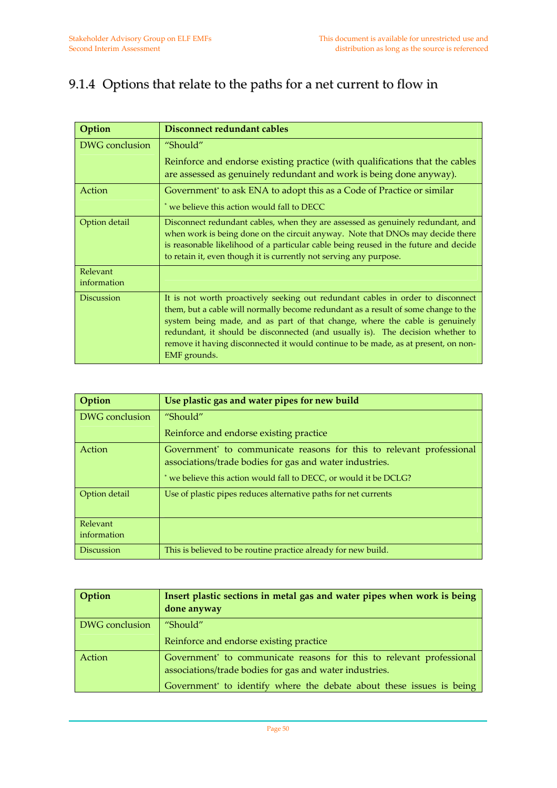#### 9.1.4 Options that relate to the paths for a net current to flow in

| Option                  | Disconnect redundant cables                                                                                                                                                                                                                                                                                                                                                                                                                  |
|-------------------------|----------------------------------------------------------------------------------------------------------------------------------------------------------------------------------------------------------------------------------------------------------------------------------------------------------------------------------------------------------------------------------------------------------------------------------------------|
| DWG conclusion          | "Should"                                                                                                                                                                                                                                                                                                                                                                                                                                     |
|                         | Reinforce and endorse existing practice (with qualifications that the cables<br>are assessed as genuinely redundant and work is being done anyway).                                                                                                                                                                                                                                                                                          |
| Action                  | Government <sup>*</sup> to ask ENA to adopt this as a Code of Practice or similar                                                                                                                                                                                                                                                                                                                                                            |
|                         | * we believe this action would fall to DECC                                                                                                                                                                                                                                                                                                                                                                                                  |
| Option detail           | Disconnect redundant cables, when they are assessed as genuinely redundant, and<br>when work is being done on the circuit anyway. Note that DNOs may decide there<br>is reasonable likelihood of a particular cable being reused in the future and decide<br>to retain it, even though it is currently not serving any purpose.                                                                                                              |
| Relevant<br>information |                                                                                                                                                                                                                                                                                                                                                                                                                                              |
| <b>Discussion</b>       | It is not worth proactively seeking out redundant cables in order to disconnect<br>them, but a cable will normally become redundant as a result of some change to the<br>system being made, and as part of that change, where the cable is genuinely<br>redundant, it should be disconnected (and usually is). The decision whether to<br>remove it having disconnected it would continue to be made, as at present, on non-<br>EMF grounds. |

| Option            | Use plastic gas and water pipes for new build                                                                                               |
|-------------------|---------------------------------------------------------------------------------------------------------------------------------------------|
| DWG conclusion    | "Should"                                                                                                                                    |
|                   | Reinforce and endorse existing practice                                                                                                     |
| Action            | Government <sup>*</sup> to communicate reasons for this to relevant professional<br>associations/trade bodies for gas and water industries. |
|                   | * we believe this action would fall to DECC, or would it be DCLG?                                                                           |
| Option detail     | Use of plastic pipes reduces alternative paths for net currents                                                                             |
| Relevant          |                                                                                                                                             |
| information       |                                                                                                                                             |
| <b>Discussion</b> | This is believed to be routine practice already for new build.                                                                              |

| Option         | Insert plastic sections in metal gas and water pipes when work is being                                                                     |
|----------------|---------------------------------------------------------------------------------------------------------------------------------------------|
|                | done anyway                                                                                                                                 |
| DWG conclusion | "Should"                                                                                                                                    |
|                | Reinforce and endorse existing practice                                                                                                     |
| Action         | Government <sup>*</sup> to communicate reasons for this to relevant professional<br>associations/trade bodies for gas and water industries. |
|                | Government to identify where the debate about these issues is being                                                                         |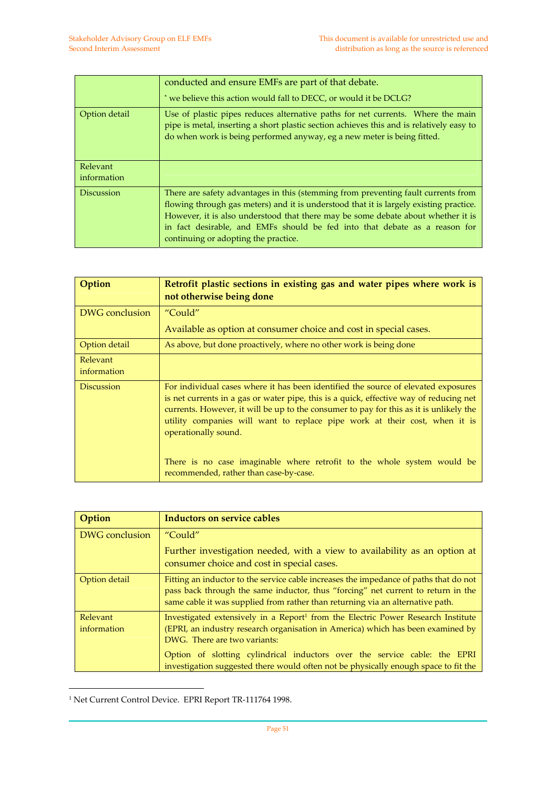|                                | conducted and ensure EMFs are part of that debate.<br>* we believe this action would fall to DECC, or would it be DCLG?                                                                                                                                                                                                                                                               |
|--------------------------------|---------------------------------------------------------------------------------------------------------------------------------------------------------------------------------------------------------------------------------------------------------------------------------------------------------------------------------------------------------------------------------------|
| Option detail                  | Use of plastic pipes reduces alternative paths for net currents. Where the main<br>pipe is metal, inserting a short plastic section achieves this and is relatively easy to<br>do when work is being performed anyway, eg a new meter is being fitted.                                                                                                                                |
| <b>Relevant</b><br>information |                                                                                                                                                                                                                                                                                                                                                                                       |
| <b>Discussion</b>              | There are safety advantages in this (stemming from preventing fault currents from<br>flowing through gas meters) and it is understood that it is largely existing practice.<br>However, it is also understood that there may be some debate about whether it is<br>in fact desirable, and EMFs should be fed into that debate as a reason for<br>continuing or adopting the practice. |

| Option                  | Retrofit plastic sections in existing gas and water pipes where work is<br>not otherwise being done                                                                                                                                                                                                                                                                                                                                                                                               |
|-------------------------|---------------------------------------------------------------------------------------------------------------------------------------------------------------------------------------------------------------------------------------------------------------------------------------------------------------------------------------------------------------------------------------------------------------------------------------------------------------------------------------------------|
| DWG conclusion          | "Could"                                                                                                                                                                                                                                                                                                                                                                                                                                                                                           |
|                         | Available as option at consumer choice and cost in special cases.                                                                                                                                                                                                                                                                                                                                                                                                                                 |
| Option detail           | As above, but done proactively, where no other work is being done                                                                                                                                                                                                                                                                                                                                                                                                                                 |
| Relevant<br>information |                                                                                                                                                                                                                                                                                                                                                                                                                                                                                                   |
| <b>Discussion</b>       | For individual cases where it has been identified the source of elevated exposures<br>is net currents in a gas or water pipe, this is a quick, effective way of reducing net<br>currents. However, it will be up to the consumer to pay for this as it is unlikely the<br>utility companies will want to replace pipe work at their cost, when it is<br>operationally sound.<br>There is no case imaginable where retrofit to the whole system would be<br>recommended, rather than case-by-case. |

| Option                  | <b>Inductors on service cables</b>                                                                                                                                                                                                                          |
|-------------------------|-------------------------------------------------------------------------------------------------------------------------------------------------------------------------------------------------------------------------------------------------------------|
| DWG conclusion          | "Could"                                                                                                                                                                                                                                                     |
|                         | Further investigation needed, with a view to availability as an option at<br>consumer choice and cost in special cases.                                                                                                                                     |
| Option detail           | Fitting an inductor to the service cable increases the impedance of paths that do not<br>pass back through the same inductor, thus "forcing" net current to return in the<br>same cable it was supplied from rather than returning via an alternative path. |
| Relevant<br>information | Investigated extensively in a Report <sup>1</sup> from the Electric Power Research Institute<br>(EPRI, an industry research organisation in America) which has been examined by<br>DWG. There are two variants:                                             |
|                         | Option of slotting cylindrical inductors over the service cable: the EPRI<br>investigation suggested there would often not be physically enough space to fit the                                                                                            |

<sup>1</sup> Net Current Control Device. EPRI Report TR‐111764 1998.

 $\overline{a}$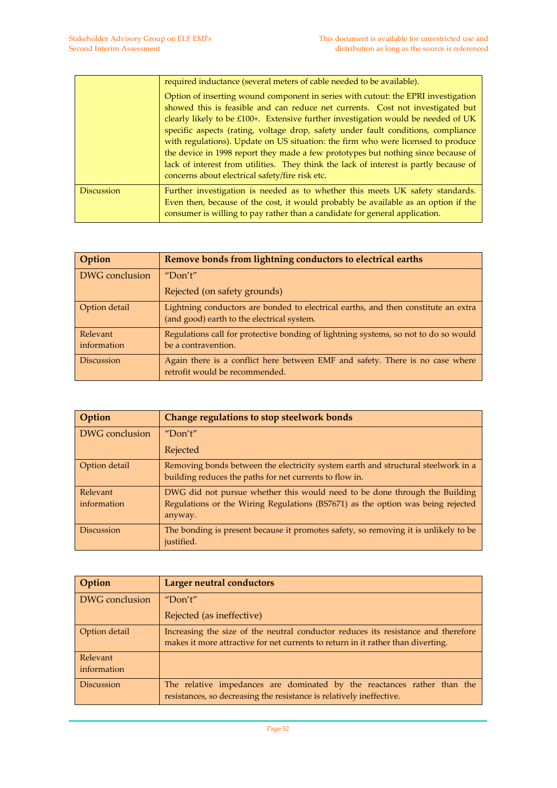|                   | required inductance (several meters of cable needed to be available).                                                                                                                                                                                                                                                                                                                                                                                                                                                                                                                                                                                                 |
|-------------------|-----------------------------------------------------------------------------------------------------------------------------------------------------------------------------------------------------------------------------------------------------------------------------------------------------------------------------------------------------------------------------------------------------------------------------------------------------------------------------------------------------------------------------------------------------------------------------------------------------------------------------------------------------------------------|
|                   | Option of inserting wound component in series with cutout: the EPRI investigation<br>showed this is feasible and can reduce net currents. Cost not investigated but<br>clearly likely to be $£100+$ . Extensive further investigation would be needed of UK<br>specific aspects (rating, voltage drop, safety under fault conditions, compliance<br>with regulations). Update on US situation: the firm who were licensed to produce<br>the device in 1998 report they made a few prototypes but nothing since because of<br>lack of interest from utilities. They think the lack of interest is partly because of<br>concerns about electrical safety/fire risk etc. |
| <b>Discussion</b> | Further investigation is needed as to whether this meets UK safety standards.<br>Even then, because of the cost, it would probably be available as an option if the<br>consumer is willing to pay rather than a candidate for general application.                                                                                                                                                                                                                                                                                                                                                                                                                    |

| Option                  | Remove bonds from lightning conductors to electrical earths                                                                      |
|-------------------------|----------------------------------------------------------------------------------------------------------------------------------|
| DWG conclusion          | "Don't"                                                                                                                          |
|                         | Rejected (on safety grounds)                                                                                                     |
| Option detail           | Lightning conductors are bonded to electrical earths, and then constitute an extra<br>(and good) earth to the electrical system. |
| Relevant<br>information | Regulations call for protective bonding of lightning systems, so not to do so would<br>be a contravention.                       |
| <b>Discussion</b>       | Again there is a conflict here between EMF and safety. There is no case where<br>retrofit would be recommended.                  |

| Option            | Change regulations to stop steelwork bonds                                                                                                   |
|-------------------|----------------------------------------------------------------------------------------------------------------------------------------------|
| DWG conclusion    | "Don't"                                                                                                                                      |
|                   | Rejected                                                                                                                                     |
| Option detail     | Removing bonds between the electricity system earth and structural steelwork in a<br>building reduces the paths for net currents to flow in. |
| Relevant          | DWG did not pursue whether this would need to be done through the Building                                                                   |
| information       | Regulations or the Wiring Regulations (BS7671) as the option was being rejected<br>anyway.                                                   |
| <b>Discussion</b> | The bonding is present because it promotes safety, so removing it is unlikely to be<br>justified.                                            |

| Option                  | Larger neutral conductors                                                                                                                                             |
|-------------------------|-----------------------------------------------------------------------------------------------------------------------------------------------------------------------|
| DWG conclusion          | "Don't"                                                                                                                                                               |
|                         | Rejected (as ineffective)                                                                                                                                             |
| Option detail           | Increasing the size of the neutral conductor reduces its resistance and therefore<br>makes it more attractive for net currents to return in it rather than diverting. |
| Relevant<br>information |                                                                                                                                                                       |
| <b>Discussion</b>       | The relative impedances are dominated by the reactances rather than the<br>resistances, so decreasing the resistance is relatively ineffective.                       |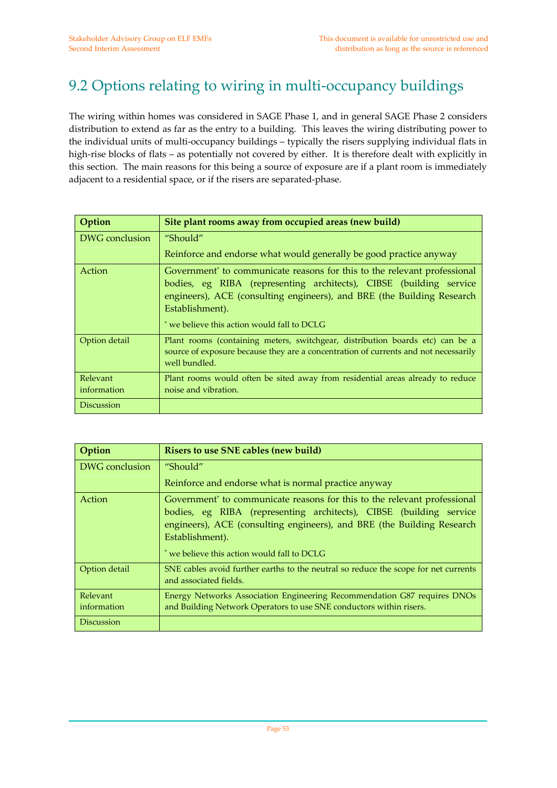## 9.2 Options relating to wiring in multi-occupancy buildings

The wiring within homes was considered in SAGE Phase 1, and in general SAGE Phase 2 considers distribution to extend as far as the entry to a building. This leaves the wiring distributing power to the individual units of multi‐occupancy buildings – typically the risers supplying individual flats in high-rise blocks of flats – as potentially not covered by either. It is therefore dealt with explicitly in this section. The main reasons for this being a source of exposure are if a plant room is immediately adjacent to a residential space, or if the risers are separated‐phase.

| Option                  | Site plant rooms away from occupied areas (new build)                                                                                                                                                                                                                                                  |
|-------------------------|--------------------------------------------------------------------------------------------------------------------------------------------------------------------------------------------------------------------------------------------------------------------------------------------------------|
| DWG conclusion          | "Should"                                                                                                                                                                                                                                                                                               |
|                         | Reinforce and endorse what would generally be good practice anyway                                                                                                                                                                                                                                     |
| <b>Action</b>           | Government <sup>*</sup> to communicate reasons for this to the relevant professional<br>bodies, eg RIBA (representing architects), CIBSE (building service<br>engineers), ACE (consulting engineers), and BRE (the Building Research<br>Establishment).<br>* we believe this action would fall to DCLG |
| Option detail           | Plant rooms (containing meters, switchgear, distribution boards etc) can be a<br>source of exposure because they are a concentration of currents and not necessarily<br>well bundled.                                                                                                                  |
| Relevant<br>information | Plant rooms would often be sited away from residential areas already to reduce<br>noise and vibration.                                                                                                                                                                                                 |
| <b>Discussion</b>       |                                                                                                                                                                                                                                                                                                        |

| Option                  | Risers to use SNE cables (new build)                                                                                                                                                                                                                                                                   |
|-------------------------|--------------------------------------------------------------------------------------------------------------------------------------------------------------------------------------------------------------------------------------------------------------------------------------------------------|
| DWG conclusion          | "Should"                                                                                                                                                                                                                                                                                               |
|                         | Reinforce and endorse what is normal practice anyway                                                                                                                                                                                                                                                   |
| Action                  | Government <sup>*</sup> to communicate reasons for this to the relevant professional<br>bodies, eg RIBA (representing architects), CIBSE (building service<br>engineers), ACE (consulting engineers), and BRE (the Building Research<br>Establishment).<br>* we believe this action would fall to DCLG |
| Option detail           | SNE cables avoid further earths to the neutral so reduce the scope for net currents<br>and associated fields.                                                                                                                                                                                          |
| Relevant<br>information | Energy Networks Association Engineering Recommendation G87 requires DNOs<br>and Building Network Operators to use SNE conductors within risers.                                                                                                                                                        |
| <b>Discussion</b>       |                                                                                                                                                                                                                                                                                                        |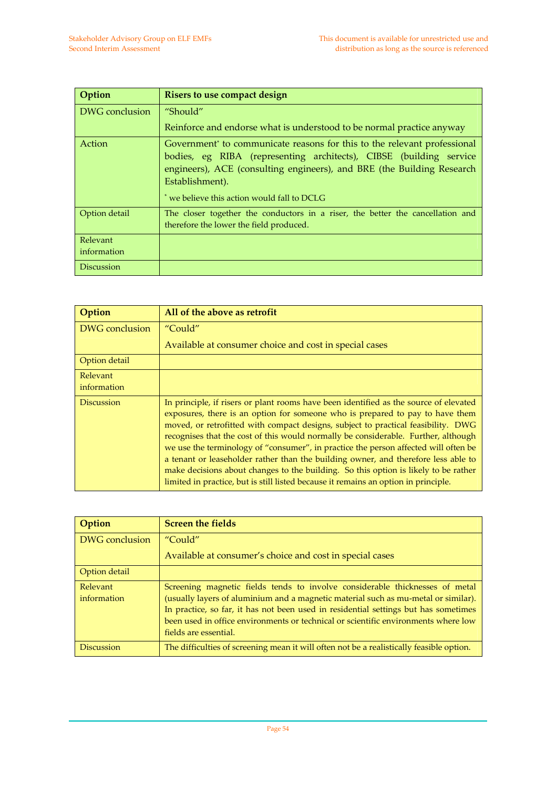| Option                  | Risers to use compact design                                                                                                                                                                                                                                                                           |
|-------------------------|--------------------------------------------------------------------------------------------------------------------------------------------------------------------------------------------------------------------------------------------------------------------------------------------------------|
| DWG conclusion          | "Should"                                                                                                                                                                                                                                                                                               |
|                         | Reinforce and endorse what is understood to be normal practice anyway                                                                                                                                                                                                                                  |
| Action                  | Government <sup>*</sup> to communicate reasons for this to the relevant professional<br>bodies, eg RIBA (representing architects), CIBSE (building service<br>engineers), ACE (consulting engineers), and BRE (the Building Research<br>Establishment).<br>* we believe this action would fall to DCLG |
| Option detail           | The closer together the conductors in a riser, the better the cancellation and<br>therefore the lower the field produced.                                                                                                                                                                              |
| Relevant<br>information |                                                                                                                                                                                                                                                                                                        |
| <b>Discussion</b>       |                                                                                                                                                                                                                                                                                                        |

| Option                  | All of the above as retrofit                                                                                                                                                                                                                                                                                                                                                                                                                                                                                                                                                                                                                                                                                 |
|-------------------------|--------------------------------------------------------------------------------------------------------------------------------------------------------------------------------------------------------------------------------------------------------------------------------------------------------------------------------------------------------------------------------------------------------------------------------------------------------------------------------------------------------------------------------------------------------------------------------------------------------------------------------------------------------------------------------------------------------------|
| DWG conclusion          | "Could"                                                                                                                                                                                                                                                                                                                                                                                                                                                                                                                                                                                                                                                                                                      |
|                         | Available at consumer choice and cost in special cases                                                                                                                                                                                                                                                                                                                                                                                                                                                                                                                                                                                                                                                       |
| Option detail           |                                                                                                                                                                                                                                                                                                                                                                                                                                                                                                                                                                                                                                                                                                              |
| Relevant<br>information |                                                                                                                                                                                                                                                                                                                                                                                                                                                                                                                                                                                                                                                                                                              |
|                         |                                                                                                                                                                                                                                                                                                                                                                                                                                                                                                                                                                                                                                                                                                              |
| <b>Discussion</b>       | In principle, if risers or plant rooms have been identified as the source of elevated<br>exposures, there is an option for someone who is prepared to pay to have them<br>moved, or retrofitted with compact designs, subject to practical feasibility. DWG<br>recognises that the cost of this would normally be considerable. Further, although<br>we use the terminology of "consumer", in practice the person affected will often be<br>a tenant or leaseholder rather than the building owner, and therefore less able to<br>make decisions about changes to the building. So this option is likely to be rather<br>limited in practice, but is still listed because it remains an option in principle. |

| Option                  | <b>Screen the fields</b>                                                                                                                                                                                                                                                                                                                                                 |
|-------------------------|--------------------------------------------------------------------------------------------------------------------------------------------------------------------------------------------------------------------------------------------------------------------------------------------------------------------------------------------------------------------------|
| DWG conclusion          | "Could"                                                                                                                                                                                                                                                                                                                                                                  |
|                         | Available at consumer's choice and cost in special cases                                                                                                                                                                                                                                                                                                                 |
| Option detail           |                                                                                                                                                                                                                                                                                                                                                                          |
| Relevant<br>information | Screening magnetic fields tends to involve considerable thicknesses of metal<br>(usually layers of aluminium and a magnetic material such as mu-metal or similar).<br>In practice, so far, it has not been used in residential settings but has sometimes<br>been used in office environments or technical or scientific environments where low<br>fields are essential. |
| <b>Discussion</b>       | The difficulties of screening mean it will often not be a realistically feasible option.                                                                                                                                                                                                                                                                                 |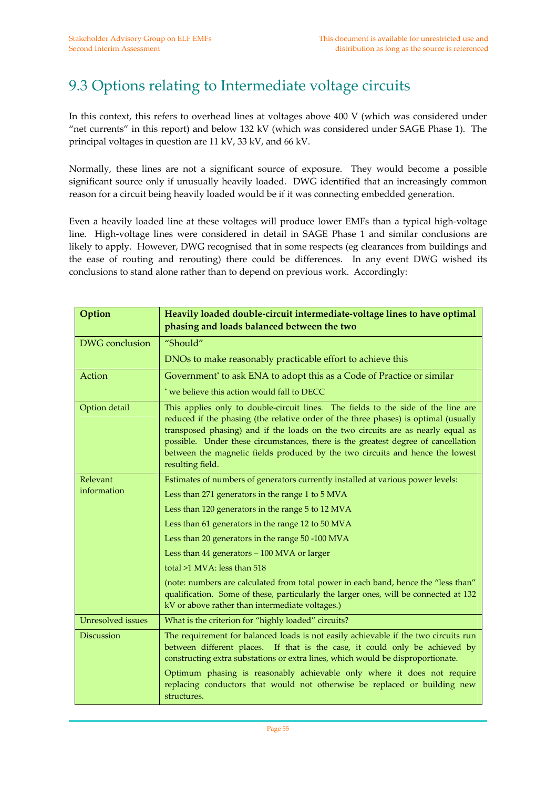### 9.3 Options relating to Intermediate voltage circuits

In this context, this refers to overhead lines at voltages above 400 V (which was considered under "net currents" in this report) and below 132 kV (which was considered under SAGE Phase 1). The principal voltages in question are 11 kV, 33 kV, and 66 kV.

Normally, these lines are not a significant source of exposure. They would become a possible significant source only if unusually heavily loaded. DWG identified that an increasingly common reason for a circuit being heavily loaded would be if it was connecting embedded generation.

Even a heavily loaded line at these voltages will produce lower EMFs than a typical high‐voltage line. High-voltage lines were considered in detail in SAGE Phase 1 and similar conclusions are likely to apply. However, DWG recognised that in some respects (eg clearances from buildings and the ease of routing and rerouting) there could be differences. In any event DWG wished its conclusions to stand alone rather than to depend on previous work. Accordingly:

| Option                   | Heavily loaded double-circuit intermediate-voltage lines to have optimal<br>phasing and loads balanced between the two                                                                                                                                                                                                                                                                                                                                |
|--------------------------|-------------------------------------------------------------------------------------------------------------------------------------------------------------------------------------------------------------------------------------------------------------------------------------------------------------------------------------------------------------------------------------------------------------------------------------------------------|
| <b>DWG</b> conclusion    | "Should"                                                                                                                                                                                                                                                                                                                                                                                                                                              |
|                          | DNOs to make reasonably practicable effort to achieve this                                                                                                                                                                                                                                                                                                                                                                                            |
| Action                   | Government* to ask ENA to adopt this as a Code of Practice or similar                                                                                                                                                                                                                                                                                                                                                                                 |
|                          | * we believe this action would fall to DECC                                                                                                                                                                                                                                                                                                                                                                                                           |
| Option detail            | This applies only to double-circuit lines. The fields to the side of the line are<br>reduced if the phasing (the relative order of the three phases) is optimal (usually<br>transposed phasing) and if the loads on the two circuits are as nearly equal as<br>possible. Under these circumstances, there is the greatest degree of cancellation<br>between the magnetic fields produced by the two circuits and hence the lowest<br>resulting field. |
| Relevant                 | Estimates of numbers of generators currently installed at various power levels:                                                                                                                                                                                                                                                                                                                                                                       |
| information              | Less than 271 generators in the range 1 to 5 MVA                                                                                                                                                                                                                                                                                                                                                                                                      |
|                          | Less than 120 generators in the range 5 to 12 MVA                                                                                                                                                                                                                                                                                                                                                                                                     |
|                          | Less than 61 generators in the range 12 to 50 MVA                                                                                                                                                                                                                                                                                                                                                                                                     |
|                          | Less than 20 generators in the range 50 -100 MVA                                                                                                                                                                                                                                                                                                                                                                                                      |
|                          | Less than 44 generators - 100 MVA or larger                                                                                                                                                                                                                                                                                                                                                                                                           |
|                          | total >1 MVA: less than 518                                                                                                                                                                                                                                                                                                                                                                                                                           |
|                          | (note: numbers are calculated from total power in each band, hence the "less than"<br>qualification. Some of these, particularly the larger ones, will be connected at 132<br>kV or above rather than intermediate voltages.)                                                                                                                                                                                                                         |
| <b>Unresolved</b> issues | What is the criterion for "highly loaded" circuits?                                                                                                                                                                                                                                                                                                                                                                                                   |
| <b>Discussion</b>        | The requirement for balanced loads is not easily achievable if the two circuits run<br>between different places. If that is the case, it could only be achieved by<br>constructing extra substations or extra lines, which would be disproportionate.                                                                                                                                                                                                 |
|                          | Optimum phasing is reasonably achievable only where it does not require<br>replacing conductors that would not otherwise be replaced or building new<br>structures.                                                                                                                                                                                                                                                                                   |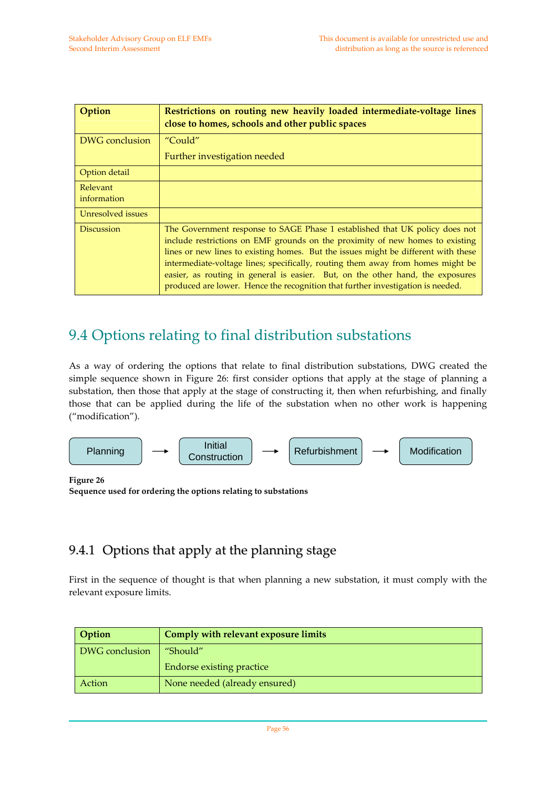| Option                  | Restrictions on routing new heavily loaded intermediate-voltage lines<br>close to homes, schools and other public spaces                                                                                                                                                                                                                                                                                                                                                                                   |
|-------------------------|------------------------------------------------------------------------------------------------------------------------------------------------------------------------------------------------------------------------------------------------------------------------------------------------------------------------------------------------------------------------------------------------------------------------------------------------------------------------------------------------------------|
| DWG conclusion          | "Could"                                                                                                                                                                                                                                                                                                                                                                                                                                                                                                    |
|                         | Further investigation needed                                                                                                                                                                                                                                                                                                                                                                                                                                                                               |
| Option detail           |                                                                                                                                                                                                                                                                                                                                                                                                                                                                                                            |
| Relevant<br>information |                                                                                                                                                                                                                                                                                                                                                                                                                                                                                                            |
| Unresolved issues       |                                                                                                                                                                                                                                                                                                                                                                                                                                                                                                            |
| <b>Discussion</b>       | The Government response to SAGE Phase 1 established that UK policy does not<br>include restrictions on EMF grounds on the proximity of new homes to existing<br>lines or new lines to existing homes. But the issues might be different with these<br>intermediate-voltage lines; specifically, routing them away from homes might be<br>easier, as routing in general is easier. But, on the other hand, the exposures<br>produced are lower. Hence the recognition that further investigation is needed. |

#### 9.4 Options relating to final distribution substations

As a way of ordering the options that relate to final distribution substations, DWG created the simple sequence shown in Figure 26: first consider options that apply at the stage of planning a substation, then those that apply at the stage of constructing it, then when refurbishing, and finally those that can be applied during the life of the substation when no other work is happening ("modification").



**Figure 26**

```
Sequence used for ordering the options relating to substations
```
#### 9.4.1 Options that apply at the planning stage

First in the sequence of thought is that when planning a new substation, it must comply with the relevant exposure limits.

| <b>Option</b>  | Comply with relevant exposure limits |
|----------------|--------------------------------------|
| DWG conclusion | "Should"                             |
|                | <b>Endorse existing practice</b>     |
| Action         | None needed (already ensured)        |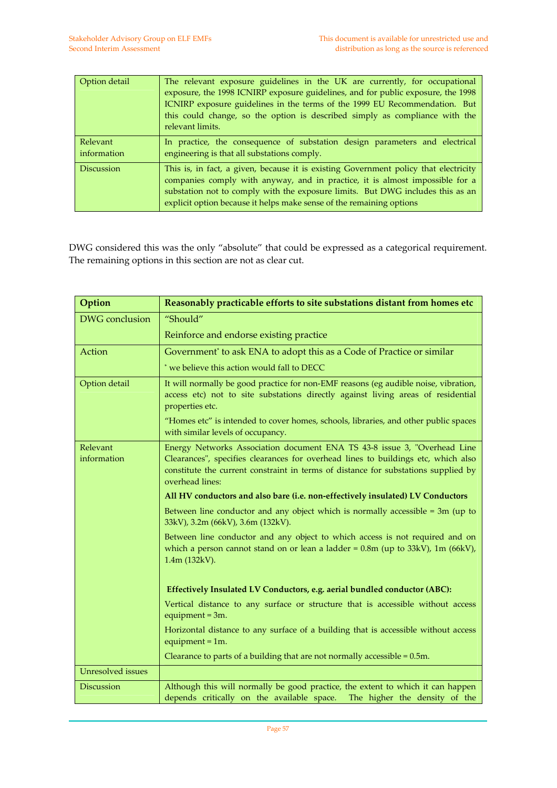| Option detail           | The relevant exposure guidelines in the UK are currently, for occupational<br>exposure, the 1998 ICNIRP exposure guidelines, and for public exposure, the 1998<br>ICNIRP exposure guidelines in the terms of the 1999 EU Recommendation. But<br>this could change, so the option is described simply as compliance with the<br>relevant limits. |
|-------------------------|-------------------------------------------------------------------------------------------------------------------------------------------------------------------------------------------------------------------------------------------------------------------------------------------------------------------------------------------------|
| Relevant<br>information | In practice, the consequence of substation design parameters and electrical<br>engineering is that all substations comply.                                                                                                                                                                                                                      |
| <b>Discussion</b>       | This is, in fact, a given, because it is existing Government policy that electricity<br>companies comply with anyway, and in practice, it is almost impossible for a<br>substation not to comply with the exposure limits. But DWG includes this as an<br>explicit option because it helps make sense of the remaining options                  |

DWG considered this was the only "absolute" that could be expressed as a categorical requirement. The remaining options in this section are not as clear cut.

| Option                   | Reasonably practicable efforts to site substations distant from homes etc                                                                                                                                                                                              |
|--------------------------|------------------------------------------------------------------------------------------------------------------------------------------------------------------------------------------------------------------------------------------------------------------------|
| DWG conclusion           | "Should"                                                                                                                                                                                                                                                               |
|                          | Reinforce and endorse existing practice                                                                                                                                                                                                                                |
| Action                   | Government <sup>*</sup> to ask ENA to adopt this as a Code of Practice or similar                                                                                                                                                                                      |
|                          | * we believe this action would fall to DECC                                                                                                                                                                                                                            |
| Option detail            | It will normally be good practice for non-EMF reasons (eg audible noise, vibration,<br>access etc) not to site substations directly against living areas of residential<br>properties etc.                                                                             |
|                          | "Homes etc" is intended to cover homes, schools, libraries, and other public spaces<br>with similar levels of occupancy.                                                                                                                                               |
| Relevant<br>information  | Energy Networks Association document ENA TS 43-8 issue 3, "Overhead Line<br>Clearances", specifies clearances for overhead lines to buildings etc, which also<br>constitute the current constraint in terms of distance for substations supplied by<br>overhead lines: |
|                          | All HV conductors and also bare (i.e. non-effectively insulated) LV Conductors                                                                                                                                                                                         |
|                          | Between line conductor and any object which is normally accessible $=$ 3m (up to<br>33kV), 3.2m (66kV), 3.6m (132kV).                                                                                                                                                  |
|                          | Between line conductor and any object to which access is not required and on<br>which a person cannot stand on or lean a ladder = $0.8$ m (up to $33kV$ ), 1m ( $66kV$ ),<br>1.4m (132kV).                                                                             |
|                          |                                                                                                                                                                                                                                                                        |
|                          | Effectively Insulated LV Conductors, e.g. aerial bundled conductor (ABC):                                                                                                                                                                                              |
|                          | Vertical distance to any surface or structure that is accessible without access<br>equipment = $3m$ .                                                                                                                                                                  |
|                          | Horizontal distance to any surface of a building that is accessible without access<br>equipment = $1m$ .                                                                                                                                                               |
|                          | Clearance to parts of a building that are not normally accessible = $0.5m$ .                                                                                                                                                                                           |
| <b>Unresolved</b> issues |                                                                                                                                                                                                                                                                        |
| Discussion               | Although this will normally be good practice, the extent to which it can happen<br>depends critically on the available space.<br>The higher the density of the                                                                                                         |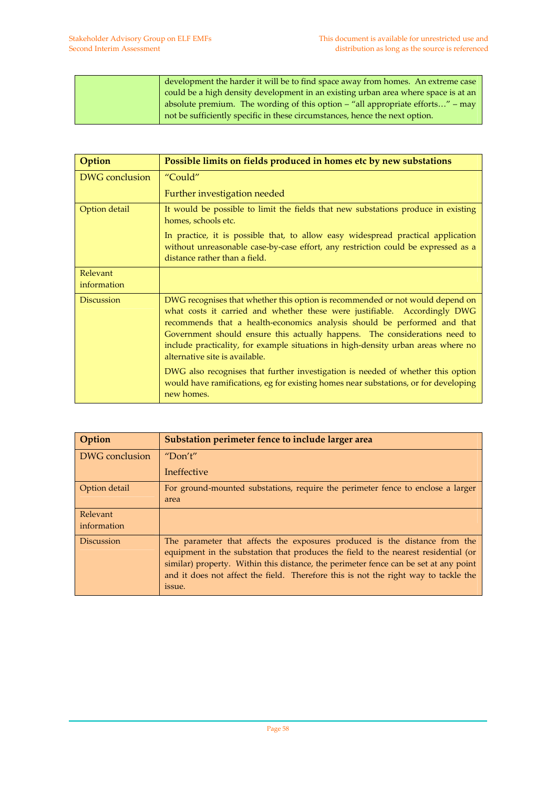| development the harder it will be to find space away from homes. An extreme case   |
|------------------------------------------------------------------------------------|
| could be a high density development in an existing urban area where space is at an |
| absolute premium. The wording of this option $-$ "all appropriate efforts" $-$ may |
| not be sufficiently specific in these circumstances, hence the next option.        |

| Option                  | Possible limits on fields produced in homes etc by new substations                                                                                                                                                                                                                                                                                                                                                                                                                                                                                                                                                                  |
|-------------------------|-------------------------------------------------------------------------------------------------------------------------------------------------------------------------------------------------------------------------------------------------------------------------------------------------------------------------------------------------------------------------------------------------------------------------------------------------------------------------------------------------------------------------------------------------------------------------------------------------------------------------------------|
| DWG conclusion          | "Could"                                                                                                                                                                                                                                                                                                                                                                                                                                                                                                                                                                                                                             |
|                         | Further investigation needed                                                                                                                                                                                                                                                                                                                                                                                                                                                                                                                                                                                                        |
| Option detail           | It would be possible to limit the fields that new substations produce in existing<br>homes, schools etc.                                                                                                                                                                                                                                                                                                                                                                                                                                                                                                                            |
|                         | In practice, it is possible that, to allow easy widespread practical application<br>without unreasonable case-by-case effort, any restriction could be expressed as a<br>distance rather than a field.                                                                                                                                                                                                                                                                                                                                                                                                                              |
| Relevant<br>information |                                                                                                                                                                                                                                                                                                                                                                                                                                                                                                                                                                                                                                     |
| <b>Discussion</b>       | DWG recognises that whether this option is recommended or not would depend on<br>what costs it carried and whether these were justifiable. Accordingly DWG<br>recommends that a health-economics analysis should be performed and that<br>Government should ensure this actually happens. The considerations need to<br>include practicality, for example situations in high-density urban areas where no<br>alternative site is available.<br>DWG also recognises that further investigation is needed of whether this option<br>would have ramifications, eg for existing homes near substations, or for developing<br>new homes. |

| Option                  | Substation perimeter fence to include larger area                                                                                                                                                                                                                                                                                                         |
|-------------------------|-----------------------------------------------------------------------------------------------------------------------------------------------------------------------------------------------------------------------------------------------------------------------------------------------------------------------------------------------------------|
| DWG conclusion          | "Don't"                                                                                                                                                                                                                                                                                                                                                   |
|                         | Ineffective                                                                                                                                                                                                                                                                                                                                               |
| Option detail           | For ground-mounted substations, require the perimeter fence to enclose a larger<br>area                                                                                                                                                                                                                                                                   |
| Relevant<br>information |                                                                                                                                                                                                                                                                                                                                                           |
| <b>Discussion</b>       | The parameter that affects the exposures produced is the distance from the<br>equipment in the substation that produces the field to the nearest residential (or<br>similar) property. Within this distance, the perimeter fence can be set at any point<br>and it does not affect the field. Therefore this is not the right way to tackle the<br>issue. |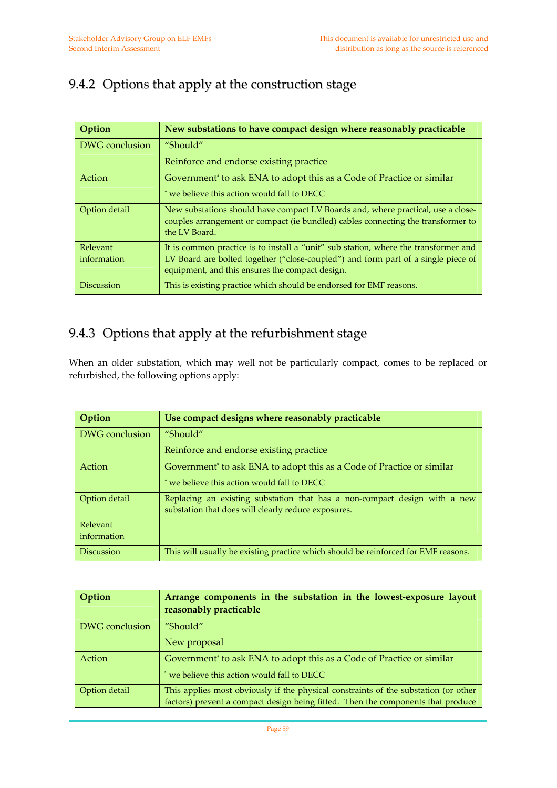#### 9.4.2 Options that apply at the construction stage

| Option            | New substations to have compact design where reasonably practicable                                                                                                                   |
|-------------------|---------------------------------------------------------------------------------------------------------------------------------------------------------------------------------------|
| DWG conclusion    | "Should"                                                                                                                                                                              |
|                   | Reinforce and endorse existing practice                                                                                                                                               |
| Action            | Government <sup>*</sup> to ask ENA to adopt this as a Code of Practice or similar                                                                                                     |
|                   | * we believe this action would fall to DECC                                                                                                                                           |
| Option detail     | New substations should have compact LV Boards and, where practical, use a close-<br>couples arrangement or compact (ie bundled) cables connecting the transformer to<br>the LV Board. |
| Relevant          | It is common practice is to install a "unit" sub station, where the transformer and                                                                                                   |
| information       | LV Board are bolted together ("close-coupled") and form part of a single piece of<br>equipment, and this ensures the compact design.                                                  |
| <b>Discussion</b> | This is existing practice which should be endorsed for EMF reasons.                                                                                                                   |

#### 9.4.3 Options that apply at the refurbishment stage

When an older substation, which may well not be particularly compact, comes to be replaced or refurbished, the following options apply:

| Option            | Use compact designs where reasonably practicable                                                                                 |
|-------------------|----------------------------------------------------------------------------------------------------------------------------------|
| DWG conclusion    | "Should"                                                                                                                         |
|                   | Reinforce and endorse existing practice                                                                                          |
| Action            | Government* to ask ENA to adopt this as a Code of Practice or similar                                                            |
|                   | we believe this action would fall to DECC                                                                                        |
| Option detail     | Replacing an existing substation that has a non-compact design with a new<br>substation that does will clearly reduce exposures. |
| Relevant          |                                                                                                                                  |
| information       |                                                                                                                                  |
| <b>Discussion</b> | This will usually be existing practice which should be reinforced for EMF reasons.                                               |

| Option         | Arrange components in the substation in the lowest-exposure layout<br>reasonably practicable                                                                            |
|----------------|-------------------------------------------------------------------------------------------------------------------------------------------------------------------------|
| DWG conclusion | "Should"                                                                                                                                                                |
|                | New proposal                                                                                                                                                            |
| Action         | Government <sup>*</sup> to ask ENA to adopt this as a Code of Practice or similar                                                                                       |
|                | we believe this action would fall to DECC                                                                                                                               |
| Option detail  | This applies most obviously if the physical constraints of the substation (or other<br>factors) prevent a compact design being fitted. Then the components that produce |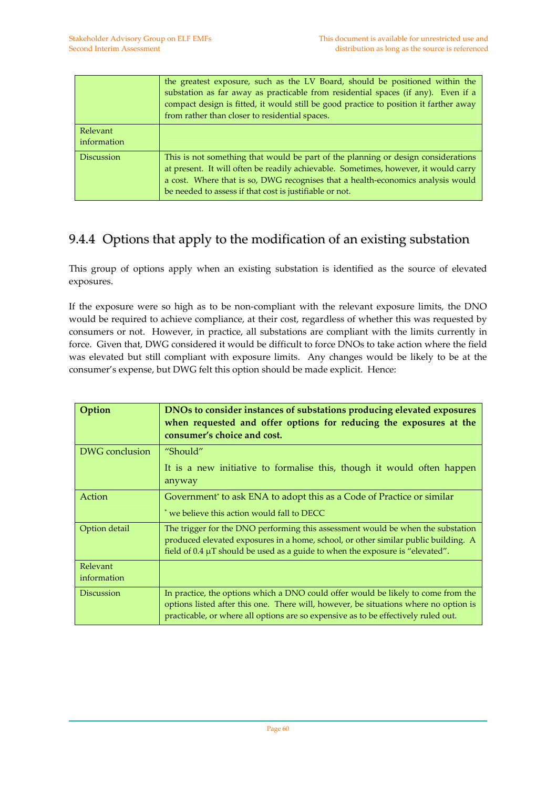|                         | the greatest exposure, such as the LV Board, should be positioned within the<br>substation as far away as practicable from residential spaces (if any). Even if a<br>compact design is fitted, it would still be good practice to position it farther away<br>from rather than closer to residential spaces.           |
|-------------------------|------------------------------------------------------------------------------------------------------------------------------------------------------------------------------------------------------------------------------------------------------------------------------------------------------------------------|
| Relevant<br>information |                                                                                                                                                                                                                                                                                                                        |
| <b>Discussion</b>       | This is not something that would be part of the planning or design considerations<br>at present. It will often be readily achievable. Sometimes, however, it would carry<br>a cost. Where that is so, DWG recognises that a health-economics analysis would<br>be needed to assess if that cost is justifiable or not. |

#### 9.4.4 Options that apply to the modification of an existing substation

This group of options apply when an existing substation is identified as the source of elevated exposures.

If the exposure were so high as to be non‐compliant with the relevant exposure limits, the DNO would be required to achieve compliance, at their cost, regardless of whether this was requested by consumers or not. However, in practice, all substations are compliant with the limits currently in force. Given that, DWG considered it would be difficult to force DNOs to take action where the field was elevated but still compliant with exposure limits. Any changes would be likely to be at the consumer's expense, but DWG felt this option should be made explicit. Hence:

| Option                  | DNOs to consider instances of substations producing elevated exposures<br>when requested and offer options for reducing the exposures at the<br>consumer's choice and cost.                                                                                     |
|-------------------------|-----------------------------------------------------------------------------------------------------------------------------------------------------------------------------------------------------------------------------------------------------------------|
| DWG conclusion          | "Should"<br>It is a new initiative to formalise this, though it would often happen<br>anyway                                                                                                                                                                    |
| Action                  | Government <sup>*</sup> to ask ENA to adopt this as a Code of Practice or similar<br>* we believe this action would fall to DECC                                                                                                                                |
| Option detail           | The trigger for the DNO performing this assessment would be when the substation<br>produced elevated exposures in a home, school, or other similar public building. A<br>field of 0.4 µT should be used as a guide to when the exposure is "elevated".          |
| Relevant<br>information |                                                                                                                                                                                                                                                                 |
| <b>Discussion</b>       | In practice, the options which a DNO could offer would be likely to come from the<br>options listed after this one. There will, however, be situations where no option is<br>practicable, or where all options are so expensive as to be effectively ruled out. |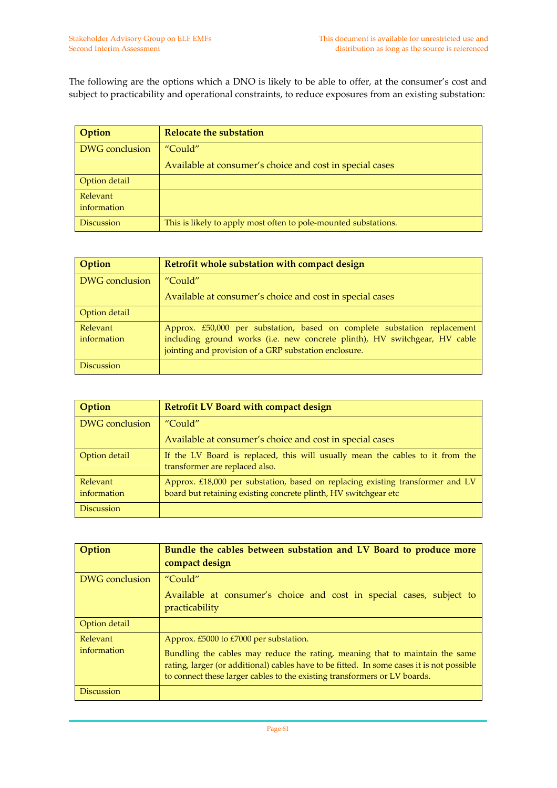The following are the options which a DNO is likely to be able to offer, at the consumer's cost and subject to practicability and operational constraints, to reduce exposures from an existing substation:

| Option                  | <b>Relocate the substation</b>                                  |
|-------------------------|-----------------------------------------------------------------|
| <b>DWG</b> conclusion   | "Could"                                                         |
|                         | Available at consumer's choice and cost in special cases        |
| Option detail           |                                                                 |
| Relevant<br>information |                                                                 |
| <b>Discussion</b>       | This is likely to apply most often to pole-mounted substations. |

| Option                  | Retrofit whole substation with compact design                                                                                                                                                                   |
|-------------------------|-----------------------------------------------------------------------------------------------------------------------------------------------------------------------------------------------------------------|
| DWG conclusion          | "Could"                                                                                                                                                                                                         |
|                         | Available at consumer's choice and cost in special cases                                                                                                                                                        |
| Option detail           |                                                                                                                                                                                                                 |
| Relevant<br>information | Approx. £50,000 per substation, based on complete substation replacement<br>including ground works (i.e. new concrete plinth), HV switchgear, HV cable<br>jointing and provision of a GRP substation enclosure. |
| <b>Discussion</b>       |                                                                                                                                                                                                                 |

| Option                  | <b>Retrofit LV Board with compact design</b>                                                                                                      |
|-------------------------|---------------------------------------------------------------------------------------------------------------------------------------------------|
| <b>DWG</b> conclusion   | "Could"                                                                                                                                           |
|                         | Available at consumer's choice and cost in special cases                                                                                          |
| Option detail           | If the LV Board is replaced, this will usually mean the cables to it from the<br>transformer are replaced also.                                   |
| Relevant<br>information | Approx. £18,000 per substation, based on replacing existing transformer and LV<br>board but retaining existing concrete plinth, HV switchgear etc |
| <b>Discussion</b>       |                                                                                                                                                   |

| Option                  | Bundle the cables between substation and LV Board to produce more<br>compact design                                                                                                                                                                                                              |
|-------------------------|--------------------------------------------------------------------------------------------------------------------------------------------------------------------------------------------------------------------------------------------------------------------------------------------------|
| DWG conclusion          | "Could"                                                                                                                                                                                                                                                                                          |
|                         | Available at consumer's choice and cost in special cases, subject to<br>practicability                                                                                                                                                                                                           |
| Option detail           |                                                                                                                                                                                                                                                                                                  |
| Relevant<br>information | Approx. £5000 to £7000 per substation.<br>Bundling the cables may reduce the rating, meaning that to maintain the same<br>rating, larger (or additional) cables have to be fitted. In some cases it is not possible<br>to connect these larger cables to the existing transformers or LV boards. |
| <b>Discussion</b>       |                                                                                                                                                                                                                                                                                                  |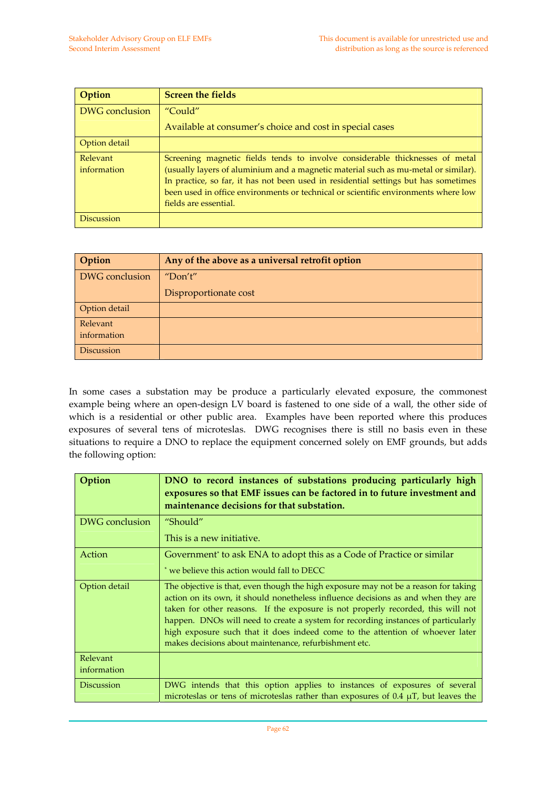| Option                  | <b>Screen the fields</b>                                                                                                                                                                                                                                                                                                                                                 |
|-------------------------|--------------------------------------------------------------------------------------------------------------------------------------------------------------------------------------------------------------------------------------------------------------------------------------------------------------------------------------------------------------------------|
| DWG conclusion          | "Could"                                                                                                                                                                                                                                                                                                                                                                  |
|                         | Available at consumer's choice and cost in special cases                                                                                                                                                                                                                                                                                                                 |
| Option detail           |                                                                                                                                                                                                                                                                                                                                                                          |
| Relevant<br>information | Screening magnetic fields tends to involve considerable thicknesses of metal<br>(usually layers of aluminium and a magnetic material such as mu-metal or similar).<br>In practice, so far, it has not been used in residential settings but has sometimes<br>been used in office environments or technical or scientific environments where low<br>fields are essential. |
| <b>Discussion</b>       |                                                                                                                                                                                                                                                                                                                                                                          |

| Option                  | Any of the above as a universal retrofit option |
|-------------------------|-------------------------------------------------|
| DWG conclusion          | "Don't"                                         |
|                         | Disproportionate cost                           |
| Option detail           |                                                 |
| Relevant<br>information |                                                 |
| <b>Discussion</b>       |                                                 |

In some cases a substation may be produce a particularly elevated exposure, the commonest example being where an open‐design LV board is fastened to one side of a wall, the other side of which is a residential or other public area. Examples have been reported where this produces exposures of several tens of microteslas. DWG recognises there is still no basis even in these situations to require a DNO to replace the equipment concerned solely on EMF grounds, but adds the following option:

| Option                  | DNO to record instances of substations producing particularly high<br>exposures so that EMF issues can be factored in to future investment and<br>maintenance decisions for that substation.                                                                                                                                                                                                                                                                                                |
|-------------------------|---------------------------------------------------------------------------------------------------------------------------------------------------------------------------------------------------------------------------------------------------------------------------------------------------------------------------------------------------------------------------------------------------------------------------------------------------------------------------------------------|
| DWG conclusion          | "Should"                                                                                                                                                                                                                                                                                                                                                                                                                                                                                    |
|                         | This is a new initiative.                                                                                                                                                                                                                                                                                                                                                                                                                                                                   |
| Action                  | Government <sup>*</sup> to ask ENA to adopt this as a Code of Practice or similar                                                                                                                                                                                                                                                                                                                                                                                                           |
|                         | * we believe this action would fall to DECC                                                                                                                                                                                                                                                                                                                                                                                                                                                 |
| Option detail           | The objective is that, even though the high exposure may not be a reason for taking<br>action on its own, it should nonetheless influence decisions as and when they are<br>taken for other reasons. If the exposure is not properly recorded, this will not<br>happen. DNOs will need to create a system for recording instances of particularly<br>high exposure such that it does indeed come to the attention of whoever later<br>makes decisions about maintenance, refurbishment etc. |
| Relevant<br>information |                                                                                                                                                                                                                                                                                                                                                                                                                                                                                             |
| <b>Discussion</b>       | DWG intends that this option applies to instances of exposures of several<br>microteslas or tens of microteslas rather than exposures of $0.4 \mu T$ , but leaves the                                                                                                                                                                                                                                                                                                                       |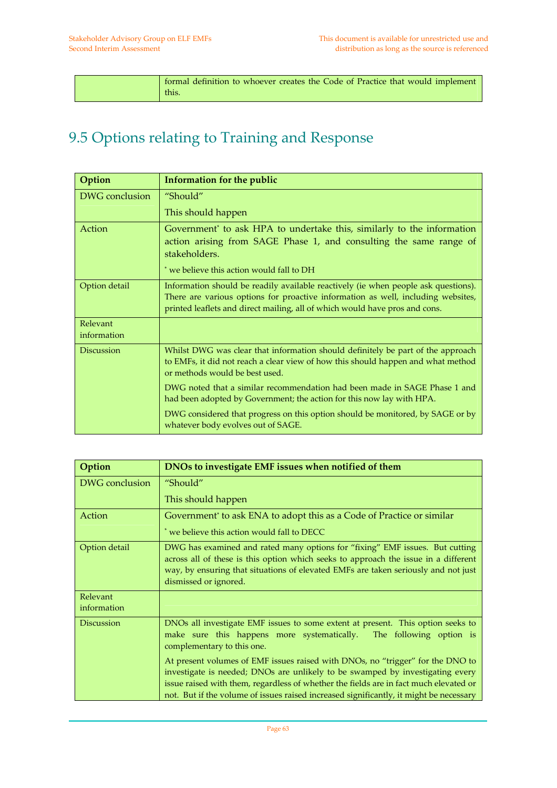|  | formal definition to whoever creates the Code of Practice that would implement |
|--|--------------------------------------------------------------------------------|
|  | this.                                                                          |

## 9.5 Options relating to Training and Response

| Option                  | <b>Information for the public</b>                                                                                                                                                                                                                     |
|-------------------------|-------------------------------------------------------------------------------------------------------------------------------------------------------------------------------------------------------------------------------------------------------|
| DWG conclusion          | "Should"                                                                                                                                                                                                                                              |
|                         | This should happen                                                                                                                                                                                                                                    |
| Action                  | Government <sup>*</sup> to ask HPA to undertake this, similarly to the information<br>action arising from SAGE Phase 1, and consulting the same range of<br>stakeholders.                                                                             |
|                         | * we believe this action would fall to DH                                                                                                                                                                                                             |
| Option detail           | Information should be readily available reactively (ie when people ask questions).<br>There are various options for proactive information as well, including websites,<br>printed leaflets and direct mailing, all of which would have pros and cons. |
| Relevant<br>information |                                                                                                                                                                                                                                                       |
| <b>Discussion</b>       | Whilst DWG was clear that information should definitely be part of the approach<br>to EMFs, it did not reach a clear view of how this should happen and what method<br>or methods would be best used.                                                 |
|                         | DWG noted that a similar recommendation had been made in SAGE Phase 1 and<br>had been adopted by Government; the action for this now lay with HPA.                                                                                                    |
|                         | DWG considered that progress on this option should be monitored, by SAGE or by<br>whatever body evolves out of SAGE.                                                                                                                                  |

| Option                  | DNOs to investigate EMF issues when notified of them                                                                                                                                                                                                                                                                                               |
|-------------------------|----------------------------------------------------------------------------------------------------------------------------------------------------------------------------------------------------------------------------------------------------------------------------------------------------------------------------------------------------|
| DWG conclusion          | "Should"                                                                                                                                                                                                                                                                                                                                           |
|                         | This should happen                                                                                                                                                                                                                                                                                                                                 |
| Action                  | Government <sup>*</sup> to ask ENA to adopt this as a Code of Practice or similar                                                                                                                                                                                                                                                                  |
|                         | * we believe this action would fall to DECC                                                                                                                                                                                                                                                                                                        |
| Option detail           | DWG has examined and rated many options for "fixing" EMF issues. But cutting<br>across all of these is this option which seeks to approach the issue in a different<br>way, by ensuring that situations of elevated EMFs are taken seriously and not just<br>dismissed or ignored.                                                                 |
| Relevant<br>information |                                                                                                                                                                                                                                                                                                                                                    |
| <b>Discussion</b>       | DNOs all investigate EMF issues to some extent at present. This option seeks to<br>make sure this happens more systematically.<br>The following option is<br>complementary to this one.                                                                                                                                                            |
|                         | At present volumes of EMF issues raised with DNOs, no "trigger" for the DNO to<br>investigate is needed; DNOs are unlikely to be swamped by investigating every<br>issue raised with them, regardless of whether the fields are in fact much elevated or<br>not. But if the volume of issues raised increased significantly, it might be necessary |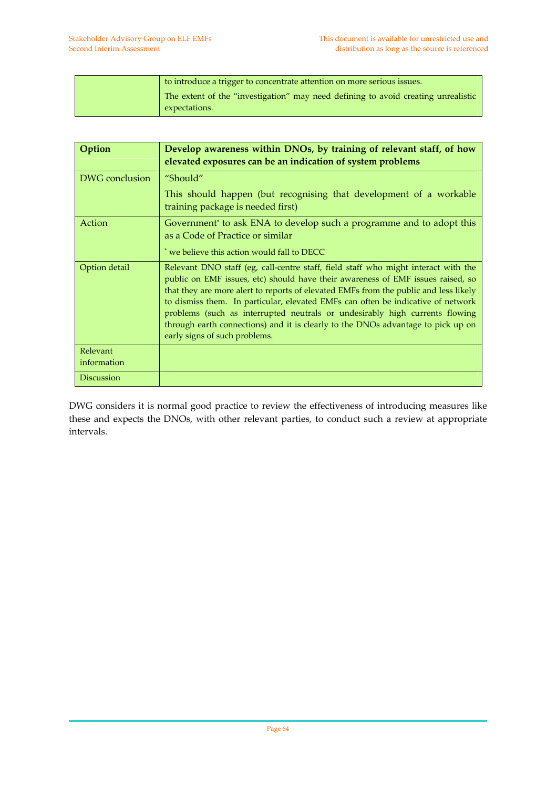| to introduce a trigger to concentrate attention on more serious issues.                            |
|----------------------------------------------------------------------------------------------------|
| The extent of the "investigation" may need defining to avoid creating unrealistic<br>expectations. |

| Option                  | Develop awareness within DNOs, by training of relevant staff, of how<br>elevated exposures can be an indication of system problems                                                                                                                                                                                                                                                                                                                                                                                                                    |
|-------------------------|-------------------------------------------------------------------------------------------------------------------------------------------------------------------------------------------------------------------------------------------------------------------------------------------------------------------------------------------------------------------------------------------------------------------------------------------------------------------------------------------------------------------------------------------------------|
| DWG conclusion          | "Should"                                                                                                                                                                                                                                                                                                                                                                                                                                                                                                                                              |
|                         | This should happen (but recognising that development of a workable<br>training package is needed first)                                                                                                                                                                                                                                                                                                                                                                                                                                               |
| Action                  | Government to ask ENA to develop such a programme and to adopt this<br>as a Code of Practice or similar                                                                                                                                                                                                                                                                                                                                                                                                                                               |
|                         | * we believe this action would fall to DECC                                                                                                                                                                                                                                                                                                                                                                                                                                                                                                           |
| Option detail           | Relevant DNO staff (eg, call-centre staff, field staff who might interact with the<br>public on EMF issues, etc) should have their awareness of EMF issues raised, so<br>that they are more alert to reports of elevated EMFs from the public and less likely<br>to dismiss them. In particular, elevated EMFs can often be indicative of network<br>problems (such as interrupted neutrals or undesirably high currents flowing<br>through earth connections) and it is clearly to the DNOs advantage to pick up on<br>early signs of such problems. |
| Relevant<br>information |                                                                                                                                                                                                                                                                                                                                                                                                                                                                                                                                                       |
| <b>Discussion</b>       |                                                                                                                                                                                                                                                                                                                                                                                                                                                                                                                                                       |

DWG considers it is normal good practice to review the effectiveness of introducing measures like these and expects the DNOs, with other relevant parties, to conduct such a review at appropriate intervals.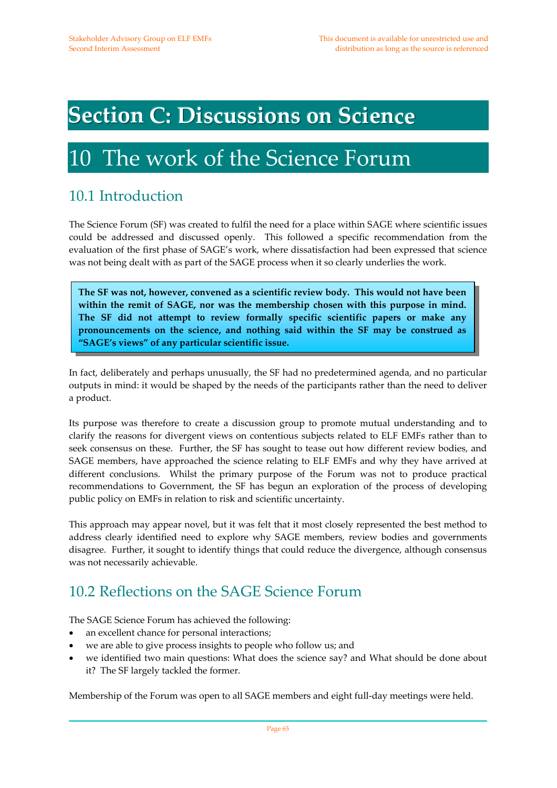## **Section C: Discussions on Science**

## 10 The work of the Science Forum

### 10.1 Introduction

The Science Forum (SF) was created to fulfil the need for a place within SAGE where scientific issues could be addressed and discussed openly. This followed a specific recommendation from the evaluation of the first phase of SAGE's work, where dissatisfaction had been expressed that science was not being dealt with as part of the SAGE process when it so clearly underlies the work.

**The SF was not, however, convened as a scientific review body. This would not have been within the remit of SAGE, nor was the membership chosen with this purpose in mind. The SF did not attempt to review formally specific scientific papers or make any pronouncements on the science, and nothing said within the SF may be construed as "SAGE's views" of any particular scientific issue.** 

In fact, deliberately and perhaps unusually, the SF had no predetermined agenda, and no particular outputs in mind: it would be shaped by the needs of the participants rather than the need to deliver a product.

Its purpose was therefore to create a discussion group to promote mutual understanding and to clarify the reasons for divergent views on contentious subjects related to ELF EMFs rather than to seek consensus on these. Further, the SF has sought to tease out how different review bodies, and SAGE members, have approached the science relating to ELF EMFs and why they have arrived at different conclusions. Whilst the primary purpose of the Forum was not to produce practical recommendations to Government, the SF has begun an exploration of the process of developing public policy on EMFs in relation to risk and scientific uncertainty.

This approach may appear novel, but it was felt that it most closely represented the best method to address clearly identified need to explore why SAGE members, review bodies and governments disagree. Further, it sought to identify things that could reduce the divergence, although consensus was not necessarily achievable.

### 10.2 Reflections on the SAGE Science Forum

The SAGE Science Forum has achieved the following:

- an excellent chance for personal interactions;
- we are able to give process insights to people who follow us; and
- we identified two main questions: What does the science say? and What should be done about it? The SF largely tackled the former.

Membership of the Forum was open to all SAGE members and eight full-day meetings were held.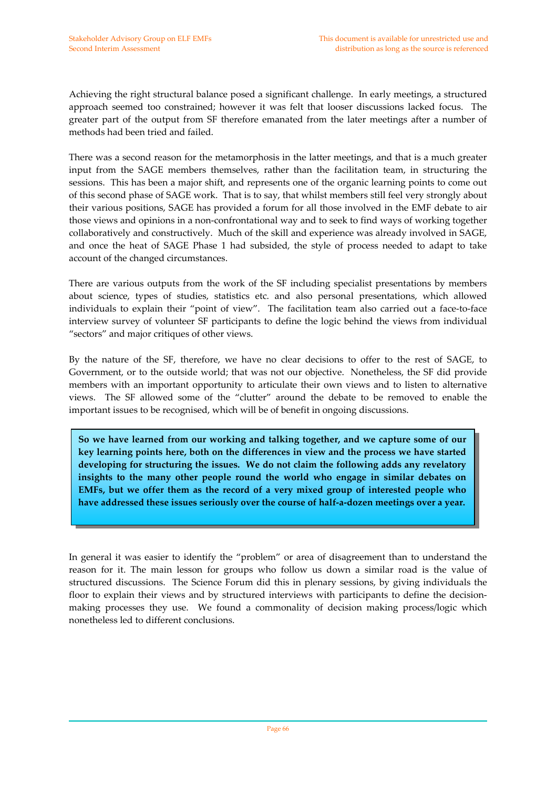Achieving the right structural balance posed a significant challenge. In early meetings, a structured approach seemed too constrained; however it was felt that looser discussions lacked focus. The greater part of the output from SF therefore emanated from the later meetings after a number of methods had been tried and failed.

There was a second reason for the metamorphosis in the latter meetings, and that is a much greater input from the SAGE members themselves, rather than the facilitation team, in structuring the sessions. This has been a major shift, and represents one of the organic learning points to come out of this second phase of SAGE work. That is to say, that whilst members still feel very strongly about their various positions, SAGE has provided a forum for all those involved in the EMF debate to air those views and opinions in a non‐confrontational way and to seek to find ways of working together collaboratively and constructively. Much of the skill and experience was already involved in SAGE, and once the heat of SAGE Phase 1 had subsided, the style of process needed to adapt to take account of the changed circumstances.

There are various outputs from the work of the SF including specialist presentations by members about science, types of studies, statistics etc. and also personal presentations, which allowed individuals to explain their "point of view". The facilitation team also carried out a face-to-face interview survey of volunteer SF participants to define the logic behind the views from individual "sectors" and major critiques of other views.

By the nature of the SF, therefore, we have no clear decisions to offer to the rest of SAGE, to Government, or to the outside world; that was not our objective. Nonetheless, the SF did provide members with an important opportunity to articulate their own views and to listen to alternative views. The SF allowed some of the "clutter" around the debate to be removed to enable the important issues to be recognised, which will be of benefit in ongoing discussions.

**So we have learned from our working and talking together, and we capture some of our key learning points here, both on the differences in view and the process we have started developing for structuring the issues. We do not claim the following adds any revelatory insights to the many other people round the world who engage in similar debates on EMFs, but we offer them as the record of a very mixed group of interested people who have addressed these issues seriously over the course of half‐a‐dozen meetings over a year.**

In general it was easier to identify the "problem" or area of disagreement than to understand the reason for it. The main lesson for groups who follow us down a similar road is the value of structured discussions. The Science Forum did this in plenary sessions, by giving individuals the floor to explain their views and by structured interviews with participants to define the decisionmaking processes they use. We found a commonality of decision making process/logic which nonetheless led to different conclusions.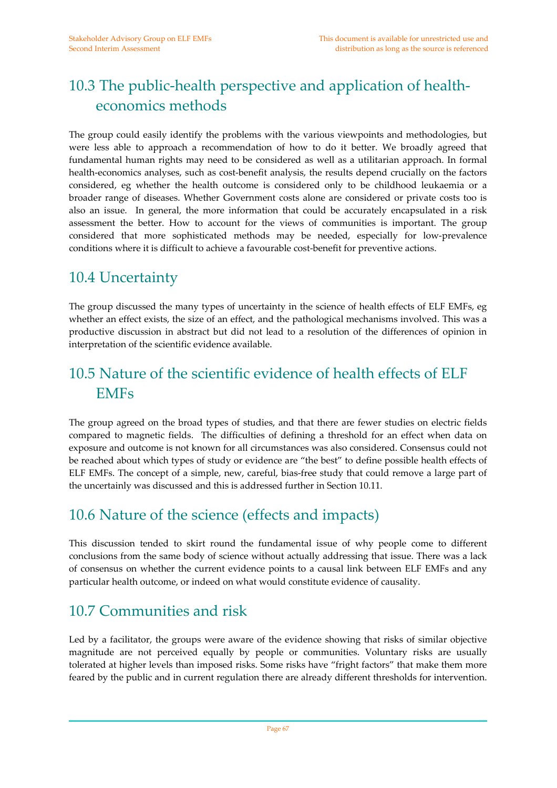## 10.3 The public-health perspective and application of healtheconomics methods

The group could easily identify the problems with the various viewpoints and methodologies, but were less able to approach a recommendation of how to do it better. We broadly agreed that fundamental human rights may need to be considered as well as a utilitarian approach. In formal health-economics analyses, such as cost-benefit analysis, the results depend crucially on the factors considered, eg whether the health outcome is considered only to be childhood leukaemia or a broader range of diseases. Whether Government costs alone are considered or private costs too is also an issue. In general, the more information that could be accurately encapsulated in a risk assessment the better. How to account for the views of communities is important. The group considered that more sophisticated methods may be needed, especially for low‐prevalence conditions where it is difficult to achieve a favourable cost-benefit for preventive actions.

#### 10.4 Uncertainty

The group discussed the many types of uncertainty in the science of health effects of ELF EMFs, eg whether an effect exists, the size of an effect, and the pathological mechanisms involved. This was a productive discussion in abstract but did not lead to a resolution of the differences of opinion in interpretation of the scientific evidence available.

## 10.5 Nature of the scientific evidence of health effects of ELF EMFs

The group agreed on the broad types of studies, and that there are fewer studies on electric fields compared to magnetic fields. The difficulties of defining a threshold for an effect when data on exposure and outcome is not known for all circumstances was also considered. Consensus could not be reached about which types of study or evidence are "the best" to define possible health effects of ELF EMFs. The concept of a simple, new, careful, bias‐free study that could remove a large part of the uncertainly was discussed and this is addressed further in Section 10.11.

### 10.6 Nature of the science (effects and impacts)

This discussion tended to skirt round the fundamental issue of why people come to different conclusions from the same body of science without actually addressing that issue. There was a lack of consensus on whether the current evidence points to a causal link between ELF EMFs and any particular health outcome, or indeed on what would constitute evidence of causality.

#### 10.7 Communities and risk

Led by a facilitator, the groups were aware of the evidence showing that risks of similar objective magnitude are not perceived equally by people or communities. Voluntary risks are usually tolerated at higher levels than imposed risks. Some risks have "fright factors" that make them more feared by the public and in current regulation there are already different thresholds for intervention.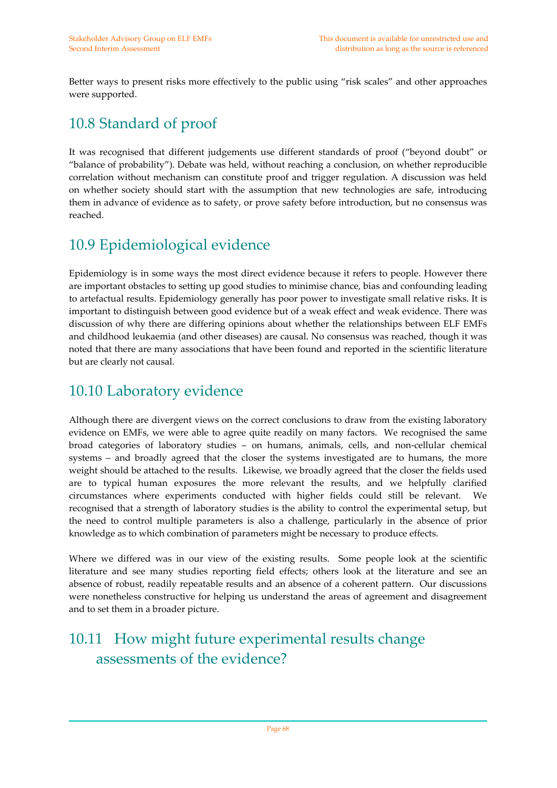Better ways to present risks more effectively to the public using "risk scales" and other approaches were supported.

## 10.8 Standard of proof

It was recognised that different judgements use different standards of proof ("beyond doubt" or "balance of probability"). Debate was held, without reaching a conclusion, on whether reproducible correlation without mechanism can constitute proof and trigger regulation. A discussion was held on whether society should start with the assumption that new technologies are safe, introducing them in advance of evidence as to safety, or prove safety before introduction, but no consensus was reached.

## 10.9 Epidemiological evidence

Epidemiology is in some ways the most direct evidence because it refers to people. However there are important obstacles to setting up good studies to minimise chance, bias and confounding leading to artefactual results. Epidemiology generally has poor power to investigate small relative risks. It is important to distinguish between good evidence but of a weak effect and weak evidence. There was discussion of why there are differing opinions about whether the relationships between ELF EMFs and childhood leukaemia (and other diseases) are causal. No consensus was reached, though it was noted that there are many associations that have been found and reported in the scientific literature but are clearly not causal.

#### 10.10 Laboratory evidence

Although there are divergent views on the correct conclusions to draw from the existing laboratory evidence on EMFs, we were able to agree quite readily on many factors. We recognised the same broad categories of laboratory studies – on humans, animals, cells, and non‐cellular chemical systems – and broadly agreed that the closer the systems investigated are to humans, the more weight should be attached to the results. Likewise, we broadly agreed that the closer the fields used are to typical human exposures the more relevant the results, and we helpfully clarified circumstances where experiments conducted with higher fields could still be relevant. We recognised that a strength of laboratory studies is the ability to control the experimental setup, but the need to control multiple parameters is also a challenge, particularly in the absence of prior knowledge as to which combination of parameters might be necessary to produce effects.

Where we differed was in our view of the existing results. Some people look at the scientific literature and see many studies reporting field effects; others look at the literature and see an absence of robust, readily repeatable results and an absence of a coherent pattern. Our discussions were nonetheless constructive for helping us understand the areas of agreement and disagreement and to set them in a broader picture.

## 10.11 How might future experimental results change assessments of the evidence?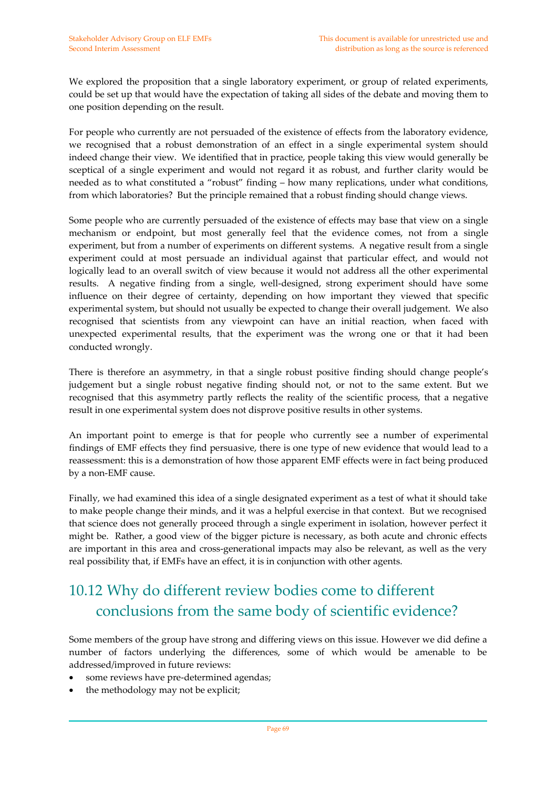We explored the proposition that a single laboratory experiment, or group of related experiments, could be set up that would have the expectation of taking all sides of the debate and moving them to one position depending on the result.

For people who currently are not persuaded of the existence of effects from the laboratory evidence, we recognised that a robust demonstration of an effect in a single experimental system should indeed change their view. We identified that in practice, people taking this view would generally be sceptical of a single experiment and would not regard it as robust, and further clarity would be needed as to what constituted a "robust" finding – how many replications, under what conditions, from which laboratories? But the principle remained that a robust finding should change views.

Some people who are currently persuaded of the existence of effects may base that view on a single mechanism or endpoint, but most generally feel that the evidence comes, not from a single experiment, but from a number of experiments on different systems. A negative result from a single experiment could at most persuade an individual against that particular effect, and would not logically lead to an overall switch of view because it would not address all the other experimental results. A negative finding from a single, well-designed, strong experiment should have some influence on their degree of certainty, depending on how important they viewed that specific experimental system, but should not usually be expected to change their overall judgement. We also recognised that scientists from any viewpoint can have an initial reaction, when faced with unexpected experimental results, that the experiment was the wrong one or that it had been conducted wrongly.

There is therefore an asymmetry, in that a single robust positive finding should change people's judgement but a single robust negative finding should not, or not to the same extent. But we recognised that this asymmetry partly reflects the reality of the scientific process, that a negative result in one experimental system does not disprove positive results in other systems.

An important point to emerge is that for people who currently see a number of experimental findings of EMF effects they find persuasive, there is one type of new evidence that would lead to a reassessment: this is a demonstration of how those apparent EMF effects were in fact being produced by a non‐EMF cause.

Finally, we had examined this idea of a single designated experiment as a test of what it should take to make people change their minds, and it was a helpful exercise in that context. But we recognised that science does not generally proceed through a single experiment in isolation, however perfect it might be. Rather, a good view of the bigger picture is necessary, as both acute and chronic effects are important in this area and cross-generational impacts may also be relevant, as well as the very real possibility that, if EMFs have an effect, it is in conjunction with other agents.

## 10.12 Why do different review bodies come to different conclusions from the same body of scientific evidence?

Some members of the group have strong and differing views on this issue. However we did define a number of factors underlying the differences, some of which would be amenable to be addressed/improved in future reviews:

- some reviews have pre-determined agendas;
- the methodology may not be explicit;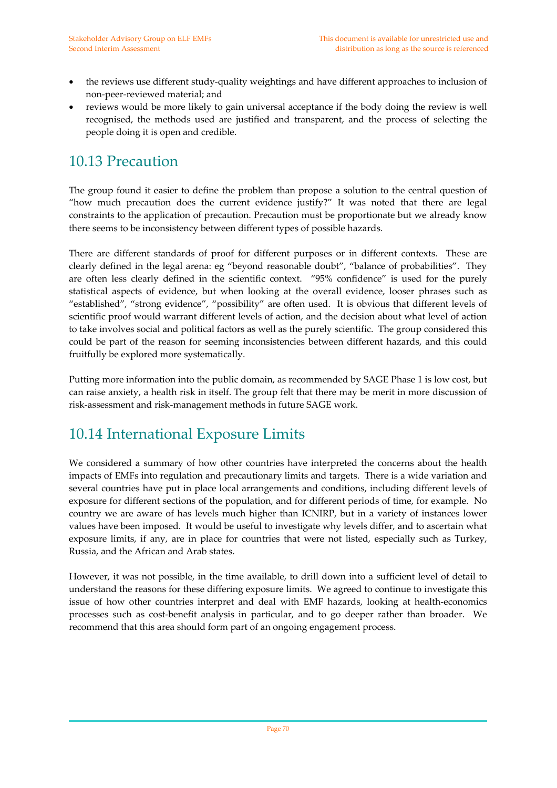- the reviews use different study-quality weightings and have different approaches to inclusion of non‐peer‐reviewed material; and
- reviews would be more likely to gain universal acceptance if the body doing the review is well recognised, the methods used are justified and transparent, and the process of selecting the people doing it is open and credible.

#### 10.13 Precaution

The group found it easier to define the problem than propose a solution to the central question of "how much precaution does the current evidence justify?" It was noted that there are legal constraints to the application of precaution. Precaution must be proportionate but we already know there seems to be inconsistency between different types of possible hazards.

There are different standards of proof for different purposes or in different contexts. These are clearly defined in the legal arena: eg "beyond reasonable doubt", "balance of probabilities". They are often less clearly defined in the scientific context. "95% confidence" is used for the purely statistical aspects of evidence, but when looking at the overall evidence, looser phrases such as "established", "strong evidence", "possibility" are often used. It is obvious that different levels of scientific proof would warrant different levels of action, and the decision about what level of action to take involves social and political factors as well as the purely scientific. The group considered this could be part of the reason for seeming inconsistencies between different hazards, and this could fruitfully be explored more systematically.

Putting more information into the public domain, as recommended by SAGE Phase 1 is low cost, but can raise anxiety, a health risk in itself. The group felt that there may be merit in more discussion of risk‐assessment and risk‐management methods in future SAGE work.

#### 10.14 International Exposure Limits

We considered a summary of how other countries have interpreted the concerns about the health impacts of EMFs into regulation and precautionary limits and targets. There is a wide variation and several countries have put in place local arrangements and conditions, including different levels of exposure for different sections of the population, and for different periods of time, for example. No country we are aware of has levels much higher than ICNIRP, but in a variety of instances lower values have been imposed. It would be useful to investigate why levels differ, and to ascertain what exposure limits, if any, are in place for countries that were not listed, especially such as Turkey, Russia, and the African and Arab states.

However, it was not possible, in the time available, to drill down into a sufficient level of detail to understand the reasons for these differing exposure limits. We agreed to continue to investigate this issue of how other countries interpret and deal with EMF hazards, looking at health-economics processes such as cost-benefit analysis in particular, and to go deeper rather than broader. We recommend that this area should form part of an ongoing engagement process.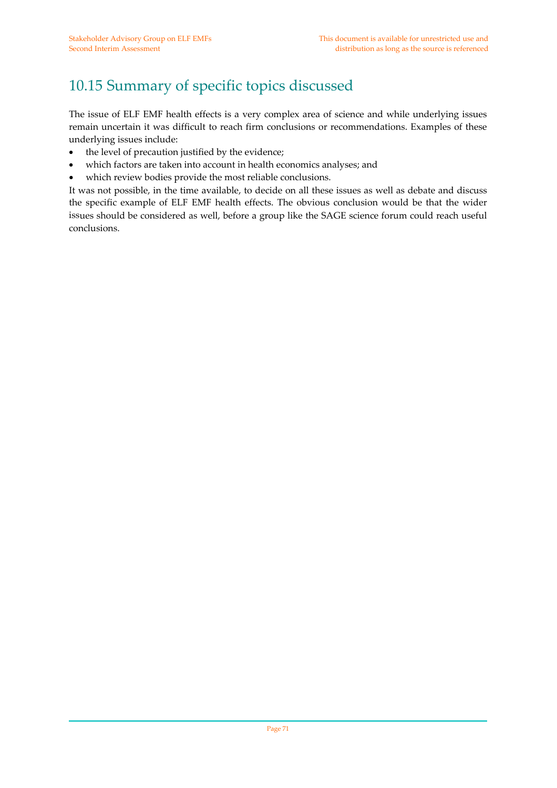## 10.15 Summary of specific topics discussed

The issue of ELF EMF health effects is a very complex area of science and while underlying issues remain uncertain it was difficult to reach firm conclusions or recommendations. Examples of these underlying issues include:

- the level of precaution justified by the evidence;
- which factors are taken into account in health economics analyses; and
- which review bodies provide the most reliable conclusions.

It was not possible, in the time available, to decide on all these issues as well as debate and discuss the specific example of ELF EMF health effects. The obvious conclusion would be that the wider issues should be considered as well, before a group like the SAGE science forum could reach useful conclusions.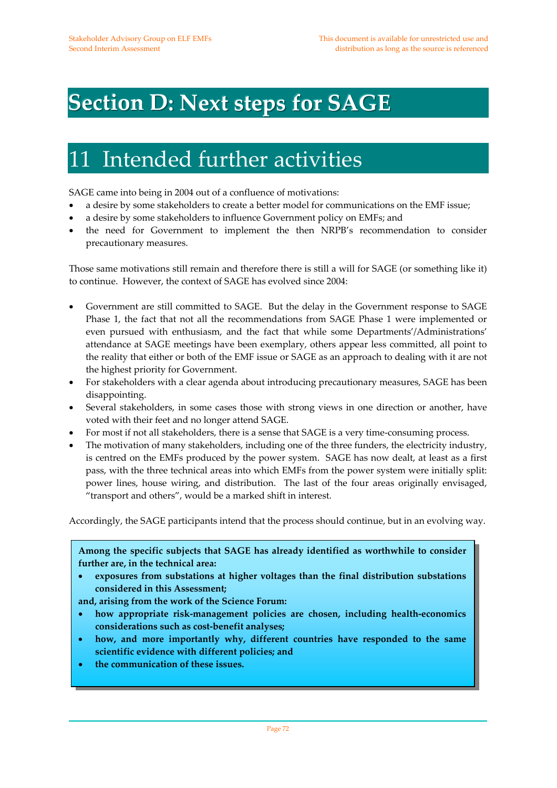## **Section D: Next steps for SAGE**

## 11 Intended further activities

SAGE came into being in 2004 out of a confluence of motivations:

- a desire by some stakeholders to create a better model for communications on the EMF issue;
- a desire by some stakeholders to influence Government policy on EMFs; and
- the need for Government to implement the then NRPB's recommendation to consider precautionary measures.

Those same motivations still remain and therefore there is still a will for SAGE (or something like it) to continue. However, the context of SAGE has evolved since 2004:

- Government are still committed to SAGE. But the delay in the Government response to SAGE Phase 1, the fact that not all the recommendations from SAGE Phase 1 were implemented or even pursued with enthusiasm, and the fact that while some Departments'/Administrations' attendance at SAGE meetings have been exemplary, others appear less committed, all point to the reality that either or both of the EMF issue or SAGE as an approach to dealing with it are not the highest priority for Government.
- For stakeholders with a clear agenda about introducing precautionary measures, SAGE has been disappointing.
- Several stakeholders, in some cases those with strong views in one direction or another, have voted with their feet and no longer attend SAGE.
- For most if not all stakeholders, there is a sense that SAGE is a very time-consuming process.
- The motivation of many stakeholders, including one of the three funders, the electricity industry, is centred on the EMFs produced by the power system. SAGE has now dealt, at least as a first pass, with the three technical areas into which EMFs from the power system were initially split: power lines, house wiring, and distribution. The last of the four areas originally envisaged, "transport and others", would be a marked shift in interest.

Accordingly, the SAGE participants intend that the process should continue, but in an evolving way.

**Among the specific subjects that SAGE has already identified as worthwhile to consider further are, in the technical area:**

• **exposures from substations at higher voltages than the final distribution substations considered in this Assessment;** 

**and, arising from the work of the Science Forum:**

- **how appropriate risk‐management policies are chosen, including health‐economics considerations such as cost‐benefit analyses;**
- **how, and more importantly why, different countries have responded to the same scientific evidence with different policies; and**
- **the communication of these issues.**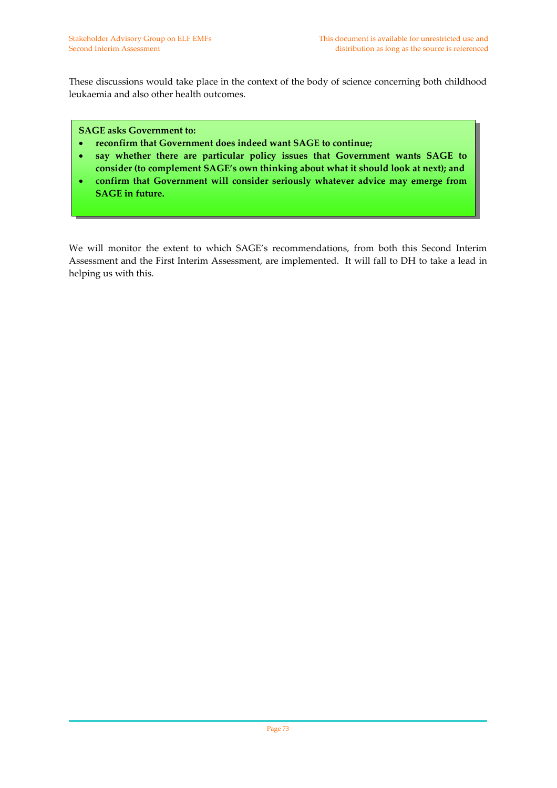These discussions would take place in the context of the body of science concerning both childhood leukaemia and also other health outcomes.

### **SAGE asks Government to:**

- **reconfirm that Government does indeed want SAGE to continue;**
- **say whether there are particular policy issues that Government wants SAGE to consider (to complement SAGE's own thinking about what it should look at next); and**
- **confirm that Government will consider seriously whatever advice may emerge from SAGE in future.**

We will monitor the extent to which SAGE's recommendations, from both this Second Interim Assessment and the First Interim Assessment, are implemented. It will fall to DH to take a lead in helping us with this.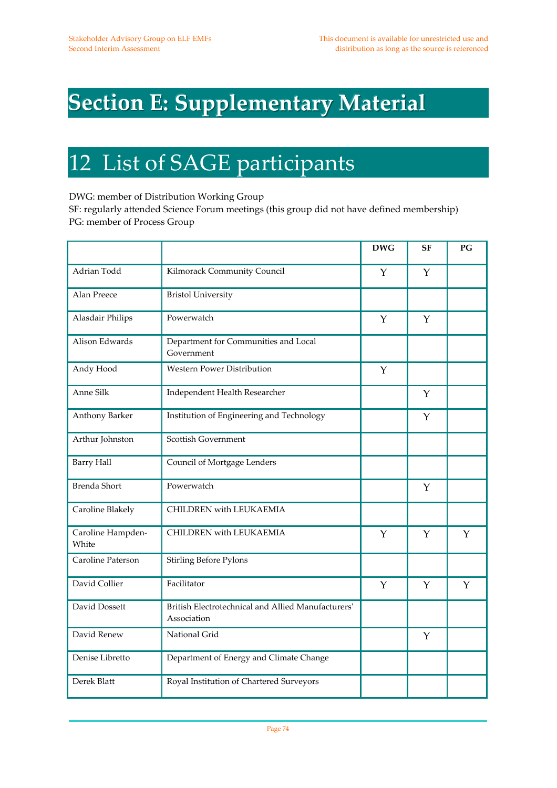## **Section E: Supplementary Material**

### 12 List of SAGE participants

DWG: member of Distribution Working Group

SF: regularly attended Science Forum meetings (this group did not have defined membership) PG: member of Process Group

|                            |                                                                   | <b>DWG</b> | <b>SF</b>    | PG          |
|----------------------------|-------------------------------------------------------------------|------------|--------------|-------------|
| Adrian Todd                | Kilmorack Community Council                                       | Y          | Y            |             |
| Alan Preece                | <b>Bristol University</b>                                         |            |              |             |
| Alasdair Philips           | Powerwatch                                                        | Y          | Y            |             |
| Alison Edwards             | Department for Communities and Local<br>Government                |            |              |             |
| Andy Hood                  | <b>Western Power Distribution</b>                                 | Y          |              |             |
| Anne Silk                  | Independent Health Researcher                                     |            | $\mathbf{Y}$ |             |
| Anthony Barker             | Institution of Engineering and Technology                         |            | Y            |             |
| Arthur Johnston            | Scottish Government                                               |            |              |             |
| <b>Barry Hall</b>          | Council of Mortgage Lenders                                       |            |              |             |
| <b>Brenda Short</b>        | Powerwatch                                                        |            | Y            |             |
| Caroline Blakely           | <b>CHILDREN</b> with LEUKAEMIA                                    |            |              |             |
| Caroline Hampden-<br>White | <b>CHILDREN</b> with LEUKAEMIA                                    | Y          | $\mathbf{Y}$ | $\mathbf Y$ |
| Caroline Paterson          | <b>Stirling Before Pylons</b>                                     |            |              |             |
| David Collier              | Facilitator                                                       | Y          | $\mathbf Y$  | Y           |
| David Dossett              | British Electrotechnical and Allied Manufacturers'<br>Association |            |              |             |
| David Renew                | National Grid                                                     |            | $\mathbf{Y}$ |             |
| Denise Libretto            | Department of Energy and Climate Change                           |            |              |             |
| Derek Blatt                | Royal Institution of Chartered Surveyors                          |            |              |             |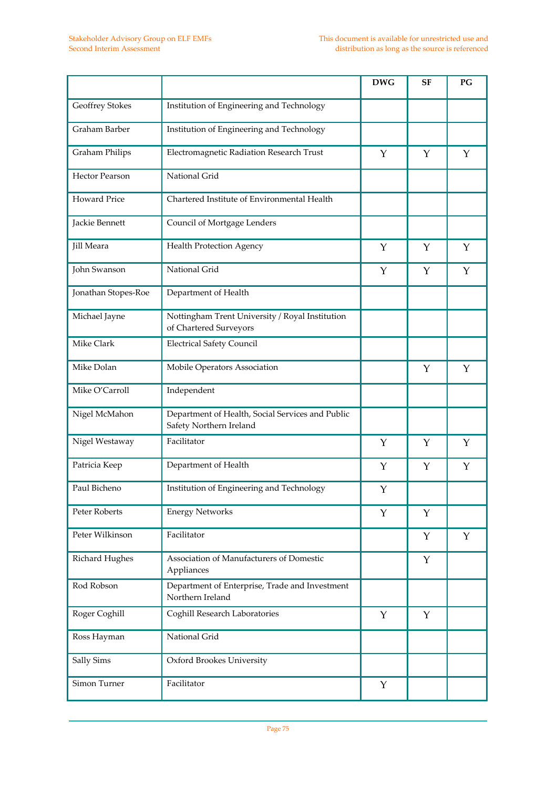|                       |                                                                             | <b>DWG</b> | <b>SF</b>   | PG          |
|-----------------------|-----------------------------------------------------------------------------|------------|-------------|-------------|
| Geoffrey Stokes       | Institution of Engineering and Technology                                   |            |             |             |
| Graham Barber         | Institution of Engineering and Technology                                   |            |             |             |
| <b>Graham Philips</b> | Electromagnetic Radiation Research Trust                                    | Y          | Y           | Y           |
| <b>Hector Pearson</b> | National Grid                                                               |            |             |             |
| Howard Price          | Chartered Institute of Environmental Health                                 |            |             |             |
| Jackie Bennett        | Council of Mortgage Lenders                                                 |            |             |             |
| Jill Meara            | Health Protection Agency                                                    | Y          | $\mathbf Y$ | $\mathbf Y$ |
| John Swanson          | National Grid                                                               | Y          | Y           | Y           |
| Jonathan Stopes-Roe   | Department of Health                                                        |            |             |             |
| Michael Jayne         | Nottingham Trent University / Royal Institution<br>of Chartered Surveyors   |            |             |             |
| Mike Clark            | <b>Electrical Safety Council</b>                                            |            |             |             |
| Mike Dolan            | Mobile Operators Association                                                |            | Y           | Y           |
| Mike O'Carroll        | Independent                                                                 |            |             |             |
| Nigel McMahon         | Department of Health, Social Services and Public<br>Safety Northern Ireland |            |             |             |
| Nigel Westaway        | Facilitator                                                                 | Y          | Y           | Y           |
| Patricia Keep         | Department of Health                                                        | Y          | Y           | Y           |
| Paul Bicheno          | Institution of Engineering and Technology                                   | Y          |             |             |
| Peter Roberts         | <b>Energy Networks</b>                                                      | Υ          | Y           |             |
| Peter Wilkinson       | Facilitator                                                                 |            | Y           | $\mathbf Y$ |
| Richard Hughes        | Association of Manufacturers of Domestic<br>Appliances                      |            | $\mathbf Y$ |             |
| Rod Robson            | Department of Enterprise, Trade and Investment<br>Northern Ireland          |            |             |             |
| Roger Coghill         | Coghill Research Laboratories                                               | Y          | $\mathbf Y$ |             |
| Ross Hayman           | National Grid                                                               |            |             |             |
| Sally Sims            | Oxford Brookes University                                                   |            |             |             |
| Simon Turner          | Facilitator                                                                 | Y          |             |             |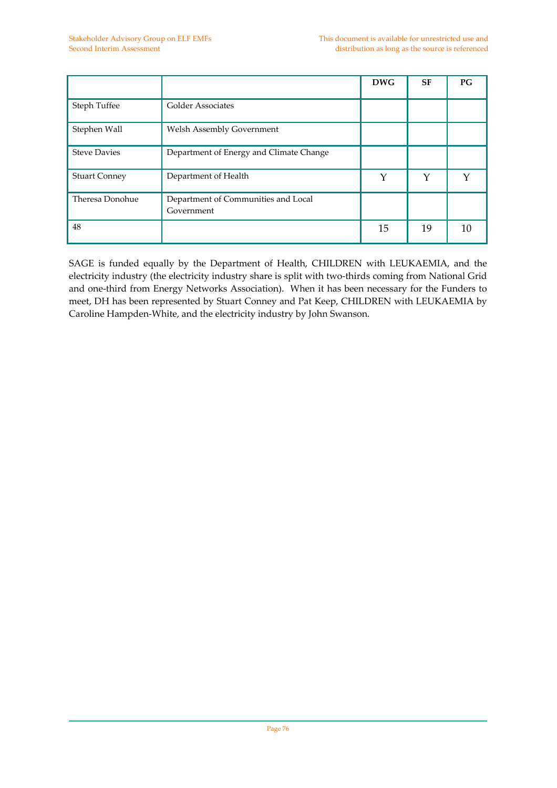|                      |                                                   | <b>DWG</b> | <b>SF</b> | $P$ G |
|----------------------|---------------------------------------------------|------------|-----------|-------|
| Steph Tuffee         | <b>Golder Associates</b>                          |            |           |       |
| Stephen Wall         | Welsh Assembly Government                         |            |           |       |
| <b>Steve Davies</b>  | Department of Energy and Climate Change           |            |           |       |
| <b>Stuart Conney</b> | Department of Health                              | Y          | Y         |       |
| Theresa Donohue      | Department of Communities and Local<br>Government |            |           |       |
| 48                   |                                                   | 15         | 19        | 10    |

SAGE is funded equally by the Department of Health, CHILDREN with LEUKAEMIA, and the electricity industry (the electricity industry share is split with two-thirds coming from National Grid and one-third from Energy Networks Association). When it has been necessary for the Funders to meet, DH has been represented by Stuart Conney and Pat Keep, CHILDREN with LEUKAEMIA by Caroline Hampden‐White, and the electricity industry by John Swanson.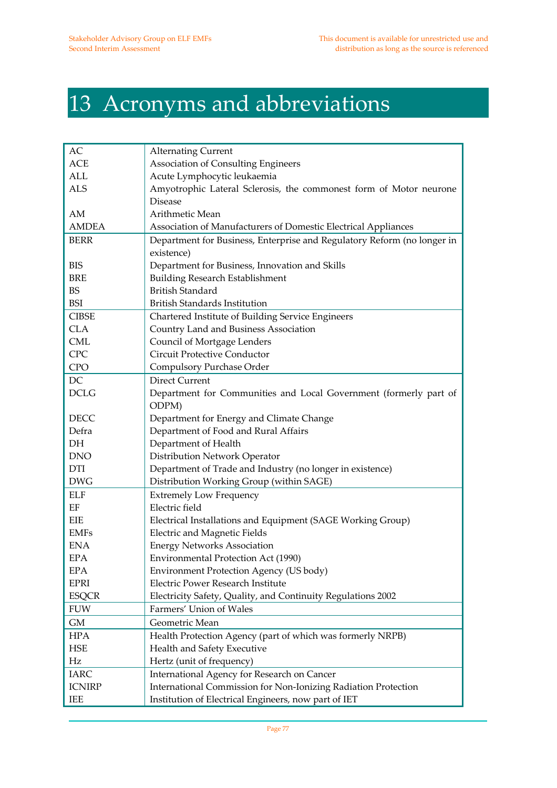# 13 Acronyms and abbreviations

| AС            | <b>Alternating Current</b>                                              |
|---------------|-------------------------------------------------------------------------|
| ACE           | Association of Consulting Engineers                                     |
| ALL           | Acute Lymphocytic leukaemia                                             |
| <b>ALS</b>    | Amyotrophic Lateral Sclerosis, the commonest form of Motor neurone      |
|               | <b>Disease</b>                                                          |
| AM            | Arithmetic Mean                                                         |
| <b>AMDEA</b>  | Association of Manufacturers of Domestic Electrical Appliances          |
| <b>BERR</b>   | Department for Business, Enterprise and Regulatory Reform (no longer in |
|               | existence)                                                              |
| <b>BIS</b>    | Department for Business, Innovation and Skills                          |
| <b>BRE</b>    | <b>Building Research Establishment</b>                                  |
| <b>BS</b>     | <b>British Standard</b>                                                 |
| <b>BSI</b>    | <b>British Standards Institution</b>                                    |
| <b>CIBSE</b>  | Chartered Institute of Building Service Engineers                       |
| <b>CLA</b>    | Country Land and Business Association                                   |
| <b>CML</b>    | Council of Mortgage Lenders                                             |
| <b>CPC</b>    | <b>Circuit Protective Conductor</b>                                     |
| <b>CPO</b>    | Compulsory Purchase Order                                               |
| DC            | <b>Direct Current</b>                                                   |
| <b>DCLG</b>   | Department for Communities and Local Government (formerly part of       |
|               | ODPM)                                                                   |
| DECC          | Department for Energy and Climate Change                                |
| Defra         | Department of Food and Rural Affairs                                    |
| DH            | Department of Health                                                    |
| <b>DNO</b>    | Distribution Network Operator                                           |
| <b>DTI</b>    | Department of Trade and Industry (no longer in existence)               |
| <b>DWG</b>    | Distribution Working Group (within SAGE)                                |
| <b>ELF</b>    | <b>Extremely Low Frequency</b>                                          |
| EF            | Electric field                                                          |
| EIE           | Electrical Installations and Equipment (SAGE Working Group)             |
| <b>EMFs</b>   | <b>Electric and Magnetic Fields</b>                                     |
| <b>ENA</b>    | <b>Energy Networks Association</b>                                      |
| <b>EPA</b>    | Environmental Protection Act (1990)                                     |
| <b>EPA</b>    | <b>Environment Protection Agency (US body)</b>                          |
| <b>EPRI</b>   | Electric Power Research Institute                                       |
| <b>ESQCR</b>  | Electricity Safety, Quality, and Continuity Regulations 2002            |
| <b>FUW</b>    | Farmers' Union of Wales                                                 |
| GM            | Geometric Mean                                                          |
| <b>HPA</b>    | Health Protection Agency (part of which was formerly NRPB)              |
| <b>HSE</b>    | Health and Safety Executive                                             |
| Hz            | Hertz (unit of frequency)                                               |
| <b>IARC</b>   | International Agency for Research on Cancer                             |
| <b>ICNIRP</b> | International Commission for Non-Ionizing Radiation Protection          |
| IEE           | Institution of Electrical Engineers, now part of IET                    |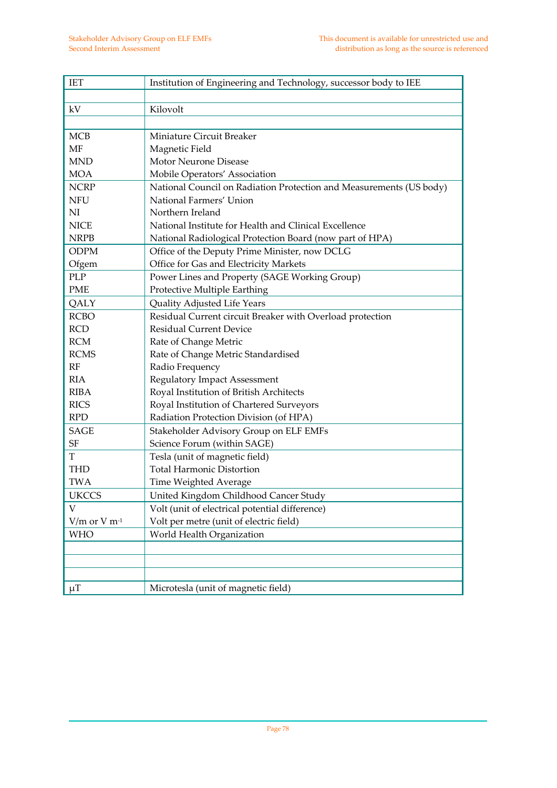| <b>IET</b>                   | Institution of Engineering and Technology, successor body to IEE    |
|------------------------------|---------------------------------------------------------------------|
|                              |                                                                     |
| kV                           | Kilovolt                                                            |
|                              |                                                                     |
| MCB                          | Miniature Circuit Breaker                                           |
| MF                           | Magnetic Field                                                      |
| <b>MND</b>                   | Motor Neurone Disease                                               |
| <b>MOA</b>                   | Mobile Operators' Association                                       |
| <b>NCRP</b>                  | National Council on Radiation Protection and Measurements (US body) |
| <b>NFU</b>                   | National Farmers' Union                                             |
| NI                           | Northern Ireland                                                    |
| <b>NICE</b>                  | National Institute for Health and Clinical Excellence               |
| <b>NRPB</b>                  | National Radiological Protection Board (now part of HPA)            |
| <b>ODPM</b>                  | Office of the Deputy Prime Minister, now DCLG                       |
| Ofgem                        | Office for Gas and Electricity Markets                              |
| PLP                          | Power Lines and Property (SAGE Working Group)                       |
| <b>PME</b>                   | Protective Multiple Earthing                                        |
| QALY                         | Quality Adjusted Life Years                                         |
| <b>RCBO</b>                  | Residual Current circuit Breaker with Overload protection           |
| <b>RCD</b>                   | <b>Residual Current Device</b>                                      |
| <b>RCM</b>                   | Rate of Change Metric                                               |
| <b>RCMS</b>                  | Rate of Change Metric Standardised                                  |
| RF                           | Radio Frequency                                                     |
| <b>RIA</b>                   | <b>Regulatory Impact Assessment</b>                                 |
| <b>RIBA</b>                  | Royal Institution of British Architects                             |
| <b>RICS</b>                  | Royal Institution of Chartered Surveyors                            |
| <b>RPD</b>                   | Radiation Protection Division (of HPA)                              |
| SAGE                         | Stakeholder Advisory Group on ELF EMFs                              |
| SF                           | Science Forum (within SAGE)                                         |
| T                            | Tesla (unit of magnetic field)                                      |
| <b>THD</b>                   | <b>Total Harmonic Distortion</b>                                    |
| <b>TWA</b>                   | Time Weighted Average                                               |
| <b>UKCCS</b>                 | United Kingdom Childhood Cancer Study                               |
| V                            | Volt (unit of electrical potential difference)                      |
| $V/m$ or $V$ m <sup>-1</sup> | Volt per metre (unit of electric field)                             |
| <b>WHO</b>                   | World Health Organization                                           |
|                              |                                                                     |
|                              |                                                                     |
|                              |                                                                     |
| $\mu$ T                      | Microtesla (unit of magnetic field)                                 |